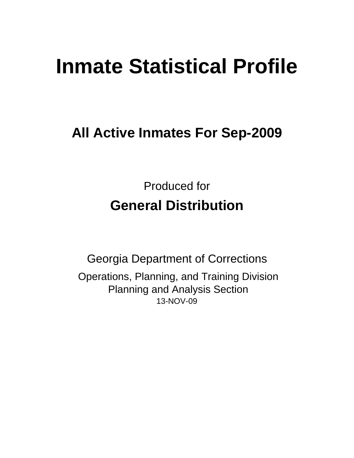# **Inmate Statistical Profile**

**All Active Inmates For Sep-2009**

Produced for **General Distribution**

13-NOV-09 Georgia Department of Corrections Operations, Planning, and Training Division Planning and Analysis Section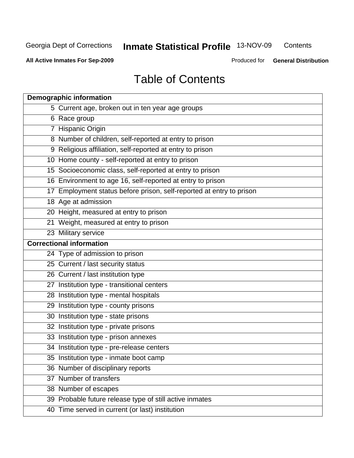**All Active Inmates For Sep-2009**

Produced for **General Distribution**

# Table of Contents

| <b>Demographic information</b>                                       |
|----------------------------------------------------------------------|
| 5 Current age, broken out in ten year age groups                     |
| 6 Race group                                                         |
| 7 Hispanic Origin                                                    |
| 8 Number of children, self-reported at entry to prison               |
| 9 Religious affiliation, self-reported at entry to prison            |
| 10 Home county - self-reported at entry to prison                    |
| 15 Socioeconomic class, self-reported at entry to prison             |
| 16 Environment to age 16, self-reported at entry to prison           |
| 17 Employment status before prison, self-reported at entry to prison |
| 18 Age at admission                                                  |
| 20 Height, measured at entry to prison                               |
| 21 Weight, measured at entry to prison                               |
| 23 Military service                                                  |
| <b>Correctional information</b>                                      |
| 24 Type of admission to prison                                       |
| 25 Current / last security status                                    |
| 26 Current / last institution type                                   |
| 27 Institution type - transitional centers                           |
| 28 Institution type - mental hospitals                               |
| 29 Institution type - county prisons                                 |
| 30 Institution type - state prisons                                  |
| 32 Institution type - private prisons                                |
| 33 Institution type - prison annexes                                 |
| 34 Institution type - pre-release centers                            |
| 35 Institution type - inmate boot camp                               |
| 36 Number of disciplinary reports                                    |
| 37 Number of transfers                                               |
| 38 Number of escapes                                                 |
| 39 Probable future release type of still active inmates              |
| 40 Time served in current (or last) institution                      |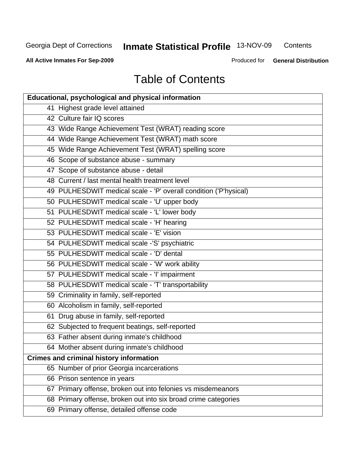**Contents** 

**All Active Inmates For Sep-2009**

Produced for **General Distribution**

# Table of Contents

| <b>Educational, psychological and physical information</b>       |
|------------------------------------------------------------------|
| 41 Highest grade level attained                                  |
| 42 Culture fair IQ scores                                        |
| 43 Wide Range Achievement Test (WRAT) reading score              |
| 44 Wide Range Achievement Test (WRAT) math score                 |
| 45 Wide Range Achievement Test (WRAT) spelling score             |
| 46 Scope of substance abuse - summary                            |
| 47 Scope of substance abuse - detail                             |
| 48 Current / last mental health treatment level                  |
| 49 PULHESDWIT medical scale - 'P' overall condition ('P'hysical) |
| 50 PULHESDWIT medical scale - 'U' upper body                     |
| 51 PULHESDWIT medical scale - 'L' lower body                     |
| 52 PULHESDWIT medical scale - 'H' hearing                        |
| 53 PULHESDWIT medical scale - 'E' vision                         |
| 54 PULHESDWIT medical scale -'S' psychiatric                     |
| 55 PULHESDWIT medical scale - 'D' dental                         |
| 56 PULHESDWIT medical scale - 'W' work ability                   |
| 57 PULHESDWIT medical scale - 'I' impairment                     |
| 58 PULHESDWIT medical scale - 'T' transportability               |
| 59 Criminality in family, self-reported                          |
| 60 Alcoholism in family, self-reported                           |
| 61 Drug abuse in family, self-reported                           |
| 62 Subjected to frequent beatings, self-reported                 |
| 63 Father absent during inmate's childhood                       |
| 64 Mother absent during inmate's childhood                       |
| <b>Crimes and criminal history information</b>                   |
| 65 Number of prior Georgia incarcerations                        |
| 66 Prison sentence in years                                      |
| 67 Primary offense, broken out into felonies vs misdemeanors     |
| 68 Primary offense, broken out into six broad crime categories   |
| 69 Primary offense, detailed offense code                        |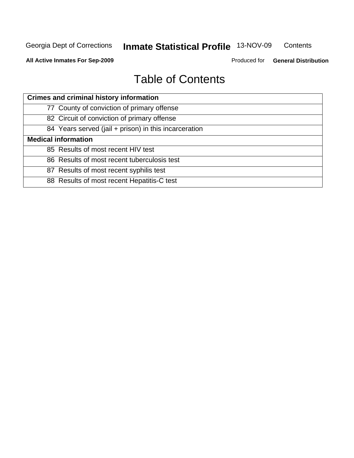**Contents** 

**All Active Inmates For Sep-2009**

Produced for **General Distribution**

# Table of Contents

| <b>Crimes and criminal history information</b>        |
|-------------------------------------------------------|
| 77 County of conviction of primary offense            |
| 82 Circuit of conviction of primary offense           |
| 84 Years served (jail + prison) in this incarceration |
| <b>Medical information</b>                            |
| 85 Results of most recent HIV test                    |
| 86 Results of most recent tuberculosis test           |
| 87 Results of most recent syphilis test               |
| 88 Results of most recent Hepatitis-C test            |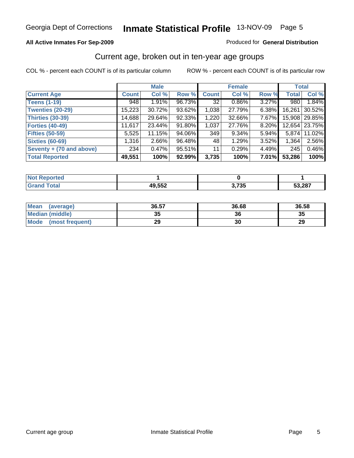#### **All Active Inmates For Sep-2009**

#### Produced for **General Distribution**

## Current age, broken out in ten-year age groups

|                          |              | <b>Male</b> |        |              | <b>Female</b> |       | <b>Total</b> |               |
|--------------------------|--------------|-------------|--------|--------------|---------------|-------|--------------|---------------|
| <b>Current Age</b>       | <b>Count</b> | Col %       | Row %  | <b>Count</b> | Col %         | Row % | <b>Total</b> | Col %         |
| <b>Teens (1-19)</b>      | 948          | 1.91%       | 96.73% | 32           | $0.86\%$      | 3.27% | 980          | 1.84%         |
| <b>Twenties (20-29)</b>  | 15,223       | 30.72%      | 93.62% | 1,038        | 27.79%        | 6.38% | 16,261       | 30.52%        |
| <b>Thirties (30-39)</b>  | 14,688       | 29.64%      | 92.33% | 1,220        | 32.66%        | 7.67% |              | 15,908 29.85% |
| <b>Forties (40-49)</b>   | 11,617       | 23.44%      | 91.80% | 1,037        | 27.76%        | 8.20% | 12,654       | 23.75%        |
| <b>Fifties (50-59)</b>   | 5,525        | 11.15%      | 94.06% | 349          | 9.34%         | 5.94% | 5,874        | 11.02%        |
| <b>Sixties (60-69)</b>   | 1,316        | $2.66\%$    | 96.48% | 48           | 1.29%         | 3.52% | 1,364        | 2.56%         |
| Seventy + (70 and above) | 234          | 0.47%       | 95.51% | 11           | 0.29%         | 4.49% | 245          | 0.46%         |
| <b>Total Reported</b>    | 49,551       | 100%        | 92.99% | 3,735        | 100%          | 7.01% | 53,286       | 100%          |

| <b>Not Reported</b>     |        |       |        |
|-------------------------|--------|-------|--------|
| <b>Total</b><br>' Grand | 49,552 | 3,735 | 53,287 |

| <b>Mean</b><br>(average) | 36.57           | 36.68 | 36.58 |
|--------------------------|-----------------|-------|-------|
| Median (middle)          | <b>25</b><br>vu | 36    | 35    |
| Mode<br>(most frequent)  | 29              | 30    | 29    |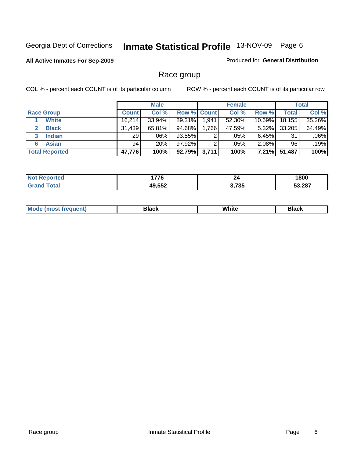#### **All Active Inmates For Sep-2009**

Produced for **General Distribution**

# Race group

|                       |              | <b>Male</b> |             |       | <b>Female</b> |           |        | <b>Total</b> |
|-----------------------|--------------|-------------|-------------|-------|---------------|-----------|--------|--------------|
| <b>Race Group</b>     | <b>Count</b> | Col %       | Row % Count |       | Col %         | Row %     | Total  | Col %        |
| <b>White</b>          | 16,214       | $33.94\%$   | 89.31%      | .941  | 52.30%        | $10.69\%$ | 18,155 | 35.26%       |
| <b>Black</b>          | 31,439       | 65.81%      | $94.68\%$   | 1,766 | 47.59%        | $5.32\%$  | 33,205 | 64.49%       |
| <b>Indian</b><br>3    | 29           | $.06\%$     | 93.55%      | ົ     | .05%          | 6.45%     | 31     | .06%         |
| <b>Asian</b><br>6     | 94           | $.20\%$     | 97.92%      | ⌒     | .05%          | $2.08\%$  | 96     | .19%         |
| <b>Total Reported</b> | 47,776       | 100%        | 92.79%      | 3,711 | 100%          | $7.21\%$  | 51,487 | 100%         |

| 776<br>$\sim$     | 44           | 1800   |
|-------------------|--------------|--------|
| いににつ<br>40<br>ッッム | ! フ?ド<br>ັບປ | 53.287 |

| White<br>Black<br>Black<br>___<br>____<br>$ -$ |
|------------------------------------------------|
|------------------------------------------------|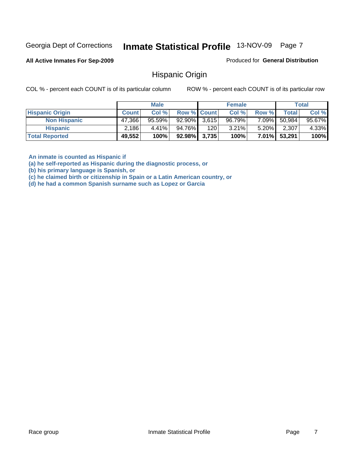**All Active Inmates For Sep-2009**

Produced for **General Distribution**

## Hispanic Origin

COL % - percent each COUNT is of its particular column ROW % - percent each COUNT is of its particular row

|                        |              | <b>Male</b> |                    |     | <b>Female</b> |          |              | <b>Total</b> |
|------------------------|--------------|-------------|--------------------|-----|---------------|----------|--------------|--------------|
| <b>Hispanic Origin</b> | <b>Count</b> | Col %       | <b>Row % Count</b> |     | Col %         | Row %    | Total        | Col %        |
| <b>Non Hispanic</b>    | 47,366       | $95.59\%$   | $92.90\%$ 3,615    |     | 96.79%        | 7.09%    | 50,984       | 95.67%       |
| <b>Hispanic</b>        | 2,186        | $4.41\%$    | 94.76%             | 120 | 3.21%         | $5.20\%$ | 2,307        | 4.33%        |
| <b>Total Reported</b>  | 49,552       | 100%        | $92.98\%$ 3,735    |     | 100%          |          | 7.01% 53,291 | 100%         |

**An inmate is counted as Hispanic if** 

**(a) he self-reported as Hispanic during the diagnostic process, or** 

**(b) his primary language is Spanish, or** 

**(c) he claimed birth or citizenship in Spain or a Latin American country, or** 

**(d) he had a common Spanish surname such as Lopez or Garcia**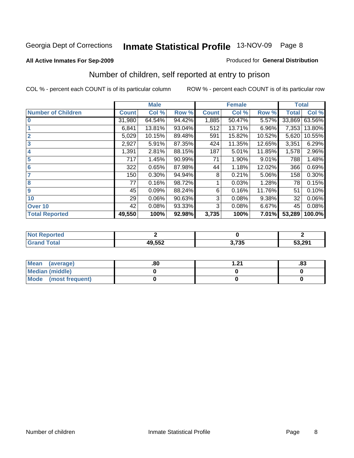#### **All Active Inmates For Sep-2009**

#### Produced for **General Distribution**

# Number of children, self reported at entry to prison

|                           |              | <b>Male</b> |        |              | <b>Female</b> |        | <b>Total</b> |        |
|---------------------------|--------------|-------------|--------|--------------|---------------|--------|--------------|--------|
| <b>Number of Children</b> | <b>Count</b> | Col %       | Row %  | <b>Count</b> | Col %         | Row %  | <b>Total</b> | Col %  |
| $\bf{0}$                  | 31,980       | 64.54%      | 94.42% | 1,885        | 50.47%        | 5.57%  | 33,869       | 63.56% |
|                           | 6,841        | 13.81%      | 93.04% | 512          | 13.71%        | 6.96%  | 7,353        | 13.80% |
| $\overline{2}$            | 5,029        | 10.15%      | 89.48% | 591          | 15.82%        | 10.52% | 5,620        | 10.55% |
| 3                         | 2,927        | 5.91%       | 87.35% | 424          | 11.35%        | 12.65% | 3,351        | 6.29%  |
| 4                         | 1,391        | 2.81%       | 88.15% | 187          | 5.01%         | 11.85% | 1,578        | 2.96%  |
| 5                         | 717          | 1.45%       | 90.99% | 71           | 1.90%         | 9.01%  | 788          | 1.48%  |
| $6\phantom{a}$            | 322          | 0.65%       | 87.98% | 44           | 1.18%         | 12.02% | 366          | 0.69%  |
| 7                         | 150          | 0.30%       | 94.94% | 8            | 0.21%         | 5.06%  | 158          | 0.30%  |
| 8                         | 77           | 0.16%       | 98.72% |              | 0.03%         | 1.28%  | 78           | 0.15%  |
| 9                         | 45           | 0.09%       | 88.24% | 6            | 0.16%         | 11.76% | 51           | 0.10%  |
| 10                        | 29           | 0.06%       | 90.63% | 3            | 0.08%         | 9.38%  | 32           | 0.06%  |
| Over 10                   | 42           | 0.08%       | 93.33% | 3            | 0.08%         | 6.67%  | 45           | 0.08%  |
| <b>Total Reported</b>     | 49,550       | 100%        | 92.98% | 3,735        | 100%          | 7.01%  | 53,289       | 100.0% |

| rtea<br>NO |                |                      |        |
|------------|----------------|----------------------|--------|
|            | 10E52<br>. JJZ | つ フクロ<br>. , აა<br>. | 53,291 |

| <b>Mean</b><br>(average) | .80 | - 21 | .03 |
|--------------------------|-----|------|-----|
| <b>Median (middle)</b>   |     |      |     |
| Mode<br>(most frequent)  |     |      |     |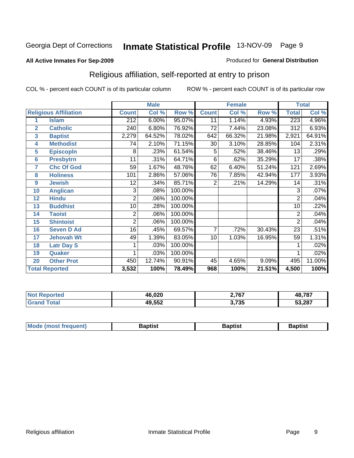#### **All Active Inmates For Sep-2009**

#### Produced for **General Distribution**

# Religious affiliation, self-reported at entry to prison

|                  |                              |                | <b>Male</b> |         |                 | <b>Female</b> |        | <b>Total</b>   |        |
|------------------|------------------------------|----------------|-------------|---------|-----------------|---------------|--------|----------------|--------|
|                  | <b>Religious Affiliation</b> | <b>Count</b>   | Col %       | Row %   | <b>Count</b>    | Col %         | Row %  | <b>Total</b>   | Col %  |
| 1                | <b>Islam</b>                 | 212            | 6.00%       | 95.07%  | 11              | 1.14%         | 4.93%  | 223            | 4.96%  |
| $\overline{2}$   | <b>Catholic</b>              | 240            | 6.80%       | 76.92%  | 72              | 7.44%         | 23.08% | 312            | 6.93%  |
| 3                | <b>Baptist</b>               | 2,279          | 64.52%      | 78.02%  | 642             | 66.32%        | 21.98% | 2,921          | 64.91% |
| 4                | <b>Methodist</b>             | 74             | 2.10%       | 71.15%  | 30              | 3.10%         | 28.85% | 104            | 2.31%  |
| 5                | <b>EpiscopIn</b>             | 8              | .23%        | 61.54%  | 5               | .52%          | 38.46% | 13             | .29%   |
| $6\phantom{1}6$  | <b>Presbytrn</b>             | 11             | .31%        | 64.71%  | 6               | .62%          | 35.29% | 17             | .38%   |
| 7                | <b>Chc Of God</b>            | 59             | 1.67%       | 48.76%  | 62              | 6.40%         | 51.24% | 121            | 2.69%  |
| 8                | <b>Holiness</b>              | 101            | 2.86%       | 57.06%  | $\overline{76}$ | 7.85%         | 42.94% | 177            | 3.93%  |
| $\boldsymbol{9}$ | <b>Jewish</b>                | 12             | .34%        | 85.71%  | 2               | .21%          | 14.29% | 14             | .31%   |
| 10               | <b>Anglican</b>              | 3              | .08%        | 100.00% |                 |               |        | 3              | .07%   |
| 12               | <b>Hindu</b>                 | $\overline{2}$ | .06%        | 100.00% |                 |               |        | $\overline{2}$ | .04%   |
| 13               | <b>Buddhist</b>              | 10             | .28%        | 100.00% |                 |               |        | 10             | .22%   |
| 14               | <b>Taoist</b>                | 2              | .06%        | 100.00% |                 |               |        | $\overline{2}$ | .04%   |
| 15               | <b>Shintoist</b>             | $\overline{2}$ | .06%        | 100.00% |                 |               |        | $\overline{2}$ | .04%   |
| 16               | <b>Seven D Ad</b>            | 16             | .45%        | 69.57%  | 7               | .72%          | 30.43% | 23             | .51%   |
| 17               | <b>Jehovah Wt</b>            | 49             | 1.39%       | 83.05%  | 10              | 1.03%         | 16.95% | 59             | 1.31%  |
| 18               | <b>Latr Day S</b>            |                | .03%        | 100.00% |                 |               |        |                | .02%   |
| 19               | Quaker                       |                | .03%        | 100.00% |                 |               |        |                | .02%   |
| 20               | <b>Other Prot</b>            | 450            | 12.74%      | 90.91%  | 45              | 4.65%         | 9.09%  | 495            | 11.00% |
|                  | <b>Total Reported</b>        | 3,532          | 100%        | 78.49%  | 968             | 100%          | 21.51% | 4,500          | 100%   |

| 46.020 | 2,767           | 48,787 |
|--------|-----------------|--------|
| 49,552 | 2 725<br>טט ווט | 53,287 |

| Zantict |        |        |         |
|---------|--------|--------|---------|
|         | $M$ oc | ≀aptis | Baptist |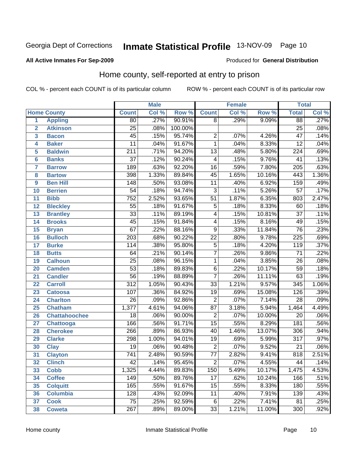#### **All Active Inmates For Sep-2009**

#### Produced for **General Distribution**

# Home county, self-reported at entry to prison

|                 |                      | <b>Male</b>      |       |         | <b>Female</b>   |       | <b>Total</b> |                  |                            |
|-----------------|----------------------|------------------|-------|---------|-----------------|-------|--------------|------------------|----------------------------|
|                 | <b>Home County</b>   | <b>Count</b>     | Col % | Row %   | <b>Count</b>    | Col % | Row %        | <b>Total</b>     | $\overline{\text{Col }^9}$ |
| 1               | <b>Appling</b>       | 80               | .27%  | 90.91%  | $\overline{8}$  | .29%  | 9.09%        | 88               | .27%                       |
| $\overline{2}$  | <b>Atkinson</b>      | $\overline{25}$  | .08%  | 100.00% |                 |       |              | $\overline{25}$  | .08%                       |
| 3               | <b>Bacon</b>         | $\overline{45}$  | .15%  | 95.74%  | $\overline{2}$  | .07%  | 4.26%        | $\overline{47}$  | .14%                       |
| 4               | <b>Baker</b>         | $\overline{11}$  | .04%  | 91.67%  | $\overline{1}$  | .04%  | 8.33%        | $\overline{12}$  | .04%                       |
| 5               | <b>Baldwin</b>       | $\overline{211}$ | .71%  | 94.20%  | $\overline{13}$ | .48%  | 5.80%        | $\overline{224}$ | .69%                       |
| $6\phantom{a}$  | <b>Banks</b>         | $\overline{37}$  | .12%  | 90.24%  | 4               | .15%  | 9.76%        | $\overline{41}$  | .13%                       |
| $\overline{7}$  | <b>Barrow</b>        | 189              | .63%  | 92.20%  | $\overline{16}$ | .59%  | 7.80%        | $\overline{205}$ | .63%                       |
| 8               | <b>Bartow</b>        | 398              | 1.33% | 89.84%  | $\overline{45}$ | 1.65% | 10.16%       | 443              | 1.36%                      |
| 9               | <b>Ben Hill</b>      | $\overline{148}$ | .50%  | 93.08%  | $\overline{11}$ | .40%  | 6.92%        | 159              | .49%                       |
| 10              | <b>Berrien</b>       | $\overline{54}$  | .18%  | 94.74%  | $\overline{3}$  | .11%  | 5.26%        | $\overline{57}$  | .17%                       |
| 11              | <b>Bibb</b>          | $\overline{752}$ | 2.52% | 93.65%  | $\overline{51}$ | 1.87% | 6.35%        | 803              | 2.47%                      |
| 12              | <b>Bleckley</b>      | $\overline{55}$  | .18%  | 91.67%  | $\overline{5}$  | .18%  | 8.33%        | $\overline{60}$  | .18%                       |
| $\overline{13}$ | <b>Brantley</b>      | $\overline{33}$  | .11%  | 89.19%  | 4               | .15%  | 10.81%       | $\overline{37}$  | .11%                       |
| $\overline{14}$ | <b>Brooks</b>        | $\overline{45}$  | .15%  | 91.84%  | $\overline{4}$  | .15%  | 8.16%        | 49               | .15%                       |
| 15              | <b>Bryan</b>         | $\overline{67}$  | .22%  | 88.16%  | $\overline{9}$  | .33%  | 11.84%       | $\overline{76}$  | .23%                       |
| 16              | <b>Bulloch</b>       | $\overline{203}$ | .68%  | 90.22%  | $\overline{22}$ | .80%  | 9.78%        | $\overline{225}$ | .69%                       |
| $\overline{17}$ | <b>Burke</b>         | $\overline{114}$ | .38%  | 95.80%  | $\overline{5}$  | .18%  | 4.20%        | 119              | .37%                       |
| 18              | <b>Butts</b>         | 64               | .21%  | 90.14%  | $\overline{7}$  | .26%  | 9.86%        | $\overline{71}$  | .22%                       |
| 19              | <b>Calhoun</b>       | $\overline{25}$  | .08%  | 96.15%  | $\mathbf{1}$    | .04%  | 3.85%        | $\overline{26}$  | .08%                       |
| 20              | <b>Camden</b>        | $\overline{53}$  | .18%  | 89.83%  | $\overline{6}$  | .22%  | 10.17%       | $\overline{59}$  | .18%                       |
| 21              | <b>Candler</b>       | $\overline{56}$  | .19%  | 88.89%  | $\overline{7}$  | .26%  | 11.11%       | 63               | .19%                       |
| $\overline{22}$ | <b>Carroll</b>       | $\overline{312}$ | 1.05% | 90.43%  | $\overline{33}$ | 1.21% | 9.57%        | $\overline{345}$ | 1.06%                      |
| 23              | <b>Catoosa</b>       | 107              | .36%  | 84.92%  | $\overline{19}$ | .69%  | 15.08%       | 126              | .39%                       |
| 24              | <b>Charlton</b>      | $\overline{26}$  | .09%  | 92.86%  | $\overline{2}$  | .07%  | 7.14%        | $\overline{28}$  | .09%                       |
| 25              | <b>Chatham</b>       | 1,377            | 4.61% | 94.06%  | $\overline{87}$ | 3.18% | 5.94%        | 1,464            | 4.49%                      |
| 26              | <b>Chattahoochee</b> | $\overline{18}$  | .06%  | 90.00%  | $\overline{2}$  | .07%  | 10.00%       | $\overline{20}$  | .06%                       |
| 27              | <b>Chattooga</b>     | 166              | .56%  | 91.71%  | $\overline{15}$ | .55%  | 8.29%        | 181              | .56%                       |
| 28              | <b>Cherokee</b>      | 266              | .89%  | 86.93%  | $\overline{40}$ | 1.46% | 13.07%       | 306              | .94%                       |
| 29              | <b>Clarke</b>        | 298              | 1.00% | 94.01%  | $\overline{19}$ | .69%  | 5.99%        | $\overline{317}$ | .97%                       |
| 30              | <b>Clay</b>          | $\overline{19}$  | .06%  | 90.48%  | $\overline{2}$  | .07%  | 9.52%        | $\overline{21}$  | .06%                       |
| $\overline{31}$ | <b>Clayton</b>       | $\overline{741}$ | 2.48% | 90.59%  | $\overline{77}$ | 2.82% | 9.41%        | 818              | 2.51%                      |
| 32              | <b>Clinch</b>        | 42               | .14%  | 95.45%  | 2               | .07%  | 4.55%        | 44               | .14%                       |
| 33              | <b>Cobb</b>          | 1,325            | 4.44% | 89.83%  | 150             | 5.49% | 10.17%       | 1,475            | 4.53%                      |
| 34              | <b>Coffee</b>        | $\overline{149}$ | .50%  | 89.76%  | $\overline{17}$ | .62%  | 10.24%       | 166              | .51%                       |
| 35              | <b>Colquitt</b>      | 165              | .55%  | 91.67%  | $\overline{15}$ | .55%  | 8.33%        | 180              | .55%                       |
| 36              | <b>Columbia</b>      | 128              | .43%  | 92.09%  | 11              | .40%  | 7.91%        | 139              | .43%                       |
| 37              | <b>Cook</b>          | $\overline{75}$  | .25%  | 92.59%  | 6               | .22%  | 7.41%        | 81               | .25%                       |
| 38              | <b>Coweta</b>        | $\overline{267}$ | .89%  | 89.00%  | $\overline{33}$ | 1.21% | 11.00%       | 300              | .92%                       |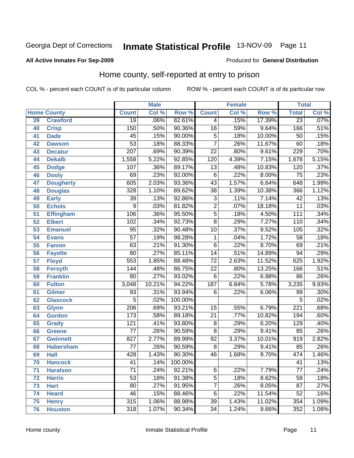#### **All Active Inmates For Sep-2009**

#### Produced for **General Distribution**

# Home county, self-reported at entry to prison

|                 |                    |                  | <b>Male</b> |         |                 | <b>Female</b> |        | <b>Total</b>     |                            |
|-----------------|--------------------|------------------|-------------|---------|-----------------|---------------|--------|------------------|----------------------------|
|                 | <b>Home County</b> | <b>Count</b>     | Col %       | Row %   | <b>Count</b>    | Col %         | Row %  | <b>Total</b>     | $\overline{\text{Col }\%}$ |
| 39              | <b>Crawford</b>    | $\overline{19}$  | .06%        | 82.61%  | 4               | .15%          | 17.39% | $\overline{23}$  | .07%                       |
| 40              | <b>Crisp</b>       | 150              | .50%        | 90.36%  | $\overline{16}$ | .59%          | 9.64%  | 166              | .51%                       |
| 41              | <b>Dade</b>        | $\overline{45}$  | .15%        | 90.00%  | $\overline{5}$  | .18%          | 10.00% | 50               | .15%                       |
| 42              | <b>Dawson</b>      | $\overline{53}$  | .18%        | 88.33%  | $\overline{7}$  | .26%          | 11.67% | 60               | .18%                       |
| 43              | <b>Decatur</b>     | $\overline{207}$ | .69%        | 90.39%  | $\overline{22}$ | .80%          | 9.61%  | 229              | .70%                       |
| 44              | <b>Dekalb</b>      | 1,558            | 5.22%       | 92.85%  | 120             | 4.39%         | 7.15%  | 1,678            | 5.15%                      |
| 45              | <b>Dodge</b>       | 107              | .36%        | 89.17%  | $\overline{13}$ | .48%          | 10.83% | 120              | .37%                       |
| 46              | <b>Dooly</b>       | 69               | .23%        | 92.00%  | $\overline{6}$  | .22%          | 8.00%  | $\overline{75}$  | .23%                       |
| 47              | <b>Dougherty</b>   | 605              | 2.03%       | 93.36%  | $\overline{43}$ | 1.57%         | 6.64%  | 648              | 1.99%                      |
| 48              | <b>Douglas</b>     | 328              | 1.10%       | 89.62%  | $\overline{38}$ | 1.39%         | 10.38% | 366              | 1.12%                      |
| 49              | <b>Early</b>       | $\overline{39}$  | .13%        | 92.86%  | $\overline{3}$  | .11%          | 7.14%  | $\overline{42}$  | .13%                       |
| 50              | <b>Echols</b>      | $\overline{9}$   | .03%        | 81.82%  | $\overline{2}$  | .07%          | 18.18% | $\overline{11}$  | .03%                       |
| $\overline{51}$ | <b>Effingham</b>   | 106              | .36%        | 95.50%  | $\overline{5}$  | .18%          | 4.50%  | 111              | .34%                       |
| 52              | <b>Elbert</b>      | 102              | .34%        | 92.73%  | $\overline{8}$  | .29%          | 7.27%  | 110              | .34%                       |
| 53              | <b>Emanuel</b>     | $\overline{95}$  | .32%        | 90.48%  | $\overline{10}$ | .37%          | 9.52%  | 105              | .32%                       |
| $\overline{54}$ | <b>Evans</b>       | $\overline{57}$  | .19%        | 98.28%  | 1               | .04%          | 1.72%  | 58               | .18%                       |
| 55              | <b>Fannin</b>      | 63               | .21%        | 91.30%  | $\overline{6}$  | .22%          | 8.70%  | 69               | .21%                       |
| 56              | <b>Fayette</b>     | $\overline{80}$  | .27%        | 85.11%  | $\overline{14}$ | .51%          | 14.89% | 94               | .29%                       |
| 57              | <b>Floyd</b>       | $\frac{1}{553}$  | 1.85%       | 88.48%  | $\overline{72}$ | 2.63%         | 11.52% | 625              | 1.92%                      |
| 58              | <b>Forsyth</b>     | $\overline{144}$ | .48%        | 86.75%  | $\overline{22}$ | .80%          | 13.25% | 166              | .51%                       |
| 59              | <b>Franklin</b>    | $\overline{80}$  | .27%        | 93.02%  | $\overline{6}$  | .22%          | 6.98%  | 86               | .26%                       |
| 60              | <b>Fulton</b>      | 3,048            | 10.21%      | 94.22%  | 187             | 6.84%         | 5.78%  | 3,235            | 9.93%                      |
| 61              | <b>Gilmer</b>      | 93               | .31%        | 93.94%  | 6               | .22%          | 6.06%  | 99               | $.30\%$                    |
| 62              | <b>Glascock</b>    | $\overline{5}$   | .02%        | 100.00% |                 |               |        | $\overline{5}$   | .02%                       |
| 63              | <b>Glynn</b>       | $\overline{206}$ | .69%        | 93.21%  | $\overline{15}$ | .55%          | 6.79%  | $\overline{221}$ | .68%                       |
| 64              | <b>Gordon</b>      | 173              | .58%        | 89.18%  | $\overline{21}$ | .77%          | 10.82% | 194              | .60%                       |
| 65              | <b>Grady</b>       | $\overline{121}$ | .41%        | 93.80%  | $\overline{8}$  | .29%          | 6.20%  | 129              | .40%                       |
| 66              | <b>Greene</b>      | $\overline{77}$  | .26%        | 90.59%  | $\overline{8}$  | .29%          | 9.41%  | 85               | .26%                       |
| 67              | <b>Gwinnett</b>    | 827              | 2.77%       | 89.99%  | $\overline{92}$ | 3.37%         | 10.01% | 919              | 2.82%                      |
| 68              | <b>Habersham</b>   | $\overline{77}$  | .26%        | 90.59%  | $\overline{8}$  | .29%          | 9.41%  | 85               | .26%                       |
| 69              | <b>Hall</b>        | 428              | 1.43%       | 90.30%  | 46              | 1.68%         | 9.70%  | 474              | 1.46%                      |
| 70              | <b>Hancock</b>     | 41               | .14%        | 100.00% |                 |               |        | 41               | .13%                       |
| 71              | <b>Haralson</b>    | $\overline{71}$  | .24%        | 92.21%  | $\overline{6}$  | .22%          | 7.79%  | $\overline{77}$  | .24%                       |
| 72              | <b>Harris</b>      | $\overline{53}$  | .18%        | 91.38%  | $\overline{5}$  | .18%          | 8.62%  | $\overline{58}$  | .18%                       |
| 73              | <b>Hart</b>        | $\overline{80}$  | .27%        | 91.95%  | $\overline{7}$  | .26%          | 8.05%  | $\overline{87}$  | .27%                       |
| 74              | <b>Heard</b>       | $\overline{46}$  | .15%        | 88.46%  | $\overline{6}$  | .22%          | 11.54% | 52               | .16%                       |
| 75              | <b>Henry</b>       | $\overline{315}$ | 1.06%       | 88.98%  | $\overline{39}$ | 1.43%         | 11.02% | 354              | 1.09%                      |
| 76              | <b>Houston</b>     | $\overline{318}$ | 1.07%       | 90.34%  | $\overline{34}$ | 1.24%         | 9.66%  | 352              | 1.08%                      |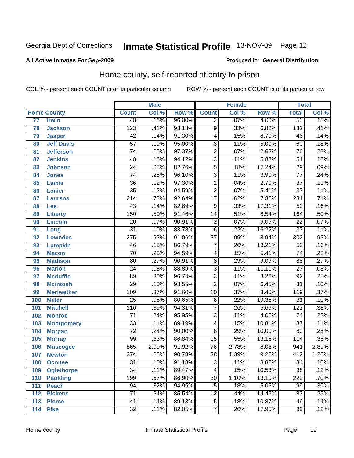#### **All Active Inmates For Sep-2009**

#### Produced for **General Distribution**

# Home county, self-reported at entry to prison

|     |                    |                  | <b>Male</b> |        |                 | <b>Female</b> |        | <b>Total</b>     |         |
|-----|--------------------|------------------|-------------|--------|-----------------|---------------|--------|------------------|---------|
|     | <b>Home County</b> | <b>Count</b>     | Col %       | Row %  | <b>Count</b>    | Col %         | Row %  | <b>Total</b>     | Col %   |
| 77  | <b>Irwin</b>       | 48               | .16%        | 96.00% | $\overline{2}$  | .07%          | 4.00%  | 50               | .15%    |
| 78  | <b>Jackson</b>     | $\overline{123}$ | .41%        | 93.18% | $\overline{9}$  | .33%          | 6.82%  | $\overline{132}$ | .41%    |
| 79  | <b>Jasper</b>      | $\overline{42}$  | .14%        | 91.30% | $\overline{4}$  | .15%          | 8.70%  | 46               | .14%    |
| 80  | <b>Jeff Davis</b>  | $\overline{57}$  | .19%        | 95.00% | $\overline{3}$  | .11%          | 5.00%  | 60               | .18%    |
| 81  | <b>Jefferson</b>   | $\overline{74}$  | .25%        | 97.37% | $\overline{2}$  | .07%          | 2.63%  | $\overline{76}$  | .23%    |
| 82  | <b>Jenkins</b>     | 48               | .16%        | 94.12% | $\overline{3}$  | .11%          | 5.88%  | $\overline{51}$  | .16%    |
| 83  | <b>Johnson</b>     | $\overline{24}$  | .08%        | 82.76% | $\overline{5}$  | .18%          | 17.24% | $\overline{29}$  | .09%    |
| 84  | <b>Jones</b>       | $\overline{74}$  | .25%        | 96.10% | $\overline{3}$  | .11%          | 3.90%  | $\overline{77}$  | .24%    |
| 85  | <b>Lamar</b>       | $\overline{36}$  | .12%        | 97.30% | $\mathbf 1$     | .04%          | 2.70%  | $\overline{37}$  | .11%    |
| 86  | <b>Lanier</b>      | $\overline{35}$  | .12%        | 94.59% | $\overline{2}$  | .07%          | 5.41%  | $\overline{37}$  | .11%    |
| 87  | <b>Laurens</b>     | $\overline{214}$ | .72%        | 92.64% | $\overline{17}$ | .62%          | 7.36%  | 231              | .71%    |
| 88  | Lee                | $\overline{43}$  | .14%        | 82.69% | $\overline{9}$  | .33%          | 17.31% | $\overline{52}$  | .16%    |
| 89  | <b>Liberty</b>     | 150              | .50%        | 91.46% | $\overline{14}$ | .51%          | 8.54%  | 164              | .50%    |
| 90  | <b>Lincoln</b>     | $\overline{20}$  | .07%        | 90.91% | $\overline{2}$  | .07%          | 9.09%  | $\overline{22}$  | $.07\%$ |
| 91  | Long               | $\overline{31}$  | .10%        | 83.78% | $\overline{6}$  | .22%          | 16.22% | $\overline{37}$  | .11%    |
| 92  | <b>Lowndes</b>     | $\overline{275}$ | .92%        | 91.06% | $\overline{27}$ | .99%          | 8.94%  | 302              | .93%    |
| 93  | <b>Lumpkin</b>     | $\overline{46}$  | .15%        | 86.79% | $\overline{7}$  | .26%          | 13.21% | $\overline{53}$  | .16%    |
| 94  | <b>Macon</b>       | $\overline{70}$  | .23%        | 94.59% | 4               | .15%          | 5.41%  | $\overline{74}$  | .23%    |
| 95  | <b>Madison</b>     | $\overline{80}$  | .27%        | 90.91% | $\overline{8}$  | .29%          | 9.09%  | $\overline{88}$  | .27%    |
| 96  | <b>Marion</b>      | $\overline{24}$  | .08%        | 88.89% | $\overline{3}$  | .11%          | 11.11% | $\overline{27}$  | .08%    |
| 97  | <b>Mcduffie</b>    | $\overline{89}$  | .30%        | 96.74% | $\overline{3}$  | .11%          | 3.26%  | $\overline{92}$  | .28%    |
| 98  | <b>Mcintosh</b>    | $\overline{29}$  | .10%        | 93.55% | $\overline{2}$  | .07%          | 6.45%  | $\overline{31}$  | .10%    |
| 99  | <b>Meriwether</b>  | 109              | .37%        | 91.60% | $\overline{10}$ | .37%          | 8.40%  | 119              | .37%    |
| 100 | <b>Miller</b>      | $\overline{25}$  | .08%        | 80.65% | $\,6$           | .22%          | 19.35% | $\overline{31}$  | .10%    |
| 101 | <b>Mitchell</b>    | $\overline{116}$ | .39%        | 94.31% | $\overline{7}$  | .26%          | 5.69%  | 123              | .38%    |
| 102 | <b>Monroe</b>      | $\overline{71}$  | .24%        | 95.95% | $\overline{3}$  | .11%          | 4.05%  | 74               | .23%    |
| 103 | <b>Montgomery</b>  | $\overline{33}$  | .11%        | 89.19% | 4               | .15%          | 10.81% | $\overline{37}$  | .11%    |
| 104 | <b>Morgan</b>      | $\overline{72}$  | .24%        | 90.00% | $\overline{8}$  | .29%          | 10.00% | 80               | .25%    |
| 105 | <b>Murray</b>      | $\overline{99}$  | .33%        | 86.84% | $\overline{15}$ | .55%          | 13.16% | 114              | .35%    |
| 106 | <b>Muscogee</b>    | 865              | 2.90%       | 91.92% | 76              | 2.78%         | 8.08%  | 941              | 2.89%   |
| 107 | <b>Newton</b>      | $\overline{374}$ | 1.25%       | 90.78% | $\overline{38}$ | 1.39%         | 9.22%  | 412              | 1.26%   |
| 108 | <b>Oconee</b>      | 31               | .10%        | 91.18% | 3               | .11%          | 8.82%  | 34               | .10%    |
| 109 | <b>Oglethorpe</b>  | $\overline{34}$  | .11%        | 89.47% | 4               | .15%          | 10.53% | $\overline{38}$  | .12%    |
| 110 | <b>Paulding</b>    | 199              | .67%        | 86.90% | $\overline{30}$ | 1.10%         | 13.10% | 229              | .70%    |
| 111 | <b>Peach</b>       | 94               | .32%        | 94.95% | 5               | .18%          | 5.05%  | 99               | $.30\%$ |
| 112 | <b>Pickens</b>     | 71               | .24%        | 85.54% | 12              | .44%          | 14.46% | 83               | .25%    |
| 113 | <b>Pierce</b>      | 41               | .14%        | 89.13% | 5               | .18%          | 10.87% | 46               | .14%    |
| 114 | <b>Pike</b>        | $\overline{32}$  | .11%        | 82.05% | $\overline{7}$  | .26%          | 17.95% | 39               | .12%    |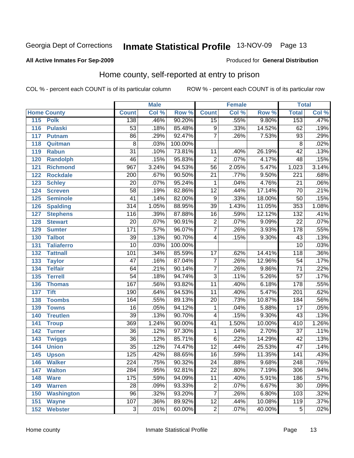#### **All Active Inmates For Sep-2009**

#### Produced for **General Distribution**

# Home county, self-reported at entry to prison

|     |                    |                  | <b>Male</b> |         |                 | <b>Female</b> |        | <b>Total</b>     |                            |
|-----|--------------------|------------------|-------------|---------|-----------------|---------------|--------|------------------|----------------------------|
|     | <b>Home County</b> | <b>Count</b>     | Col %       | Row %   | <b>Count</b>    | Col %         | Row %  | <b>Total</b>     | $\overline{\text{Col }^9}$ |
| 115 | <b>Polk</b>        | 138              | .46%        | 90.20%  | $\overline{15}$ | .55%          | 9.80%  | 153              | .47%                       |
| 116 | <b>Pulaski</b>     | $\overline{53}$  | .18%        | 85.48%  | 9               | .33%          | 14.52% | 62               | .19%                       |
| 117 | <b>Putnam</b>      | $\overline{86}$  | .29%        | 92.47%  | $\overline{7}$  | .26%          | 7.53%  | $\overline{93}$  | .29%                       |
| 118 | Quitman            | $\overline{8}$   | .03%        | 100.00% |                 |               |        | $\overline{8}$   | .02%                       |
| 119 | <b>Rabun</b>       | $\overline{31}$  | .10%        | 73.81%  | 11              | .40%          | 26.19% | $\overline{42}$  | .13%                       |
| 120 | <b>Randolph</b>    | 46               | .15%        | 95.83%  | $\overline{2}$  | .07%          | 4.17%  | 48               | .15%                       |
| 121 | <b>Richmond</b>    | $\overline{967}$ | 3.24%       | 94.53%  | $\overline{56}$ | 2.05%         | 5.47%  | 1,023            | 3.14%                      |
| 122 | <b>Rockdale</b>    | $\overline{200}$ | .67%        | 90.50%  | $\overline{21}$ | .77%          | 9.50%  | $\overline{221}$ | .68%                       |
| 123 | <b>Schley</b>      | $\overline{20}$  | .07%        | 95.24%  | 1               | .04%          | 4.76%  | $\overline{21}$  | .06%                       |
| 124 | <b>Screven</b>     | $\overline{58}$  | .19%        | 82.86%  | $\overline{12}$ | .44%          | 17.14% | $\overline{70}$  | .21%                       |
| 125 | <b>Seminole</b>    | $\overline{41}$  | .14%        | 82.00%  | $\overline{9}$  | .33%          | 18.00% | $\overline{50}$  | .15%                       |
| 126 | <b>Spalding</b>    | $\overline{314}$ | 1.05%       | 88.95%  | $\overline{39}$ | 1.43%         | 11.05% | 353              | 1.08%                      |
| 127 | <b>Stephens</b>    | 116              | .39%        | 87.88%  | 16              | .59%          | 12.12% | $\overline{132}$ | .41%                       |
| 128 | <b>Stewart</b>     | $\overline{20}$  | .07%        | 90.91%  | $\overline{2}$  | .07%          | 9.09%  | $\overline{22}$  | .07%                       |
| 129 | <b>Sumter</b>      | 171              | .57%        | 96.07%  | $\overline{7}$  | .26%          | 3.93%  | 178              | .55%                       |
| 130 | <b>Talbot</b>      | $\overline{39}$  | .13%        | 90.70%  | 4               | .15%          | 9.30%  | $\overline{43}$  | .13%                       |
| 131 | <b>Taliaferro</b>  | $\overline{10}$  | .03%        | 100.00% |                 |               |        | $\overline{10}$  | .03%                       |
| 132 | <b>Tattnall</b>    | 101              | .34%        | 85.59%  | $\overline{17}$ | .62%          | 14.41% | 118              | .36%                       |
| 133 | <b>Taylor</b>      | $\overline{47}$  | .16%        | 87.04%  | $\overline{7}$  | .26%          | 12.96% | $\overline{54}$  | .17%                       |
| 134 | <b>Telfair</b>     | 64               | .21%        | 90.14%  | $\overline{7}$  | .26%          | 9.86%  | $\overline{71}$  | .22%                       |
| 135 | <b>Terrell</b>     | $\overline{54}$  | .18%        | 94.74%  | $\overline{3}$  | .11%          | 5.26%  | $\overline{57}$  | .17%                       |
| 136 | <b>Thomas</b>      | $\overline{167}$ | .56%        | 93.82%  | $\overline{11}$ | .40%          | 6.18%  | 178              | .55%                       |
| 137 | <b>Tift</b>        | 190              | .64%        | 94.53%  | $\overline{11}$ | .40%          | 5.47%  | $\overline{201}$ | .62%                       |
| 138 | <b>Toombs</b>      | 164              | .55%        | 89.13%  | $\overline{20}$ | .73%          | 10.87% | 184              | .56%                       |
| 139 | <b>Towns</b>       | $\overline{16}$  | .05%        | 94.12%  | 1               | .04%          | 5.88%  | $\overline{17}$  | .05%                       |
| 140 | <b>Treutlen</b>    | $\overline{39}$  | .13%        | 90.70%  | 4               | .15%          | 9.30%  | $\overline{43}$  | .13%                       |
| 141 | <b>Troup</b>       | 369              | 1.24%       | 90.00%  | $\overline{41}$ | 1.50%         | 10.00% | 410              | 1.26%                      |
| 142 | <b>Turner</b>      | $\overline{36}$  | .12%        | 97.30%  | $\mathbf{1}$    | .04%          | 2.70%  | $\overline{37}$  | .11%                       |
| 143 | <b>Twiggs</b>      | $\overline{36}$  | .12%        | 85.71%  | $\overline{6}$  | .22%          | 14.29% | 42               | .13%                       |
| 144 | <b>Union</b>       | $\overline{35}$  | .12%        | 74.47%  | $\overline{12}$ | .44%          | 25.53% | $\overline{47}$  | .14%                       |
| 145 | <b>Upson</b>       | 125              | .42%        | 88.65%  | 16              | .59%          | 11.35% | 141              | .43%                       |
| 146 | <b>Walker</b>      | 224              | .75%        | 90.32%  | 24              | .88%          | 9.68%  | 248              | .76%                       |
| 147 | <b>Walton</b>      | $\overline{284}$ | .95%        | 92.81%  | $\overline{22}$ | .80%          | 7.19%  | 306              | .94%                       |
| 148 | <b>Ware</b>        | 175              | .59%        | 94.09%  | $\overline{11}$ | .40%          | 5.91%  | 186              | .57%                       |
| 149 | <b>Warren</b>      | $\overline{28}$  | .09%        | 93.33%  | $\overline{2}$  | .07%          | 6.67%  | $\overline{30}$  | .09%                       |
| 150 | <b>Washington</b>  | $\overline{96}$  | .32%        | 93.20%  | $\overline{7}$  | .26%          | 6.80%  | 103              | .32%                       |
| 151 | <b>Wayne</b>       | 107              | .36%        | 89.92%  | $\overline{12}$ | .44%          | 10.08% | 119              | .37%                       |
| 152 | <b>Webster</b>     | $\overline{3}$   | .01%        | 60.00%  | $\overline{2}$  | .07%          | 40.00% | $\overline{5}$   | .02%                       |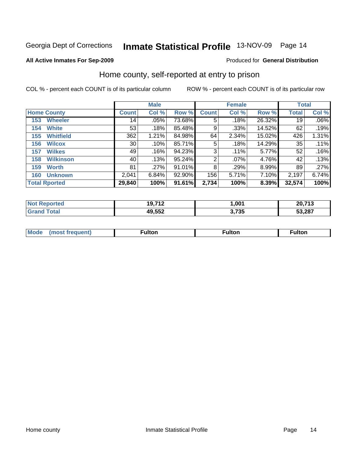#### **All Active Inmates For Sep-2009**

#### Produced for **General Distribution**

# Home county, self-reported at entry to prison

|     |                      | <b>Male</b>     |       |        | <b>Female</b> |         |        | <b>Total</b> |         |
|-----|----------------------|-----------------|-------|--------|---------------|---------|--------|--------------|---------|
|     | <b>Home County</b>   | <b>Count</b>    | Col % | Row %  | <b>Count</b>  | Col %   | Row %  | <b>Total</b> | Col %   |
| 153 | <b>Wheeler</b>       | 14              | .05%  | 73.68% | 5             | .18%    | 26.32% | 19           | $.06\%$ |
| 154 | <b>White</b>         | 53              | .18%  | 85.48% | 9             | .33%    | 14.52% | 62           | .19%    |
| 155 | <b>Whitfield</b>     | 362             | 1.21% | 84.98% | 64            | 2.34%   | 15.02% | 426          | 1.31%   |
| 156 | <b>Wilcox</b>        | 30 <sup>°</sup> | .10%  | 85.71% | 5             | .18%    | 14.29% | 35           | .11%    |
| 157 | <b>Wilkes</b>        | 49              | .16%  | 94.23% | 3             | .11%    | 5.77%  | 52           | .16%    |
| 158 | <b>Wilkinson</b>     | 40              | .13%  | 95.24% | 2             | $.07\%$ | 4.76%  | 42           | .13%    |
| 159 | <b>Worth</b>         | 81              | .27%  | 91.01% | 8             | .29%    | 8.99%  | 89           | .27%    |
| 160 | <b>Unknown</b>       | 2,041           | 6.84% | 92.90% | 156           | 5.71%   | 7.10%  | 2,197        | 6.74%   |
|     | <b>Total Rported</b> | 29,840          | 100%  | 91.61% | 2,734         | 100%    | 8.39%  | 32,574       | 100%    |

| eported<br>N <sub>01</sub> | 19,712 | ,001           | 20,713 |
|----------------------------|--------|----------------|--------|
| ™otaì                      | 49,552 | フスト<br>J, I JJ | 53,287 |

| <b>Mo</b> | . . I 4.<br>unon |  |
|-----------|------------------|--|
|           |                  |  |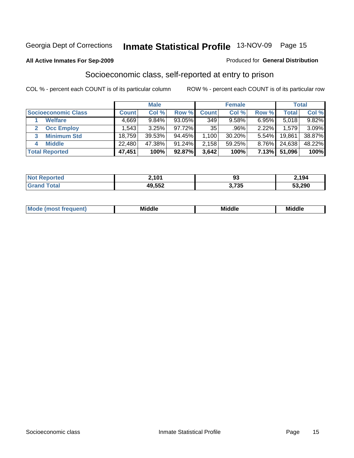#### **All Active Inmates For Sep-2009**

#### Produced for **General Distribution**

# Socioeconomic class, self-reported at entry to prison

|                            | <b>Male</b>       |          |           |              | <b>Female</b> | <b>Total</b> |        |        |
|----------------------------|-------------------|----------|-----------|--------------|---------------|--------------|--------|--------|
| <b>Socioeconomic Class</b> | <b>Count</b>      | Col %    | Row %     | <b>Count</b> | Col %         | Row %        | Total, | Col %  |
| <b>Welfare</b>             | 4,669             | $9.84\%$ | 93.05%    | 349          | $9.58\%$      | 6.95%        | 5,018  | 9.82%  |
| <b>Occ Employ</b><br>2     | .543 <sup>1</sup> | 3.25%    | $97.72\%$ | 35           | $.96\%$       | 2.22%        | 1,579  | 3.09%  |
| <b>Minimum Std</b>         | 18,759            | 39.53%   | 94.45%    | 1,100        | $30.20\%$     | 5.54%        | 19,861 | 38.87% |
| <b>Middle</b><br>4         | 22,480            | 47.38%   | $91.24\%$ | 2,158        | 59.25%        | 8.76%        | 24,638 | 48.22% |
| <b>Total Reported</b>      | 47,451            | 100%     | 92.87%    | 3,642        | 100%          | 7.13%        | 51,096 | 100%   |

| teo<br>NO    | 2,101  | O.<br>ນບ           | 2,194  |
|--------------|--------|--------------------|--------|
| `otal<br>Gr: | 49,552 | つ フクエ<br>כט ו<br>. | 53,290 |

| īМ<br>NA:<br>Mi<br>ML<br>пк |
|-----------------------------|
|-----------------------------|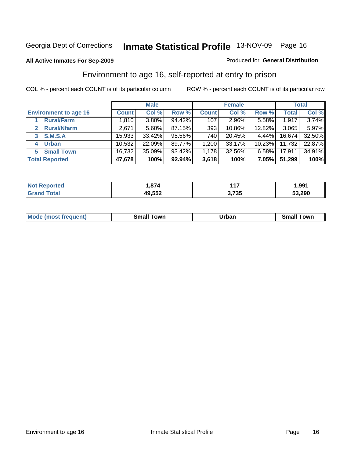#### **All Active Inmates For Sep-2009**

#### Produced for **General Distribution**

# Environment to age 16, self-reported at entry to prison

|                                      |              | <b>Male</b> |        |              | <b>Female</b> |           |              | <b>Total</b> |
|--------------------------------------|--------------|-------------|--------|--------------|---------------|-----------|--------------|--------------|
| <b>Environment to age 16</b>         | <b>Count</b> | Col %       | Row %  | <b>Count</b> | Col %         | Row %     | <b>Total</b> | Col %        |
| <b>Rural/Farm</b>                    | 1,810        | $3.80\%$    | 94.42% | 107          | 2.96%         | $5.58\%$  | 1,917        | 3.74%        |
| <b>Rural/Nfarm</b><br>$\overline{2}$ | 2,671        | 5.60%       | 87.15% | 393          | 10.86%        | 12.82%    | 3,065        | 5.97%        |
| <b>S.M.S.A</b><br>3                  | 15,933       | 33.42%      | 95.56% | 740          | 20.45%        | $4.44\%$  | 16,674       | 32.50%       |
| <b>Urban</b><br>4                    | 10,532       | 22.09%      | 89.77% | 1,200        | 33.17%        | $10.23\%$ | 11,732       | 22.87%       |
| <b>Small Town</b><br>5               | 16,732       | 35.09%      | 93.42% | 1,178        | 32.56%        | $6.58\%$  | 17,911       | 34.91%       |
| <b>Total Reported</b>                | 47,678       | 100%        | 92.94% | 3,618        | 100%          | $7.05\%$  | 51,299       | 100%         |

| <b>rted</b><br>' NOT | 874, ا | $44-$<br>. | 991, ا |
|----------------------|--------|------------|--------|
|                      | 49,552 | 3,735      | 53,290 |

| <b>Mode</b><br>. frequent)<br>nst | own<br>Small<br>_____ | Jrban<br>_____ | ⊺own<br>าลแ |
|-----------------------------------|-----------------------|----------------|-------------|
|                                   |                       |                |             |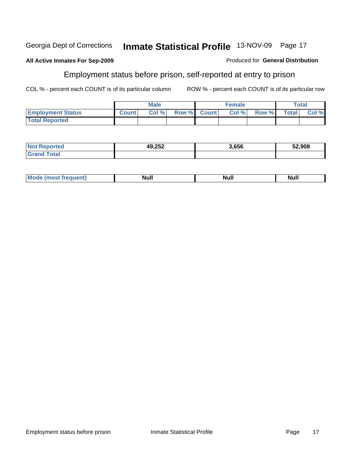#### **All Active Inmates For Sep-2009**

# Employment status before prison, self-reported at entry to prison

COL % - percent each COUNT is of its particular column ROW % - percent each COUNT is of its particular row

Produced for **General Distribution**

|                          |              | Male  |             | <b>Female</b> |       |              | Total |
|--------------------------|--------------|-------|-------------|---------------|-------|--------------|-------|
| <b>Employment Status</b> | <b>Count</b> | Col % | Row % Count | Col %         | Row % | <b>Total</b> | Col % |
| <b>Total Reported</b>    |              |       |             |               |       |              |       |

| <b>Not</b><br>orted | AQ 252<br>19,ZJZ | <u>.656</u> | 52,908 |
|---------------------|------------------|-------------|--------|
| iotal<br>. Grat     |                  |             |        |

| ' Mo<br>. .<br><b>Null</b><br><b>anti</b> anti<br>lull<br>Nul. |
|----------------------------------------------------------------|
|----------------------------------------------------------------|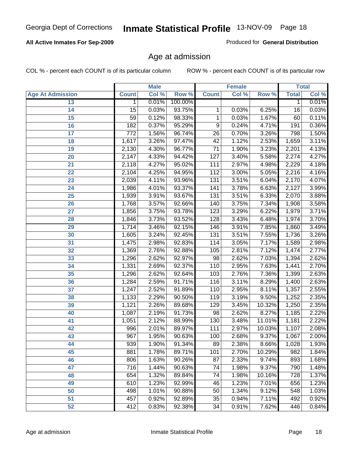## **All Active Inmates For Sep-2009**

Produced for **General Distribution**

# Age at admission

|                         | <b>Male</b>      |       | <b>Female</b> |                  |       | <b>Total</b> |              |       |
|-------------------------|------------------|-------|---------------|------------------|-------|--------------|--------------|-------|
| <b>Age At Admission</b> | <b>Count</b>     | Col % | Row %         | <b>Count</b>     | Col % | Row %        | <b>Total</b> | Col % |
| 13                      | 1                | 0.01% | 100.00%       |                  |       |              | 1            | 0.01% |
| 14                      | 15               | 0.03% | 93.75%        | 1                | 0.03% | 6.25%        | 16           | 0.03% |
| 15                      | $\overline{59}$  | 0.12% | 98.33%        | 1                | 0.03% | 1.67%        | 60           | 0.11% |
| 16                      | 182              | 0.37% | 95.29%        | $\overline{9}$   | 0.24% | 4.71%        | 191          | 0.36% |
| $\overline{17}$         | $\overline{772}$ | 1.56% | 96.74%        | $\overline{26}$  | 0.70% | 3.26%        | 798          | 1.50% |
| 18                      | 1,617            | 3.26% | 97.47%        | 42               | 1.12% | 2.53%        | 1,659        | 3.11% |
| 19                      | 2,130            | 4.30% | 96.77%        | $\overline{71}$  | 1.90% | 3.23%        | 2,201        | 4.13% |
| 20                      | 2,147            | 4.33% | 94.42%        | $\overline{127}$ | 3.40% | 5.58%        | 2,274        | 4.27% |
| 21                      | 2,118            | 4.27% | 95.02%        | 111              | 2.97% | 4.98%        | 2,229        | 4.18% |
| 22                      | 2,104            | 4.25% | 94.95%        | 112              | 3.00% | 5.05%        | 2,216        | 4.16% |
| 23                      | 2,039            | 4.11% | 93.96%        | 131              | 3.51% | 6.04%        | 2,170        | 4.07% |
| 24                      | 1,986            | 4.01% | 93.37%        | 141              | 3.78% | 6.63%        | 2,127        | 3.99% |
| $\overline{25}$         | 1,939            | 3.91% | 93.67%        | $\overline{131}$ | 3.51% | 6.33%        | 2,070        | 3.88% |
| 26                      | 1,768            | 3.57% | 92.66%        | 140              | 3.75% | 7.34%        | 1,908        | 3.58% |
| 27                      | 1,856            | 3.75% | 93.78%        | 123              | 3.29% | 6.22%        | 1,979        | 3.71% |
| 28                      | 1,846            | 3.73% | 93.52%        | 128              | 3.43% | 6.48%        | 1,974        | 3.70% |
| 29                      | 1,714            | 3.46% | 92.15%        | 146              | 3.91% | 7.85%        | 1,860        | 3.49% |
| 30                      | 1,605            | 3.24% | 92.45%        | 131              | 3.51% | 7.55%        | 1,736        | 3.26% |
| 31                      | 1,475            | 2.98% | 92.83%        | 114              | 3.05% | 7.17%        | 1,589        | 2.98% |
| 32                      | 1,369            | 2.76% | 92.88%        | 105              | 2.81% | 7.12%        | 1,474        | 2.77% |
| 33                      | 1,296            | 2.62% | 92.97%        | $\overline{98}$  | 2.62% | 7.03%        | 1,394        | 2.62% |
| 34                      | 1,331            | 2.69% | 92.37%        | 110              | 2.95% | 7.63%        | 1,441        | 2.70% |
| 35                      | 1,296            | 2.62% | 92.64%        | 103              | 2.76% | 7.36%        | 1,399        | 2.63% |
| 36                      | 1,284            | 2.59% | 91.71%        | 116              | 3.11% | 8.29%        | 1,400        | 2.63% |
| 37                      | 1,247            | 2.52% | 91.89%        | 110              | 2.95% | 8.11%        | 1,357        | 2.55% |
| 38                      | 1,133            | 2.29% | 90.50%        | 119              | 3.19% | 9.50%        | 1,252        | 2.35% |
| 39                      | 1,121            | 2.26% | 89.68%        | 129              | 3.45% | 10.32%       | 1,250        | 2.35% |
| 40                      | 1,087            | 2.19% | 91.73%        | 98               | 2.62% | 8.27%        | 1,185        | 2.22% |
| 41                      | 1,051            | 2.12% | 88.99%        | 130              | 3.48% | 11.01%       | 1,181        | 2.22% |
| 42                      | 996              | 2.01% | 89.97%        | 111              | 2.97% | 10.03%       | 1,107        | 2.08% |
| 43                      | 967              | 1.95% | 90.63%        | 100              | 2.68% | 9.37%        | 1,067        | 2.00% |
| 44                      | 939              | 1.90% | 91.34%        | 89               | 2.38% | 8.66%        | 1,028        | 1.93% |
| 45                      | 881              | 1.78% | 89.71%        | 101              | 2.70% | 10.29%       | 982          | 1.84% |
| 46                      | 806              | 1.63% | 90.26%        | 87               | 2.33% | 9.74%        | 893          | 1.68% |
| 47                      | $\overline{716}$ | 1.44% | 90.63%        | $\overline{74}$  | 1.98% | 9.37%        | 790          | 1.48% |
| 48                      | 654              | 1.32% | 89.84%        | 74               | 1.98% | 10.16%       | 728          | 1.37% |
| 49                      | 610              | 1.23% | 92.99%        | 46               | 1.23% | 7.01%        | 656          | 1.23% |
| 50                      | 498              | 1.01% | 90.88%        | 50               | 1.34% | 9.12%        | 548          | 1.03% |
| 51                      | 457              | 0.92% | 92.89%        | $\overline{35}$  | 0.94% | 7.11%        | 492          | 0.92% |
| 52                      | 412              | 0.83% | 92.38%        | 34               | 0.91% | 7.62%        | 446          | 0.84% |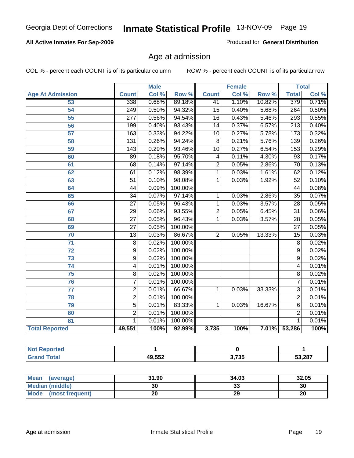## **All Active Inmates For Sep-2009**

Produced for **General Distribution**

# Age at admission

|                         |                  | <b>Male</b> |                  |                         | <b>Female</b> |        |                  | <b>Total</b> |
|-------------------------|------------------|-------------|------------------|-------------------------|---------------|--------|------------------|--------------|
| <b>Age At Admission</b> | <b>Count</b>     | Col %       | Row <sup>%</sup> | <b>Count</b>            | Col %         | Row %  | <b>Total</b>     | Col %        |
| 53                      | 338              | 0.68%       | 89.18%           | 41                      | 1.10%         | 10.82% | 379              | 0.71%        |
| $\overline{54}$         | 249              | 0.50%       | 94.32%           | $\overline{15}$         | 0.40%         | 5.68%  | $\overline{264}$ | 0.50%        |
| 55                      | $\overline{277}$ | 0.56%       | 94.54%           | $\overline{16}$         | 0.43%         | 5.46%  | 293              | 0.55%        |
| $\overline{56}$         | 199              | 0.40%       | 93.43%           | $\overline{14}$         | 0.37%         | 6.57%  | $\overline{213}$ | 0.40%        |
| 57                      | 163              | 0.33%       | 94.22%           | $\overline{10}$         | 0.27%         | 5.78%  | $\overline{173}$ | 0.32%        |
| 58                      | 131              | 0.26%       | 94.24%           | $\overline{8}$          | 0.21%         | 5.76%  | 139              | 0.26%        |
| 59                      | 143              | 0.29%       | 93.46%           | $\overline{10}$         | 0.27%         | 6.54%  | 153              | 0.29%        |
| 60                      | $\overline{89}$  | 0.18%       | 95.70%           | $\overline{\mathbf{4}}$ | 0.11%         | 4.30%  | $\overline{93}$  | 0.17%        |
| 61                      | $\overline{68}$  | 0.14%       | 97.14%           | $\overline{2}$          | 0.05%         | 2.86%  | $\overline{70}$  | 0.13%        |
| 62                      | 61               | 0.12%       | 98.39%           | 1                       | 0.03%         | 1.61%  | 62               | 0.12%        |
| 63                      | $\overline{51}$  | 0.10%       | 98.08%           | 1                       | 0.03%         | 1.92%  | $\overline{52}$  | 0.10%        |
| 64                      | 44               | 0.09%       | 100.00%          |                         |               |        | 44               | 0.08%        |
| 65                      | $\overline{34}$  | 0.07%       | 97.14%           | 1                       | 0.03%         | 2.86%  | $\overline{35}$  | 0.07%        |
| 66                      | $\overline{27}$  | 0.05%       | 96.43%           | $\overline{1}$          | 0.03%         | 3.57%  | $\overline{28}$  | 0.05%        |
| 67                      | $\overline{29}$  | 0.06%       | 93.55%           | $\overline{2}$          | 0.05%         | 6.45%  | $\overline{31}$  | 0.06%        |
| 68                      | $\overline{27}$  | 0.05%       | 96.43%           | 1                       | 0.03%         | 3.57%  | $\overline{28}$  | 0.05%        |
| 69                      | $\overline{27}$  | 0.05%       | 100.00%          |                         |               |        | $\overline{27}$  | 0.05%        |
| $\overline{70}$         | $\overline{13}$  | 0.03%       | 86.67%           | $\overline{2}$          | 0.05%         | 13.33% | $\overline{15}$  | 0.03%        |
| 71                      | $\overline{8}$   | 0.02%       | 100.00%          |                         |               |        | $\overline{8}$   | 0.02%        |
| $\overline{72}$         | $\overline{9}$   | 0.02%       | 100.00%          |                         |               |        | $\overline{9}$   | 0.02%        |
| $\overline{73}$         | $\overline{9}$   | 0.02%       | 100.00%          |                         |               |        | $\overline{9}$   | 0.02%        |
| $\overline{74}$         | $\overline{4}$   | 0.01%       | 100.00%          |                         |               |        | 4                | 0.01%        |
| 75                      | $\overline{8}$   | 0.02%       | 100.00%          |                         |               |        | $\overline{8}$   | 0.02%        |
| 76                      | $\overline{7}$   | 0.01%       | 100.00%          |                         |               |        | 7                | 0.01%        |
| $\overline{77}$         | $\overline{2}$   | 0.01%       | 66.67%           | 1                       | 0.03%         | 33.33% | $\overline{3}$   | 0.01%        |
| 78                      | $\overline{2}$   | 0.01%       | 100.00%          |                         |               |        | $\overline{2}$   | 0.01%        |
| 79                      | $\overline{5}$   | 0.01%       | 83.33%           | 1                       | 0.03%         | 16.67% | 6                | 0.01%        |
| 80                      | $\overline{2}$   | 0.01%       | 100.00%          |                         |               |        | $\overline{2}$   | 0.01%        |
| 81                      | 1                | 0.01%       | 100.00%          |                         |               |        | 1                | 0.01%        |
| <b>Total Reported</b>   | 49,551           | 100%        | 92.99%           | 3,735                   | 100%          |        | 7.01% 53,286     | 100%         |

| тео |        |             |               |
|-----|--------|-------------|---------------|
|     | 49,552 | 0.705<br>ູບ | 53.287<br>JJ. |

| Mean (average)       | 31.90 | 34.03 | 32.05 |
|----------------------|-------|-------|-------|
| Median (middle)      |       | 33    | 30    |
| Mode (most frequent) | 20    | 29    | 20    |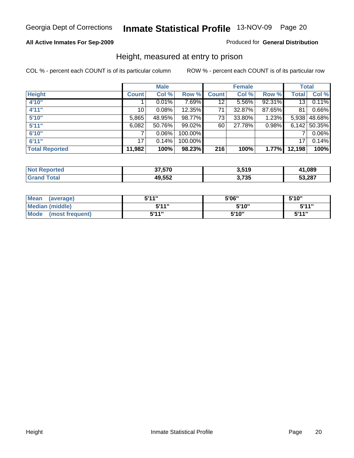### **All Active Inmates For Sep-2009**

Produced for **General Distribution**

# Height, measured at entry to prison

|                       |              | <b>Male</b> |         |              | <b>Female</b> |        |                 | <b>Total</b>   |
|-----------------------|--------------|-------------|---------|--------------|---------------|--------|-----------------|----------------|
| <b>Height</b>         | <b>Count</b> | Col %       | Row %   | <b>Count</b> | Col %         | Row %  | <b>Total</b>    | Col %          |
| 4'10"                 |              | 0.01%       | 7.69%   | 12           | 5.56%         | 92.31% | 13 <sup>1</sup> | 0.11%          |
| 4'11''                | 10           | 0.08%       | 12.35%  | 71           | 32.87%        | 87.65% | 81              | 0.66%          |
| 5'10''                | 5,865        | 48.95%      | 98.77%  | 73           | $33.80\%$     | 1.23%  |                 | 5,938 48.68%   |
| 5'11''                | 6,082        | 50.76%      | 99.02%  | 60           | 27.78%        | 0.98%  |                 | $6,142$ 50.35% |
| 6'10''                | 7            | $0.06\%$    | 100.00% |              |               |        | 7               | 0.06%          |
| 6'11''                | 17           | 0.14%       | 100.00% |              |               |        | 17              | 0.14%          |
| <b>Total Reported</b> | 11,982       | 100%        | 98.23%  | 216          | 100%          | 1.77%  | 12,198          | 100%           |

| NA<br>τeι | 37.570 | 2 510<br>J.J I J | 41.089 |
|-----------|--------|------------------|--------|
|           | 49,552 | 3,735            | 53,287 |

| <b>Mean</b><br>(average)       | 544"  | 5'06" | 5'10'' |
|--------------------------------|-------|-------|--------|
| Median (middle)                | 544"  | 5'10" | 5'11"  |
| <b>Mode</b><br>(most frequent) | 5'11" | 5'10" | 544"   |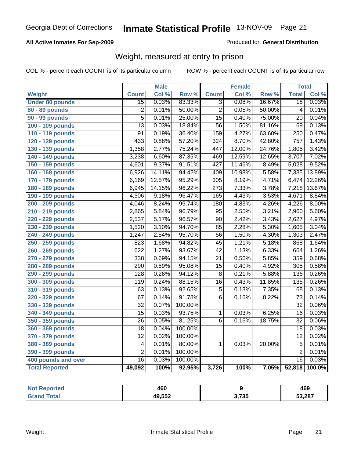### **All Active Inmates For Sep-2009**

### Produced for **General Distribution**

# Weight, measured at entry to prison

|                        |                         | <b>Male</b> |                  |                  | <b>Female</b> |        | <b>Total</b>    |        |
|------------------------|-------------------------|-------------|------------------|------------------|---------------|--------|-----------------|--------|
| Weight                 | <b>Count</b>            | Col %       | Row <sup>%</sup> | <b>Count</b>     | Col %         | Row %  | <b>Total</b>    | Col %  |
| <b>Under 80 pounds</b> | $\overline{15}$         | 0.03%       | 83.33%           | $\overline{3}$   | 0.08%         | 16.67% | $\overline{18}$ | 0.03%  |
| 80 - 89 pounds         | $\overline{2}$          | 0.01%       | 50.00%           | $\overline{2}$   | 0.05%         | 50.00% | $\overline{4}$  | 0.01%  |
| <b>90 - 99 pounds</b>  | $\overline{5}$          | 0.01%       | 25.00%           | $\overline{15}$  | 0.40%         | 75.00% | $\overline{20}$ | 0.04%  |
| 100 - 109 pounds       | $\overline{13}$         | 0.03%       | 18.84%           | $\overline{56}$  | 1.50%         | 81.16% | 69              | 0.13%  |
| 110 - 119 pounds       | $\overline{91}$         | 0.19%       | 36.40%           | 159              | 4.27%         | 63.60% | 250             | 0.47%  |
| 120 - 129 pounds       | 433                     | 0.88%       | 57.20%           | $\overline{324}$ | 8.70%         | 42.80% | 757             | 1.43%  |
| 130 - 139 pounds       | 1,358                   | 2.77%       | 75.24%           | 447              | 12.00%        | 24.76% | 1,805           | 3.42%  |
| 140 - 149 pounds       | 3,238                   | 6.60%       | 87.35%           | 469              | 12.59%        | 12.65% | 3,707           | 7.02%  |
| 150 - 159 pounds       | 4,601                   | 9.37%       | 91.51%           | 427              | 11.46%        | 8.49%  | 5,028           | 9.52%  |
| 160 - 169 pounds       | 6,926                   | 14.11%      | 94.42%           | 409              | 10.98%        | 5.58%  | 7,335           | 13.89% |
| 170 - 179 pounds       | 6,169                   | 12.57%      | 95.29%           | $\overline{305}$ | 8.19%         | 4.71%  | 6,474           | 12.26% |
| 180 - 189 pounds       | 6,945                   | 14.15%      | 96.22%           | $\overline{273}$ | 7.33%         | 3.78%  | 7,218           | 13.67% |
| 190 - 199 pounds       | 4,506                   | 9.18%       | 96.47%           | 165              | 4.43%         | 3.53%  | 4,671           | 8.84%  |
| 200 - 209 pounds       | 4,046                   | 8.24%       | 95.74%           | $\overline{180}$ | 4.83%         | 4.26%  | 4,226           | 8.00%  |
| 210 - 219 pounds       | 2,865                   | 5.84%       | 96.79%           | $\overline{95}$  | 2.55%         | 3.21%  | 2,960           | 5.60%  |
| 220 - 229 pounds       | 2,537                   | 5.17%       | 96.57%           | $\overline{90}$  | 2.42%         | 3.43%  | 2,627           | 4.97%  |
| 230 - 239 pounds       | 1,520                   | 3.10%       | 94.70%           | $\overline{85}$  | 2.28%         | 5.30%  | 1,605           | 3.04%  |
| 240 - 249 pounds       | 1,247                   | 2.54%       | 95.70%           | $\overline{56}$  | 1.50%         | 4.30%  | 1,303           | 2.47%  |
| 250 - 259 pounds       | 823                     | 1.68%       | 94.82%           | $\overline{45}$  | 1.21%         | 5.18%  | 868             | 1.64%  |
| 260 - 269 pounds       | 622                     | 1.27%       | 93.67%           | $\overline{42}$  | 1.13%         | 6.33%  | 664             | 1.26%  |
| 270 - 279 pounds       | 338                     | 0.69%       | 94.15%           | $\overline{21}$  | 0.56%         | 5.85%  | 359             | 0.68%  |
| 280 - 289 pounds       | 290                     | 0.59%       | 95.08%           | $\overline{15}$  | 0.40%         | 4.92%  | 305             | 0.58%  |
| 290 - 299 pounds       | 128                     | 0.26%       | 94.12%           | $\overline{8}$   | 0.21%         | 5.88%  | 136             | 0.26%  |
| 300 - 309 pounds       | 119                     | 0.24%       | 88.15%           | $\overline{16}$  | 0.43%         | 11.85% | 135             | 0.26%  |
| 310 - 319 pounds       | 63                      | 0.13%       | 92.65%           | 5                | 0.13%         | 7.35%  | 68              | 0.13%  |
| 320 - 329 pounds       | 67                      | 0.14%       | 91.78%           | $\overline{6}$   | 0.16%         | 8.22%  | 73              | 0.14%  |
| 330 - 339 pounds       | 32                      | 0.07%       | 100.00%          |                  |               |        | $\overline{32}$ | 0.06%  |
| 340 - 349 pounds       | 15                      | 0.03%       | 93.75%           | $\mathbf{1}$     | 0.03%         | 6.25%  | 16              | 0.03%  |
| 350 - 359 pounds       | $\overline{26}$         | 0.05%       | 81.25%           | $\overline{6}$   | 0.16%         | 18.75% | $\overline{32}$ | 0.06%  |
| 360 - 369 pounds       | $\overline{18}$         | 0.04%       | 100.00%          |                  |               |        | $\overline{18}$ | 0.03%  |
| 370 - 379 pounds       | $\overline{12}$         | 0.02%       | 100.00%          |                  |               |        | $\overline{12}$ | 0.02%  |
| 380 - 389 pounds       | $\overline{\mathbf{4}}$ | 0.01%       | 80.00%           | 1                | 0.03%         | 20.00% | $\overline{5}$  | 0.01%  |
| 390 - 399 pounds       | $\overline{2}$          | 0.01%       | 100.00%          |                  |               |        | $\overline{2}$  | 0.01%  |
| 400 pounds and over    | $\overline{16}$         | 0.03%       | 100.00%          |                  |               |        | $\overline{16}$ | 0.03%  |
| <b>Total Reported</b>  | 49,092                  | 100%        | 92.95%           | 3,726            | 100%          | 7.05%  | 52,818          | 100.0% |

| orted<br><b>NO</b> | 460    |      | 469    |
|--------------------|--------|------|--------|
| 'ota.              | 49,552 | .735 | 53,287 |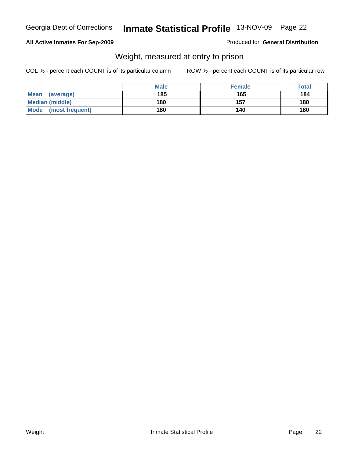#### **All Active Inmates For Sep-2009**

Produced for **General Distribution**

# Weight, measured at entry to prison

|                         | <b>Male</b> | <b>Female</b> | Total |
|-------------------------|-------------|---------------|-------|
| Mean<br>(average)       | 185         | 165           | 184   |
| <b>Median (middle)</b>  | 180         | 157           | 180   |
| Mode<br>(most frequent) | 180         | 140           | 180   |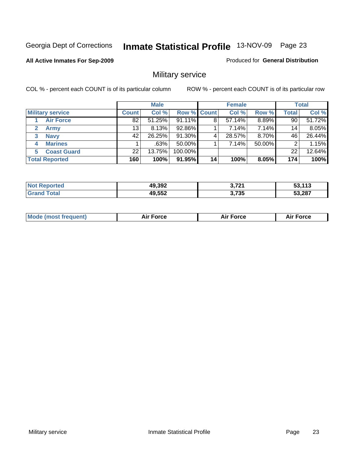#### **All Active Inmates For Sep-2009**

#### Produced for **General Distribution**

# Military service

|                             |              | <b>Male</b> |             |    | <b>Female</b> |          |       | <b>Total</b> |
|-----------------------------|--------------|-------------|-------------|----|---------------|----------|-------|--------------|
| <b>Military service</b>     | <b>Count</b> | Col %       | Row % Count |    | Col %         | Row %    | Total | Col %        |
| <b>Air Force</b>            | 82           | 51.25%      | 91.11%      | 8  | 57.14%        | 8.89%    | 90    | 51.72%       |
| <b>Army</b><br>$\mathbf{2}$ | 13           | 8.13%       | 92.86%      |    | 7.14%         | 7.14%    | 14    | 8.05%        |
| <b>Navy</b><br>3            | 42           | 26.25%      | 91.30%      | 4  | 28.57%        | $8.70\%$ | 46    | 26.44%       |
| <b>Marines</b><br>4         |              | .63%        | 50.00%      |    | 7.14%         | 50.00%   | 2     | 1.15%        |
| <b>Coast Guard</b>          | 22           | 13.75%      | 100.00%     |    |               |          | 22    | 12.64%       |
| <b>Total Reported</b>       | 160          | 100%        | 91.95%      | 14 | 100%          | 8.05%    | 174   | 100%         |

| <b>Not Reported</b>      | 49,392 | גרד כ<br>J, IZ | 53,113 |
|--------------------------|--------|----------------|--------|
| $\tau$ otal<br>' Grand . | 49,552 | 3,735          | 53,287 |

| M | $\sim$ | $\cdots$<br>l Ct |
|---|--------|------------------|
|   |        |                  |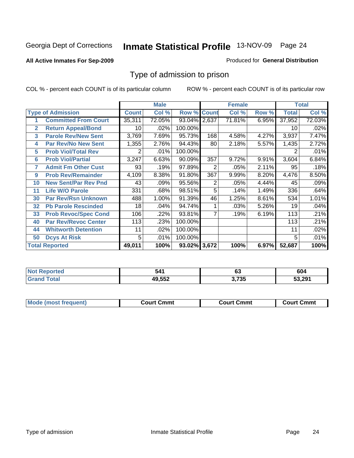#### **All Active Inmates For Sep-2009**

#### Produced for **General Distribution**

# Type of admission to prison

|                |                             |              | <b>Male</b> |                    |     | <b>Female</b> |       |              | <b>Total</b> |
|----------------|-----------------------------|--------------|-------------|--------------------|-----|---------------|-------|--------------|--------------|
|                | <b>Type of Admission</b>    | <b>Count</b> | Col %       | <b>Row % Count</b> |     | Col %         | Row % | <b>Total</b> | Col %        |
|                | <b>Committed From Court</b> | 35,311       | 72.05%      | 93.04% 2,637       |     | 71.81%        | 6.95% | 37,952       | 72.03%       |
| $\overline{2}$ | <b>Return Appeal/Bond</b>   | 10           | .02%        | 100.00%            |     |               |       | 10           | .02%         |
| 3              | <b>Parole Rev/New Sent</b>  | 3,769        | 7.69%       | 95.73%             | 168 | 4.58%         | 4.27% | 3,937        | 7.47%        |
| 4              | <b>Par Rev/No New Sent</b>  | 1,355        | 2.76%       | 94.43%             | 80  | 2.18%         | 5.57% | 1,435        | 2.72%        |
| 5              | <b>Prob Viol/Total Rev</b>  | 2            | .01%        | 100.00%            |     |               |       | 2            | .01%         |
| 6              | <b>Prob Viol/Partial</b>    | 3,247        | 6.63%       | 90.09%             | 357 | 9.72%         | 9.91% | 3,604        | 6.84%        |
| 7              | <b>Admit Fm Other Cust</b>  | 93           | .19%        | 97.89%             | 2   | .05%          | 2.11% | 95           | .18%         |
| 9              | <b>Prob Rev/Remainder</b>   | 4,109        | 8.38%       | 91.80%             | 367 | 9.99%         | 8.20% | 4,476        | 8.50%        |
| 10             | <b>New Sent/Par Rev Pnd</b> | 43           | .09%        | 95.56%             | 2   | .05%          | 4.44% | 45           | .09%         |
| 11             | <b>Life W/O Parole</b>      | 331          | .68%        | 98.51%             | 5   | .14%          | 1.49% | 336          | .64%         |
| 30             | <b>Par Rev/Rsn Unknown</b>  | 488          | 1.00%       | 91.39%             | 46  | 1.25%         | 8.61% | 534          | 1.01%        |
| 32             | <b>Pb Parole Rescinded</b>  | 18           | .04%        | 94.74%             |     | .03%          | 5.26% | 19           | .04%         |
| 33             | <b>Prob Revoc/Spec Cond</b> | 106          | .22%        | 93.81%             |     | .19%          | 6.19% | 113          | .21%         |
| 40             | <b>Par Rev/Revoc Center</b> | 113          | .23%        | 100.00%            |     |               |       | 113          | .21%         |
| 44             | <b>Whitworth Detention</b>  | 11           | .02%        | 100.00%            |     |               |       | 11           | .02%         |
| 50             | <b>Dcys At Risk</b>         | 5            | .01%        | 100.00%            |     |               |       | 5            | .01%         |
|                | <b>Total Reported</b>       | 49,011       | 100%        | 93.02% 3,672       |     | 100%          | 6.97% | 52,687       | 100%         |

| NO.<br>onted |        | ~~<br>სა      | 604    |
|--------------|--------|---------------|--------|
|              | 10 552 | っ フっこ<br>/ აე | 53.291 |

| <b>Mou</b><br>(most frequent) | Court Cmmt | Cmmt<br>∴ourt ( | ` Cmmt<br>:ourt |
|-------------------------------|------------|-----------------|-----------------|
|                               |            |                 |                 |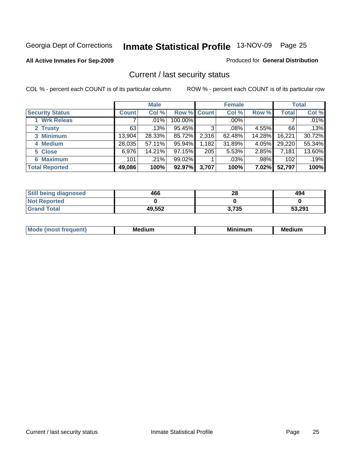#### **All Active Inmates For Sep-2009**

#### Produced for **General Distribution**

# Current / last security status

|                        |         | <b>Male</b> |             |       | <b>Female</b> |          |              | <b>Total</b> |
|------------------------|---------|-------------|-------------|-------|---------------|----------|--------------|--------------|
| <b>Security Status</b> | Count l | Col %       | Row % Count |       | Col %         | Row %    | <b>Total</b> | Col %        |
| 1 Wrk Releas           |         | $.01\%$     | 100.00%     |       | $.00\%$       |          |              | $.01\%$      |
| 2 Trusty               | 63      | .13%        | 95.45%      | 3     | .08%          | 4.55%    | 66           | .13%         |
| 3 Minimum              | 13,904  | 28.33%      | 85.72%      | 2,316 | 62.48%        | 14.28%   | 16,221       | 30.72%       |
| 4 Medium               | 28,035  | 57.11%      | 95.94%      | 1,182 | 31.89%        | 4.05%    | 29,220       | 55.34%       |
| 5 Close                | 6.976   | 14.21%      | 97.15%      | 205   | 5.53%         | 2.85%    | 7,181        | 13.60%       |
| <b>6 Maximum</b>       | 101     | $.21\%$     | 99.02%      |       | $.03\%$       | .98%     | 102          | .19%         |
| <b>Total Reported</b>  | 49,086  | 100%        | 92.97%      | 3,707 | 100%          | $7.02\%$ | 52,797       | 100%         |

| <b>Still being diagnosed</b> | 466    | 28    | 494    |
|------------------------------|--------|-------|--------|
| <b>Not Reported</b>          |        |       |        |
| <b>Srand Total</b>           | 49,552 | 3,735 | 53,291 |

| M | в.<br><br>. <b>.</b> . | ---<br>.<br>JI II | . .<br><b>ALL 1979</b><br>MC |
|---|------------------------|-------------------|------------------------------|
|   |                        |                   |                              |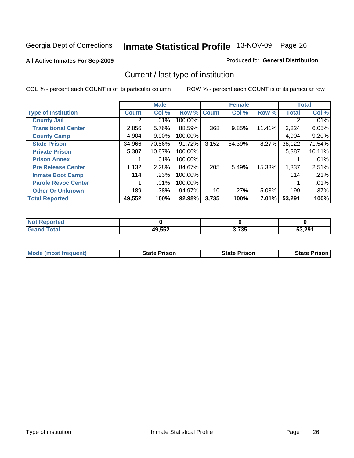#### **All Active Inmates For Sep-2009**

#### Produced for **General Distribution**

# Current / last type of institution

|                            |                | <b>Male</b> |         |              | <b>Female</b> |        |              | <b>Total</b> |
|----------------------------|----------------|-------------|---------|--------------|---------------|--------|--------------|--------------|
| <b>Type of Institution</b> | Count          | Col %       | Row %   | <b>Count</b> | Col %         | Row %  | <b>Total</b> | Col %        |
| <b>County Jail</b>         | 2 <sup>1</sup> | .01%        | 100.00% |              |               |        |              | $.01\%$      |
| <b>Transitional Center</b> | 2,856          | 5.76%       | 88.59%  | 368          | 9.85%         | 11.41% | 3,224        | 6.05%        |
| <b>County Camp</b>         | 4,904          | $9.90\%$    | 100.00% |              |               |        | 4,904        | 9.20%        |
| <b>State Prison</b>        | 34,966         | 70.56%      | 91.72%  | 3,152        | 84.39%        | 8.27%  | 38,122       | 71.54%       |
| <b>Private Prison</b>      | 5,387          | 10.87%      | 100.00% |              |               |        | 5,387        | 10.11%       |
| <b>Prison Annex</b>        |                | $.01\%$     | 100.00% |              |               |        |              | .01%         |
| <b>Pre Release Center</b>  | 1,132          | 2.28%       | 84.67%  | 205          | 5.49%         | 15.33% | 1,337        | 2.51%        |
| <b>Inmate Boot Camp</b>    | 114            | .23%        | 100.00% |              |               |        | 114          | .21%         |
| <b>Parole Revoc Center</b> |                | .01%        | 100.00% |              |               |        |              | .01%         |
| <b>Other Or Unknown</b>    | 189            | .38%        | 94.97%  | 10           | .27%          | 5.03%  | 199          | .37%         |
| <b>Total Reported</b>      | 49,552         | 100%        | 92.98%  | 3,735        | 100%          | 7.01%  | 53,291       | 100%         |

| rted<br>NO           |        |                 |        |
|----------------------|--------|-----------------|--------|
| $\sim$ $\sim$ $\sim$ | 49,552 | 2.72F<br>טט ו,ט | 53.291 |

| <b>Mode (most frequent)</b><br>State Prison | <b>State Prison</b> | State Prison |
|---------------------------------------------|---------------------|--------------|
|---------------------------------------------|---------------------|--------------|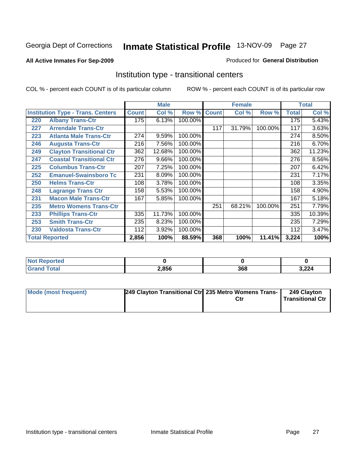#### **All Active Inmates For Sep-2009**

#### Produced for **General Distribution**

# Institution type - transitional centers

|     |                                          |              | <b>Male</b> |         |              | <b>Female</b> |         |              | <b>Total</b> |
|-----|------------------------------------------|--------------|-------------|---------|--------------|---------------|---------|--------------|--------------|
|     | <b>Institution Type - Trans. Centers</b> | <b>Count</b> | Col %       | Row %   | <b>Count</b> | Col %         | Row %   | <b>Total</b> | Col %        |
| 220 | <b>Albany Trans-Ctr</b>                  | 175          | 6.13%       | 100.00% |              |               |         | 175          | 5.43%        |
| 227 | <b>Arrendale Trans-Ctr</b>               |              |             |         | 117          | 31.79%        | 100.00% | 117          | 3.63%        |
| 223 | <b>Atlanta Male Trans-Ctr</b>            | 274          | 9.59%       | 100.00% |              |               |         | 274          | 8.50%        |
| 246 | <b>Augusta Trans-Ctr</b>                 | 216          | 7.56%       | 100.00% |              |               |         | 216          | 6.70%        |
| 249 | <b>Clayton Transitional Ctr</b>          | 362          | 12.68%      | 100.00% |              |               |         | 362          | 11.23%       |
| 247 | <b>Coastal Transitional Ctr</b>          | 276          | 9.66%       | 100.00% |              |               |         | 276          | 8.56%        |
| 225 | <b>Columbus Trans-Ctr</b>                | 207          | 7.25%       | 100.00% |              |               |         | 207          | 6.42%        |
| 252 | <b>Emanuel-Swainsboro Tc</b>             | 231          | 8.09%       | 100.00% |              |               |         | 231          | 7.17%        |
| 250 | <b>Helms Trans-Ctr</b>                   | 108          | 3.78%       | 100.00% |              |               |         | 108          | 3.35%        |
| 248 | <b>Lagrange Trans Ctr</b>                | 158          | 5.53%       | 100.00% |              |               |         | 158          | 4.90%        |
| 231 | <b>Macon Male Trans-Ctr</b>              | 167          | 5.85%       | 100.00% |              |               |         | 167          | 5.18%        |
| 235 | <b>Metro Womens Trans-Ctr</b>            |              |             |         | 251          | 68.21%        | 100.00% | 251          | 7.79%        |
| 233 | <b>Phillips Trans-Ctr</b>                | 335          | 11.73%      | 100.00% |              |               |         | 335          | 10.39%       |
| 253 | <b>Smith Trans-Ctr</b>                   | 235          | 8.23%       | 100.00% |              |               |         | 235          | 7.29%        |
| 230 | <b>Valdosta Trans-Ctr</b>                | 112          | 3.92%       | 100.00% |              |               |         | 112          | 3.47%        |
|     | <b>Total Reported</b>                    | 2,856        | 100%        | 88.59%  | 368          | 100%          | 11.41%  | 3,224        | 100%         |

| nrteu i<br> |       |      |        |
|-------------|-------|------|--------|
|             | 2,856 | המח  | $\sim$ |
|             |       | DOC- | ,ZZ4   |

| Mode (most frequent) | 249 Clayton Transitional Ctr 235 Metro Womens Trans- | Ctr | 249 Clayton<br><b>Transitional Ctr</b> |
|----------------------|------------------------------------------------------|-----|----------------------------------------|
|                      |                                                      |     |                                        |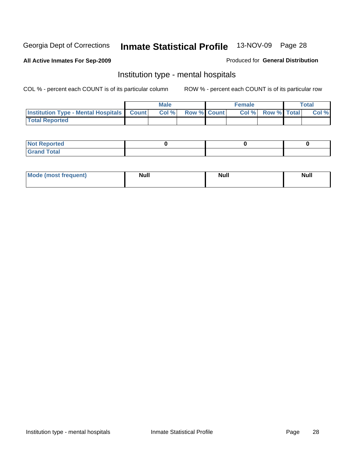#### **All Active Inmates For Sep-2009**

#### Produced for **General Distribution**

# Institution type - mental hospitals

|                                                  | <b>Male</b> |                    | <b>Female</b> |                    | Total |
|--------------------------------------------------|-------------|--------------------|---------------|--------------------|-------|
| <b>Institution Type - Mental Hospitals Count</b> | Col %       | <b>Row % Count</b> | Col%          | <b>Row % Total</b> | Col % |
| <b>Total Reported</b>                            |             |                    |               |                    |       |

| <b>Not Reported</b>           |  |  |
|-------------------------------|--|--|
| <b>otal</b><br>C <sub>r</sub> |  |  |

| Mode (most frequent) | <b>Null</b> | <b>Null</b> | <b>Null</b> |
|----------------------|-------------|-------------|-------------|
|                      |             |             |             |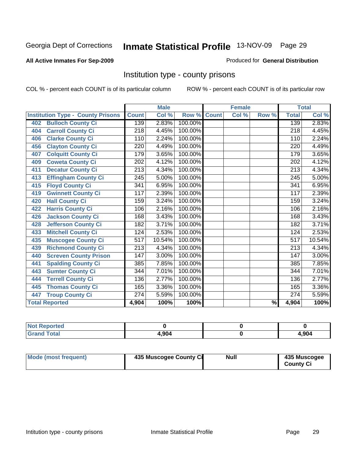#### **All Active Inmates For Sep-2009**

#### Produced for **General Distribution**

# Institution type - county prisons

|                                          |                  | <b>Male</b> |         |              | <b>Female</b>             |       |                  | <b>Total</b> |
|------------------------------------------|------------------|-------------|---------|--------------|---------------------------|-------|------------------|--------------|
| <b>Institution Type - County Prisons</b> | <b>Count</b>     | Col %       | Row %   | <b>Count</b> | $\overline{\text{Col}}$ % | Row % | <b>Total</b>     | Col %        |
| <b>Bulloch County Ci</b><br>402          | 139              | 2.83%       | 100.00% |              |                           |       | 139              | 2.83%        |
| <b>Carroll County Ci</b><br>404          | $\overline{218}$ | 4.45%       | 100.00% |              |                           |       | $\overline{218}$ | 4.45%        |
| <b>Clarke County Ci</b><br>406           | 110              | 2.24%       | 100.00% |              |                           |       | 110              | 2.24%        |
| <b>Clayton County Ci</b><br>456          | $\overline{220}$ | 4.49%       | 100.00% |              |                           |       | $\overline{220}$ | 4.49%        |
| <b>Colquitt County Ci</b><br>407         | 179              | 3.65%       | 100.00% |              |                           |       | 179              | 3.65%        |
| <b>Coweta County Ci</b><br>409           | 202              | 4.12%       | 100.00% |              |                           |       | 202              | 4.12%        |
| <b>Decatur County Ci</b><br>411          | 213              | 4.34%       | 100.00% |              |                           |       | 213              | 4.34%        |
| <b>Effingham County Ci</b><br>413        | 245              | 5.00%       | 100.00% |              |                           |       | 245              | 5.00%        |
| <b>Floyd County Ci</b><br>415            | 341              | 6.95%       | 100.00% |              |                           |       | 341              | 6.95%        |
| <b>Gwinnett County Ci</b><br>419         | 117              | 2.39%       | 100.00% |              |                           |       | 117              | 2.39%        |
| <b>Hall County Ci</b><br>420             | 159              | 3.24%       | 100.00% |              |                           |       | 159              | 3.24%        |
| <b>Harris County Ci</b><br>422           | 106              | 2.16%       | 100.00% |              |                           |       | 106              | 2.16%        |
| Jackson County Ci<br>426                 | 168              | 3.43%       | 100.00% |              |                           |       | 168              | 3.43%        |
| <b>Jefferson County Ci</b><br>428        | 182              | 3.71%       | 100.00% |              |                           |       | 182              | 3.71%        |
| <b>Mitchell County Ci</b><br>433         | 124              | 2.53%       | 100.00% |              |                           |       | 124              | 2.53%        |
| <b>Muscogee County Ci</b><br>435         | 517              | 10.54%      | 100.00% |              |                           |       | 517              | 10.54%       |
| <b>Richmond County Ci</b><br>439         | $\overline{213}$ | 4.34%       | 100.00% |              |                           |       | 213              | 4.34%        |
| <b>Screven County Prison</b><br>440      | 147              | 3.00%       | 100.00% |              |                           |       | 147              | 3.00%        |
| <b>Spalding County Ci</b><br>441         | 385              | 7.85%       | 100.00% |              |                           |       | 385              | 7.85%        |
| <b>Sumter County Ci</b><br>443           | 344              | 7.01%       | 100.00% |              |                           |       | 344              | 7.01%        |
| <b>Terrell County Ci</b><br>444          | 136              | 2.77%       | 100.00% |              |                           |       | 136              | 2.77%        |
| <b>Thomas County Ci</b><br>445           | 165              | 3.36%       | 100.00% |              |                           |       | 165              | 3.36%        |
| <b>Troup County Ci</b><br>447            | 274              | 5.59%       | 100.00% |              |                           |       | 274              | 5.59%        |
| <b>Total Reported</b>                    | 4,904            | 100%        | 100%    |              |                           | %     | 4,904            | 100%         |

| <b>Not Reported</b> |      |       |
|---------------------|------|-------|
| <b>Grand Total</b>  | .904 | 1,904 |

| <b>Mode (most frequent)</b> | 435 Muscogee County Ci | Null | 435 Muscogee<br><b>County Ci</b> |
|-----------------------------|------------------------|------|----------------------------------|
|-----------------------------|------------------------|------|----------------------------------|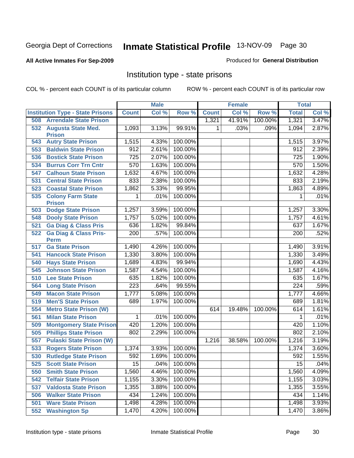#### **All Active Inmates For Sep-2009**

#### Produced for **General Distribution**

# Institution type - state prisons

|     |                                           |                  | <b>Male</b> |         |              | <b>Female</b> |         | <b>Total</b>     |       |
|-----|-------------------------------------------|------------------|-------------|---------|--------------|---------------|---------|------------------|-------|
|     | <b>Institution Type - State Prisons</b>   | <b>Count</b>     | Col %       | Row %   | <b>Count</b> | Col %         | Row %   | <b>Total</b>     | Col % |
| 508 | <b>Arrendale State Prison</b>             |                  |             |         | 1,321        | 41.91%        | 100.00% | 1,321            | 3.47% |
|     | 532 Augusta State Med.<br><b>Prison</b>   | 1,093            | 3.13%       | 99.91%  | 1            | .03%          | .09%    | 1,094            | 2.87% |
| 543 | <b>Autry State Prison</b>                 | 1,515            | 4.33%       | 100.00% |              |               |         | 1,515            | 3.97% |
| 553 | <b>Baldwin State Prison</b>               | 912              | 2.61%       | 100.00% |              |               |         | 912              | 2.39% |
| 536 | <b>Bostick State Prison</b>               | 725              | 2.07%       | 100.00% |              |               |         | 725              | 1.90% |
| 534 | <b>Burrus Corr Trn Cntr</b>               | 570              | 1.63%       | 100.00% |              |               |         | 570              | 1.50% |
| 547 | <b>Calhoun State Prison</b>               | 1,632            | 4.67%       | 100.00% |              |               |         | 1,632            | 4.28% |
| 531 | <b>Central State Prison</b>               | 833              | 2.38%       | 100.00% |              |               |         | 833              | 2.19% |
| 523 | <b>Coastal State Prison</b>               | 1,862            | 5.33%       | 99.95%  |              |               |         | 1,863            | 4.89% |
| 535 | <b>Colony Farm State</b><br><b>Prison</b> | 1                | .01%        | 100.00% |              |               |         | 1                | .01%  |
| 503 | <b>Dodge State Prison</b>                 | 1,257            | 3.59%       | 100.00% |              |               |         | 1,257            | 3.30% |
| 548 | <b>Dooly State Prison</b>                 | 1,757            | 5.02%       | 100.00% |              |               |         | 1,757            | 4.61% |
| 521 | <b>Ga Diag &amp; Class Pris</b>           | 636              | 1.82%       | 99.84%  |              |               |         | 637              | 1.67% |
| 522 | <b>Ga Diag &amp; Class Pris-</b>          | 200              | .57%        | 100.00% |              |               |         | 200              | .52%  |
|     | <b>Perm</b>                               |                  |             |         |              |               |         |                  |       |
| 517 | <b>Ga State Prison</b>                    | 1,490            | 4.26%       | 100.00% |              |               |         | 1,490            | 3.91% |
| 541 | <b>Hancock State Prison</b>               | 1,330            | 3.80%       | 100.00% |              |               |         | 1,330            | 3.49% |
| 540 | <b>Hays State Prison</b>                  | 1,689            | 4.83%       | 99.94%  |              |               |         | 1,690            | 4.43% |
| 545 | <b>Johnson State Prison</b>               | 1,587            | 4.54%       | 100.00% |              |               |         | 1,587            | 4.16% |
| 510 | <b>Lee State Prison</b>                   | 635              | 1.82%       | 100.00% |              |               |         | 635              | 1.67% |
| 564 | <b>Long State Prison</b>                  | $\overline{223}$ | .64%        | 99.55%  |              |               |         | $\overline{224}$ | .59%  |
| 549 | <b>Macon State Prison</b>                 | 1,777            | 5.08%       | 100.00% |              |               |         | 1,777            | 4.66% |
| 519 | <b>Men'S State Prison</b>                 | 689              | 1.97%       | 100.00% |              |               |         | 689              | 1.81% |
| 554 | <b>Metro State Prison (W)</b>             |                  |             |         | 614          | 19.48%        | 100.00% | 614              | 1.61% |
| 561 | <b>Milan State Prison</b>                 | 1                | .01%        | 100.00% |              |               |         | 1                | .01%  |
| 509 | <b>Montgomery State Prison</b>            | 420              | 1.20%       | 100.00% |              |               |         | 420              | 1.10% |
| 505 | <b>Phillips State Prison</b>              | 802              | 2.29%       | 100.00% |              |               |         | 802              | 2.10% |
| 557 | <b>Pulaski State Prison (W)</b>           |                  |             |         | 1,216        | 38.58%        | 100.00% | 1,216            | 3.19% |
| 533 | <b>Rogers State Prison</b>                | 1,374            | 3.93%       | 100.00% |              |               |         | 1,374            | 3.60% |
| 530 | <b>Rutledge State Prison</b>              | 592              | 1.69%       | 100.00% |              |               |         | 592              | 1.55% |
| 525 | <b>Scott State Prison</b>                 | 15               | .04%        | 100.00% |              |               |         | 15               | .04%  |
| 550 | <b>Smith State Prison</b>                 | 1,560            | 4.46%       | 100.00% |              |               |         | 1,560            | 4.09% |
| 542 | <b>Telfair State Prison</b>               | 1,155            | 3.30%       | 100.00% |              |               |         | 1,155            | 3.03% |
| 537 | <b>Valdosta State Prison</b>              | 1,355            | 3.88%       | 100.00% |              |               |         | 1,355            | 3.55% |
| 506 | <b>Walker State Prison</b>                | 434              | 1.24%       | 100.00% |              |               |         | 434              | 1.14% |
| 501 | <b>Ware State Prison</b>                  | 1,498            | 4.28%       | 100.00% |              |               |         | 1,498            | 3.93% |
| 552 | <b>Washington Sp</b>                      | 1,470            | 4.20%       | 100.00% |              |               |         | 1,470            | 3.86% |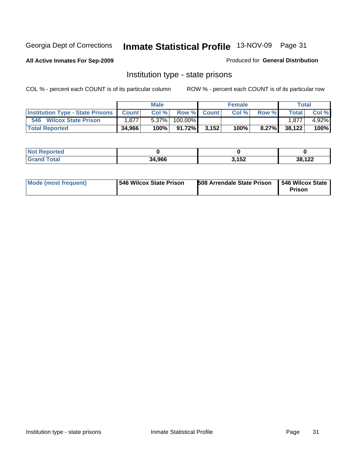**All Active Inmates For Sep-2009**

Produced for **General Distribution**

# Institution type - state prisons

|                                                   |        | <b>Male</b> |                   | <b>Female</b> |          | Total        |          |
|---------------------------------------------------|--------|-------------|-------------------|---------------|----------|--------------|----------|
| <b>Institution Type - State Prisons   Count  </b> |        |             | Col % Row % Count | Col %         | Row %    | <b>Total</b> | Col %    |
| 546 Wilcox State Prison                           | ا 877. | $5.37\%$    | $100.00\%$        |               |          | 1.877        | $4.92\%$ |
| <b>Total Reported</b>                             | 34,966 | 100%        | $91.72\%$ 3.152   | 100%          | $8.27\%$ | 38,122       | $100\%$  |

| <b>Reported</b><br>I NOT |        |       |                 |
|--------------------------|--------|-------|-----------------|
| $\sim$                   | 34,966 | 3,152 | 20.422<br>1 Z Z |

| Mode (most frequent) | <b>1546 Wilcox State Prison</b> | <b>508 Arrendale State Prison</b> | 1546 Wilcox State 1<br><b>Prison</b> |
|----------------------|---------------------------------|-----------------------------------|--------------------------------------|
|----------------------|---------------------------------|-----------------------------------|--------------------------------------|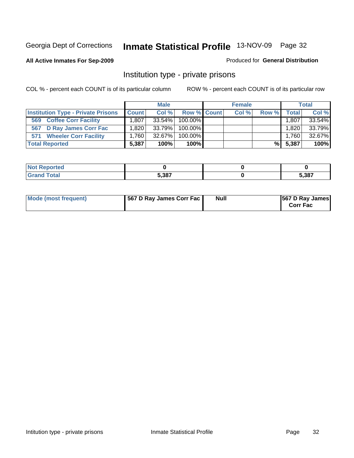#### **All Active Inmates For Sep-2009**

#### Produced for **General Distribution**

# Institution type - private prisons

|                                           |              | <b>Male</b> |             | <b>Female</b> |       |           | <b>Total</b> |
|-------------------------------------------|--------------|-------------|-------------|---------------|-------|-----------|--------------|
| <b>Institution Type - Private Prisons</b> | <b>Count</b> | Col %       | Row % Count | Col %         | Row % | Total     | Col %        |
| <b>Coffee Corr Facility</b><br>569        | .807         | 33.54%      | 100.00%     |               |       | 1,807     | 33.54%       |
| 567 D Ray James Corr Fac                  | $.820 \,$    | 33.79%      | $100.00\%$  |               |       | $1,820 +$ | 33.79%       |
| <b>Wheeler Corr Facility</b><br>571       | 1.760 l      | 32.67%      | $100.00\%$  |               |       | 1,760     | 32.67%       |
| <b>Total Reported</b>                     | 5,387        | 100%        | 100%        |               | %I    | 5,387     | 100%         |

| rteo               |       |       |
|--------------------|-------|-------|
| <b>Total</b><br>-- | 5.387 | 5,387 |

| Mode (most frequent) | 567 D Ray James Corr Fac | <b>Null</b> | <b>567 D Ray James</b><br><b>Corr Fac</b> |
|----------------------|--------------------------|-------------|-------------------------------------------|
|----------------------|--------------------------|-------------|-------------------------------------------|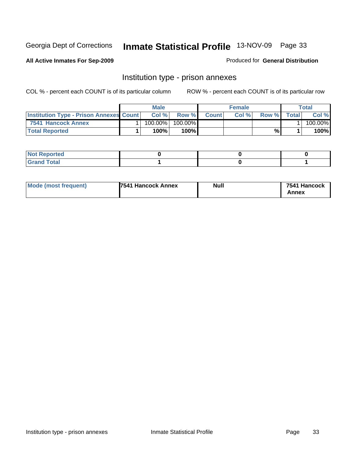**All Active Inmates For Sep-2009**

Produced for **General Distribution**

# Institution type - prison annexes

|                                                | <b>Male</b> |         |              | <b>Female</b> |       |        | Total   |
|------------------------------------------------|-------------|---------|--------------|---------------|-------|--------|---------|
| <b>Institution Type - Prison Annexes Count</b> | Col%        | Row %   | <b>Count</b> | Col%          | Row % | Totall | Col %   |
| 7541 Hancock Annex                             | $100.00\%$  | 100.00% |              |               |       |        | 100.00% |
| <b>Total Reported</b>                          | 100%        | 100%    |              |               | %     |        | 100%    |

| <b>Not Reported</b> |  |  |
|---------------------|--|--|
| <b>Grand Total</b>  |  |  |

| Mode (most frequent) | 7541 Hancock Annex | <b>Null</b> | 7541 Hancock |
|----------------------|--------------------|-------------|--------------|
|                      |                    |             | Annex        |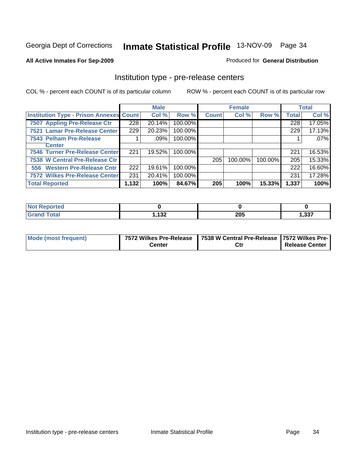#### **All Active Inmates For Sep-2009**

Produced for **General Distribution**

# Institution type - pre-release centers

|                                                |       | <b>Male</b> |         |              | <b>Female</b> |         |              | <b>Total</b> |
|------------------------------------------------|-------|-------------|---------|--------------|---------------|---------|--------------|--------------|
| <b>Institution Type - Prison Annexes Count</b> |       | Col %       | Row %   | <b>Count</b> | Col %         | Row %   | <b>Total</b> | Col %        |
| 7507 Appling Pre-Release Ctr                   | 228   | 20.14%      | 100.00% |              |               |         | 228          | 17.05%       |
| 7521 Lamar Pre-Release Center                  | 229   | 20.23%      | 100.00% |              |               |         | 229          | 17.13%       |
| 7543 Pelham Pre-Release                        |       | .09%        | 100.00% |              |               |         |              | .07%         |
| <b>Center</b>                                  |       |             |         |              |               |         |              |              |
| 7546 Turner Pre-Release Center                 | 221   | 19.52%      | 100.00% |              |               |         | 221          | 16.53%       |
| 7538 W Central Pre-Release Ctr                 |       |             |         | 205          | 100.00%       | 100.00% | 205          | 15.33%       |
| 556 Western Pre-Release Cntr                   | 222   | 19.61%      | 100.00% |              |               |         | 222          | 16.60%       |
| 7572 Wilkes Pre-Release Center                 | 231   | 20.41%      | 100.00% |              |               |         | 231          | 17.28%       |
| <b>Total Reported</b>                          | 1,132 | 100%        | 84.67%  | 205          | 100%          | 15.33%  | 1,337        | 100%         |

| <b>Not Reported</b>          |              |     |      |
|------------------------------|--------------|-----|------|
| <b>Total</b><br><b>Grand</b> | イクク<br>. 194 | 205 | 337, |

| Mode (most frequent) |        | 7572 Wilkes Pre-Release   7538 W Central Pre-Release   7572 Wilkes Pre- |                       |
|----------------------|--------|-------------------------------------------------------------------------|-----------------------|
|                      | Center | Ctı                                                                     | <b>Release Center</b> |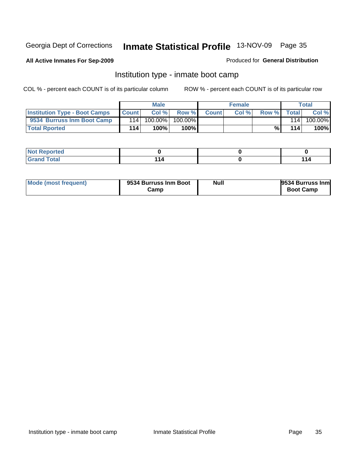#### **All Active Inmates For Sep-2009**

#### Produced for **General Distribution**

# Institution type - inmate boot camp

|                                      |              | <b>Male</b> |         |              | <b>Female</b> |       |       | Total   |
|--------------------------------------|--------------|-------------|---------|--------------|---------------|-------|-------|---------|
| <b>Institution Type - Boot Camps</b> | <b>Count</b> | Col %       | Row %   | <b>Count</b> | Col%          | Row % | Total | Col %   |
| 9534 Burruss Inm Boot Camp           | 114          | 100.00%     | 100.00% |              |               |       | 114   | 100.00% |
| <b>Total Rported</b>                 | 114          | 100%        | 100%    |              |               | %     | 114   | 100%    |

| orted<br>$\sim$ |    |  |
|-----------------|----|--|
| int<br>____     | 44 |  |

| Mode (most frequent) | 9534 Burruss Inm Boot | <b>Null</b> | 9534 Burruss Inm |
|----------------------|-----------------------|-------------|------------------|
|                      | Camp                  |             | <b>Boot Camp</b> |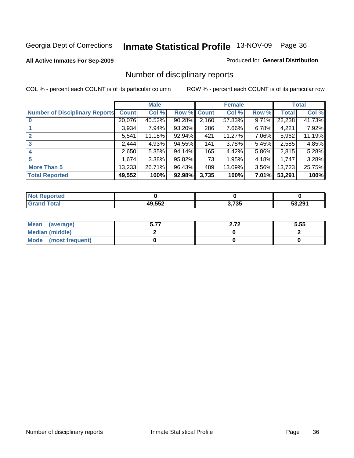#### **All Active Inmates For Sep-2009**

#### Produced for **General Distribution**

# Number of disciplinary reports

|                                       |              | <b>Male</b> |        |              | <b>Female</b> |          |              | <b>Total</b> |
|---------------------------------------|--------------|-------------|--------|--------------|---------------|----------|--------------|--------------|
| <b>Number of Disciplinary Reports</b> | <b>Count</b> | Col %       | Row %  | <b>Count</b> | Col %         | Row %    | <b>Total</b> | Col %        |
|                                       | 20,076       | 40.52%      | 90.28% | 2,160        | 57.83%        | $9.71\%$ | 22,238       | 41.73%       |
|                                       | 3,934        | 7.94%       | 93.20% | 286          | 7.66%         | $6.78\%$ | 4,221        | 7.92%        |
|                                       | 5,541        | 11.18%      | 92.94% | 421          | 11.27%        | 7.06%    | 5,962        | 11.19%       |
| 3                                     | 2,444        | 4.93%       | 94.55% | 141          | 3.78%         | $5.45\%$ | 2,585        | 4.85%        |
|                                       | 2.650        | 5.35%       | 94.14% | 165          | 4.42%         | $5.86\%$ | 2,815        | 5.28%        |
| 5                                     | 1,674        | $3.38\%$    | 95.82% | 73           | 1.95%         | 4.18%    | 1,747        | 3.28%        |
| <b>More Than 5</b>                    | 13,233       | 26.71%      | 96.43% | 489          | 13.09%        | 3.56%    | 13,723       | 25.75%       |
| <b>Total Reported</b>                 | 49,552       | 100%        | 92.98% | 3,735        | 100%          | $7.01\%$ | 53,291       | 100%         |

| N      |                      |             |        |
|--------|----------------------|-------------|--------|
| ______ | $\sim$ $\sim$ $\sim$ | ת ל<br>ני ו | 53.291 |

| Mean (average)       | - -- | ר ה<br>4.14 | 5.55 |
|----------------------|------|-------------|------|
| Median (middle)      |      |             |      |
| Mode (most frequent) |      |             |      |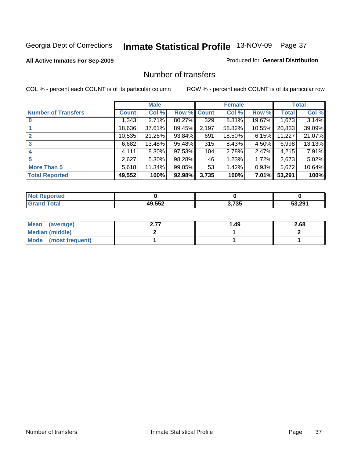#### **All Active Inmates For Sep-2009**

### Produced for **General Distribution**

### Number of transfers

|                            |              | <b>Male</b> |        |              | <b>Female</b> |          |              | <b>Total</b> |
|----------------------------|--------------|-------------|--------|--------------|---------------|----------|--------------|--------------|
| <b>Number of Transfers</b> | <b>Count</b> | Col %       | Row %  | <b>Count</b> | Col %         | Row %    | <b>Total</b> | Col %        |
|                            | 1,343        | 2.71%       | 80.27% | 329          | 8.81%         | 19.67%   | 1,673        | 3.14%        |
|                            | 18,636       | 37.61%      | 89.45% | 2,197        | 58.82%        | 10.55%   | 20,833       | 39.09%       |
| $\overline{2}$             | 10,535       | 21.26%      | 93.84% | 691          | 18.50%        | 6.15%    | 11,227       | 21.07%       |
| 3                          | 6,682        | 13.48%      | 95.48% | 315          | 8.43%         | 4.50%    | 6,998        | 13.13%       |
| 4                          | 4.111        | 8.30%       | 97.53% | 104          | 2.78%         | $2.47\%$ | 4,215        | 7.91%        |
| 5                          | 2,627        | 5.30%       | 98.28% | 46           | 1.23%         | 1.72%    | 2,673        | 5.02%        |
| <b>More Than 5</b>         | 5,618        | 11.34%      | 99.05% | 53           | 1.42%         | 0.93%    | 5,672        | 10.64%       |
| <b>Total Reported</b>      | 49,552       | 100%        | 92.98% | 3,735        | 100%          | $7.01\%$ | 53,291       | 100%         |

| N      |       |                 |        |
|--------|-------|-----------------|--------|
| ______ | 10E52 | ・フクロ<br>ა. / აა | 53.291 |

| Mean (average)       | ⊩.49 | 2.68 |
|----------------------|------|------|
| Median (middle)      |      |      |
| Mode (most frequent) |      |      |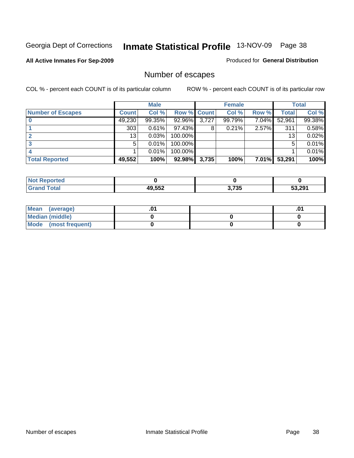### **All Active Inmates For Sep-2009**

Produced for **General Distribution**

# Number of escapes

|                          |         | <b>Male</b> |                    |       | <b>Female</b> |       |              | <b>Total</b> |
|--------------------------|---------|-------------|--------------------|-------|---------------|-------|--------------|--------------|
| <b>Number of Escapes</b> | Count l | Col %       | <b>Row % Count</b> |       | Col %         | Row % | <b>Total</b> | Col %        |
|                          | 49,230  | 99.35%      | 92.96%             | 3,727 | 99.79%        | 7.04% | 52,961       | 99.38%       |
|                          | 303     | 0.61%       | $97.43\%$          | 8     | 0.21%         | 2.57% | 311          | 0.58%        |
|                          | 13      | 0.03%       | 100.00%            |       |               |       | 13           | 0.02%        |
|                          | 5.      | 0.01%       | 100.00%            |       |               |       |              | 0.01%        |
|                          |         | 0.01%       | 100.00%            |       |               |       |              | 0.01%        |
| <b>Total Reported</b>    | 49,552  | 100%        | 92.98%             | 3,735 | 100%          | 7.01% | 53,291       | 100%         |

| prted |        |                  |        |
|-------|--------|------------------|--------|
| Total | AQ 552 | ク フクエ<br>ა. / აა | 53.291 |

| Mean (average)         |  | ו ש. |
|------------------------|--|------|
| <b>Median (middle)</b> |  |      |
| Mode (most frequent)   |  |      |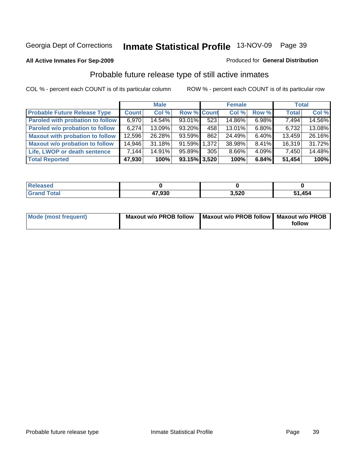#### **All Active Inmates For Sep-2009**

#### Produced for **General Distribution**

### Probable future release type of still active inmates

|                                         |              | <b>Male</b> |                    |     | <b>Female</b> |          | <b>Total</b> |        |
|-----------------------------------------|--------------|-------------|--------------------|-----|---------------|----------|--------------|--------|
| <b>Probable Future Release Type</b>     | <b>Count</b> | Col %       | <b>Row % Count</b> |     | Col %         | Row %    | <b>Total</b> | Col %  |
| <b>Paroled with probation to follow</b> | 6,970        | 14.54%      | 93.01%             | 523 | 14.86%        | $6.98\%$ | 7,494        | 14.56% |
| Paroled w/o probation to follow         | 6,274        | $13.09\%$   | $93.20\%$          | 458 | 13.01%        | $6.80\%$ | 6,732        | 13.08% |
| <b>Maxout with probation to follow</b>  | 12,596       | 26.28%      | 93.59%             | 862 | 24.49%        | $6.40\%$ | 13,459       | 26.16% |
| <b>Maxout w/o probation to follow</b>   | 14,946       | 31.18%      | 91.59% 1.372       |     | 38.98%        | $8.41\%$ | 16,319       | 31.72% |
| Life, LWOP or death sentence            | 7,144        | 14.91%      | 95.89%             | 305 | 8.66%         | 4.09%    | 7,450        | 14.48% |
| <b>Total Reported</b>                   | 47,930       | 100%        | $93.15\%$ 3,520    |     | 100%          | 6.84%    | 51,454       | 100%   |

| Released            |        |       |        |
|---------------------|--------|-------|--------|
| <b>Total</b><br>Gra | 47,930 | 3,520 | 51,454 |

| <b>Mode (most frequent)</b> | <b>Maxout w/o PROB follow</b> | Maxout w/o PROB follow   Maxout w/o PROB |        |
|-----------------------------|-------------------------------|------------------------------------------|--------|
|                             |                               |                                          | follow |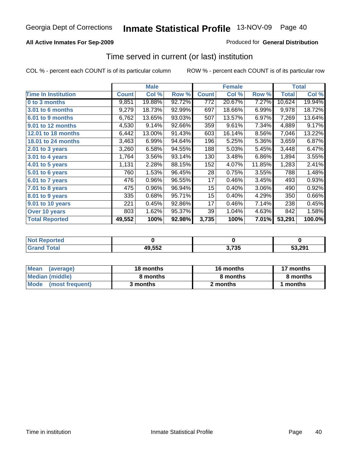### **All Active Inmates For Sep-2009**

### Produced for **General Distribution**

### Time served in current (or last) institution

|                            |              | <b>Male</b> |        |                  | <b>Female</b> |        |              | <b>Total</b> |
|----------------------------|--------------|-------------|--------|------------------|---------------|--------|--------------|--------------|
| <b>Time In Institution</b> | <b>Count</b> | Col %       | Row %  | <b>Count</b>     | Col %         | Row %  | <b>Total</b> | Col %        |
| 0 to 3 months              | 9,851        | 19.88%      | 92.72% | $\overline{772}$ | 20.67%        | 7.27%  | 10,624       | 19.94%       |
| 3.01 to 6 months           | 9,279        | 18.73%      | 92.99% | 697              | 18.66%        | 6.99%  | 9,978        | 18.72%       |
| 6.01 to 9 months           | 6,762        | 13.65%      | 93.03% | 507              | 13.57%        | 6.97%  | 7,269        | 13.64%       |
| 9.01 to 12 months          | 4,530        | 9.14%       | 92.66% | 359              | 9.61%         | 7.34%  | 4,889        | 9.17%        |
| <b>12.01 to 18 months</b>  | 6,442        | 13.00%      | 91.43% | 603              | 16.14%        | 8.56%  | 7,046        | 13.22%       |
| <b>18.01 to 24 months</b>  | 3,463        | 6.99%       | 94.64% | 196              | 5.25%         | 5.36%  | 3,659        | 6.87%        |
| $2.01$ to 3 years          | 3,260        | 6.58%       | 94.55% | 188              | 5.03%         | 5.45%  | 3,448        | 6.47%        |
| 3.01 to 4 years            | 1,764        | 3.56%       | 93.14% | 130              | 3.48%         | 6.86%  | 1,894        | 3.55%        |
| 4.01 to 5 years            | 1,131        | 2.28%       | 88.15% | 152              | 4.07%         | 11.85% | 1,283        | 2.41%        |
| 5.01 to 6 years            | 760          | 1.53%       | 96.45% | 28               | 0.75%         | 3.55%  | 788          | 1.48%        |
| 6.01 to 7 years            | 476          | 0.96%       | 96.55% | 17               | 0.46%         | 3.45%  | 493          | 0.93%        |
| 7.01 to 8 years            | 475          | 0.96%       | 96.94% | 15               | 0.40%         | 3.06%  | 490          | 0.92%        |
| 8.01 to 9 years            | 335          | 0.68%       | 95.71% | 15               | 0.40%         | 4.29%  | 350          | 0.66%        |
| 9.01 to 10 years           | 221          | 0.45%       | 92.86% | 17               | 0.46%         | 7.14%  | 238          | 0.45%        |
| Over 10 years              | 803          | 1.62%       | 95.37% | 39               | 1.04%         | 4.63%  | 842          | 1.58%        |
| <b>Total Reported</b>      | 49,552       | 100%        | 92.98% | 3,735            | 100%          | 7.01%  | 53,291       | 100.0%       |

| N <sub>of</sub><br>Reported |        |       |        |
|-----------------------------|--------|-------|--------|
| <b>Tota</b>                 | 49,552 | 3,735 | 53.291 |

| Mean<br>(average)       | 18 months | <b>16 months</b> | 17 months |
|-------------------------|-----------|------------------|-----------|
| Median (middle)         | 8 months  | 8 months         | 8 months  |
| Mode<br>(most frequent) | 3 months  | 2 months         | months    |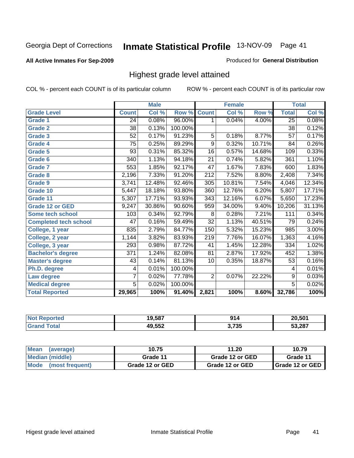#### **All Active Inmates For Sep-2009**

#### Produced for **General Distribution**

### Highest grade level attained

|                              |                  | <b>Male</b> |                      |                   | <b>Female</b> |          |                 | <b>Total</b> |
|------------------------------|------------------|-------------|----------------------|-------------------|---------------|----------|-----------------|--------------|
| <b>Grade Level</b>           | <b>Count</b>     | Col %       | Row %                | <b>Count</b>      | Col %         | Row %    | <b>Total</b>    | Col %        |
| <b>Grade 1</b>               | 24               | 0.08%       | 96.00%               | 1                 | 0.04%         | 4.00%    | 25              | 0.08%        |
| <b>Grade 2</b>               | $\overline{38}$  | 0.13%       | 100.00%              |                   |               |          | 38              | 0.12%        |
| <b>Grade 3</b>               | 52               | 0.17%       | 91.23%               | 5                 | 0.18%         | 8.77%    | $\overline{57}$ | 0.17%        |
| <b>Grade 4</b>               | $\overline{75}$  | 0.25%       | 89.29%               | 9                 | 0.32%         | 10.71%   | 84              | 0.26%        |
| <b>Grade 5</b>               | 93               | 0.31%       | 85.32%               | 16                | 0.57%         | 14.68%   | 109             | 0.33%        |
| Grade 6                      | 340              | 1.13%       | $\overline{94.18\%}$ | $\overline{21}$   | 0.74%         | 5.82%    | 361             | 1.10%        |
| <b>Grade 7</b>               | 553              | 1.85%       | 92.17%               | 47                | 1.67%         | 7.83%    | 600             | 1.83%        |
| <b>Grade 8</b>               | 2,196            | 7.33%       | 91.20%               | 212               | 7.52%         | 8.80%    | 2,408           | 7.34%        |
| <b>Grade 9</b>               | 3,741            | 12.48%      | 92.46%               | 305               | 10.81%        | 7.54%    | 4,046           | 12.34%       |
| Grade 10                     | 5,447            | 18.18%      | 93.80%               | 360               | 12.76%        | 6.20%    | 5,807           | 17.71%       |
| Grade 11                     | 5,307            | 17.71%      | 93.93%               | $\overline{3}$ 43 | 12.16%        | 6.07%    | 5,650           | 17.23%       |
| <b>Grade 12 or GED</b>       | 9,247            | 30.86%      | 90.60%               | 959               | 34.00%        | 9.40%    | 10,206          | 31.13%       |
| <b>Some tech school</b>      | 103              | 0.34%       | 92.79%               | 8                 | 0.28%         | 7.21%    | 111             | 0.34%        |
| <b>Completed tech school</b> | 47               | 0.16%       | 59.49%               | $\overline{32}$   | 1.13%         | 40.51%   | 79              | 0.24%        |
| College, 1 year              | 835              | 2.79%       | 84.77%               | 150               | 5.32%         | 15.23%   | 985             | 3.00%        |
| College, 2 year              | 1,144            | 3.82%       | 83.93%               | $\overline{219}$  | 7.76%         | 16.07%   | 1,363           | 4.16%        |
| College, 3 year              | 293              | 0.98%       | 87.72%               | 41                | 1.45%         | 12.28%   | 334             | 1.02%        |
| <b>Bachelor's degree</b>     | $\overline{371}$ | 1.24%       | 82.08%               | $\overline{81}$   | 2.87%         | 17.92%   | 452             | 1.38%        |
| <b>Master's degree</b>       | 43               | 0.14%       | 81.13%               | 10                | 0.35%         | 18.87%   | 53              | 0.16%        |
| Ph.D. degree                 | 4                | 0.01%       | 100.00%              |                   |               |          | 4               | 0.01%        |
| Law degree                   | 7                | 0.02%       | 77.78%               | $\overline{2}$    | 0.07%         | 22.22%   | 9               | 0.03%        |
| <b>Medical degree</b>        | $\overline{5}$   | 0.02%       | 100.00%              |                   |               |          | $\overline{5}$  | 0.02%        |
| <b>Total Reported</b>        | 29,965           | 100%        | 91.40%               | 2,821             | 100%          | $8.60\%$ | 32,786          | 100%         |

| NO | 19,587 | 01/   | 20.501 |
|----|--------|-------|--------|
|    | .552   | 3,735 | 53.287 |

| <b>Mean</b><br>(average) | 10.75           | 11.20           | 10.79             |
|--------------------------|-----------------|-----------------|-------------------|
| Median (middle)          | Grade 11        | Grade 12 or GED | Grade 11          |
| Mode (most frequent)     | Grade 12 or GED | Grade 12 or GED | I Grade 12 or GED |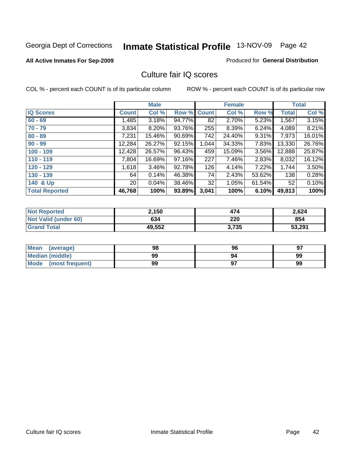#### **All Active Inmates For Sep-2009**

#### Produced for **General Distribution**

### Culture fair IQ scores

|                       |                 | <b>Male</b> |        |              | <b>Female</b> |          |              | <b>Total</b> |
|-----------------------|-----------------|-------------|--------|--------------|---------------|----------|--------------|--------------|
| <b>IQ Scores</b>      | <b>Count</b>    | Col %       | Row %  | <b>Count</b> | Col %         | Row %    | <b>Total</b> | Col %        |
| $60 - 69$             | ,485            | 3.18%       | 94.77% | 82           | 2.70%         | 5.23%    | 1,567        | 3.15%        |
| $70 - 79$             | 3,834           | 8.20%       | 93.76% | 255          | 8.39%         | 6.24%    | 4,089        | 8.21%        |
| $80 - 89$             | 7,231           | 15.46%      | 90.69% | 742          | 24.40%        | $9.31\%$ | 7,973        | 16.01%       |
| $90 - 99$             | 12,284          | 26.27%      | 92.15% | 1,044        | 34.33%        | 7.83%    | 13,330       | 26.76%       |
| $100 - 109$           | 12,428          | 26.57%      | 96.43% | 459          | 15.09%        | $3.56\%$ | 12,888       | 25.87%       |
| $110 - 119$           | 7,804           | 16.69%      | 97.16% | 227          | 7.46%         | 2.83%    | 8,032        | 16.12%       |
| $120 - 129$           | 1,618           | 3.46%       | 92.78% | 126          | 4.14%         | 7.22%    | 1,744        | 3.50%        |
| $130 - 139$           | 64              | 0.14%       | 46.38% | 74           | 2.43%         | 53.62%   | 138          | 0.28%        |
| 140 & Up              | 20 <sub>1</sub> | 0.04%       | 38.46% | 32           | 1.05%         | 61.54%   | 52           | 0.10%        |
| <b>Total Reported</b> | 46,768          | 100%        | 93.89% | 3,041        | 100%          | 6.10%    | 49,813       | 100%         |

| <b>Not Reported</b>         | 2,150  | 474   | 2,624  |
|-----------------------------|--------|-------|--------|
| <b>Not Valid (under 60)</b> | 634    | 220   | 854    |
| <b>Grand Total</b>          | 49,552 | 3,735 | 53,291 |

| <b>Mean</b><br>(average)       | 98 | 96 | 97 |
|--------------------------------|----|----|----|
| <b>Median (middle)</b>         | 99 | 94 | 99 |
| <b>Mode</b><br>(most frequent) | 99 |    | 99 |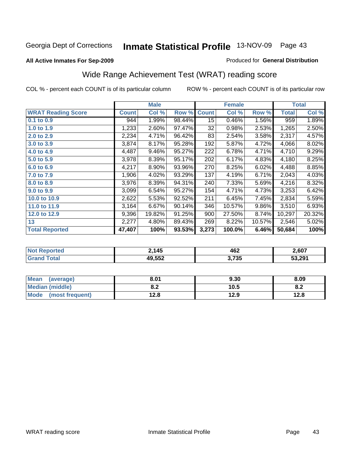#### **All Active Inmates For Sep-2009**

#### Produced for **General Distribution**

# Wide Range Achievement Test (WRAT) reading score

|                           |              | <b>Male</b> |        |                 | <b>Female</b> |        |              | <b>Total</b> |
|---------------------------|--------------|-------------|--------|-----------------|---------------|--------|--------------|--------------|
| <b>WRAT Reading Score</b> | <b>Count</b> | Col %       | Row %  | <b>Count</b>    | Col %         | Row %  | <b>Total</b> | Col %        |
| 0.1 to 0.9                | 944          | 1.99%       | 98.44% | $\overline{15}$ | 0.46%         | 1.56%  | 959          | 1.89%        |
| 1.0 to 1.9                | 1,233        | 2.60%       | 97.47% | 32              | 0.98%         | 2.53%  | 1,265        | 2.50%        |
| 2.0 to 2.9                | 2,234        | 4.71%       | 96.42% | 83              | 2.54%         | 3.58%  | 2,317        | 4.57%        |
| 3.0 to 3.9                | 3,874        | 8.17%       | 95.28% | 192             | 5.87%         | 4.72%  | 4,066        | 8.02%        |
| 4.0 to 4.9                | 4,487        | 9.46%       | 95.27% | 222             | 6.78%         | 4.71%  | 4,710        | 9.29%        |
| 5.0 to 5.9                | 3,978        | 8.39%       | 95.17% | 202             | 6.17%         | 4.83%  | 4,180        | 8.25%        |
| 6.0 to 6.9                | 4,217        | 8.90%       | 93.96% | 270             | 8.25%         | 6.02%  | 4,488        | 8.85%        |
| 7.0 to 7.9                | 1,906        | 4.02%       | 93.29% | 137             | 4.19%         | 6.71%  | 2,043        | 4.03%        |
| 8.0 to 8.9                | 3,976        | 8.39%       | 94.31% | 240             | 7.33%         | 5.69%  | 4,216        | 8.32%        |
| 9.0 to 9.9                | 3,099        | 6.54%       | 95.27% | 154             | 4.71%         | 4.73%  | 3,253        | 6.42%        |
| 10.0 to 10.9              | 2,622        | 5.53%       | 92.52% | 211             | 6.45%         | 7.45%  | 2,834        | 5.59%        |
| 11.0 to 11.9              | 3,164        | 6.67%       | 90.14% | 346             | 10.57%        | 9.86%  | 3,510        | 6.93%        |
| 12.0 to 12.9              | 9,396        | 19.82%      | 91.25% | 900             | 27.50%        | 8.74%  | 10,297       | 20.32%       |
| 13                        | 2,277        | 4.80%       | 89.43% | 269             | 8.22%         | 10.57% | 2,546        | 5.02%        |
| <b>Total Reported</b>     | 47,407       | 100%        | 93.53% | 3,273           | 100.0%        | 6.46%  | 50,684       | 100%         |

| тео | : 145      | 462<br>___ | 2,607  |
|-----|------------|------------|--------|
|     | <b>EEQ</b> | 3,735      | 53.291 |

| Mean<br>(average)    | 8.01       | 9.30 | 8.09 |
|----------------------|------------|------|------|
| Median (middle)      | י ס<br>O.A | 10.5 | o.z  |
| Mode (most frequent) | 12.8       | 12.9 | 12.8 |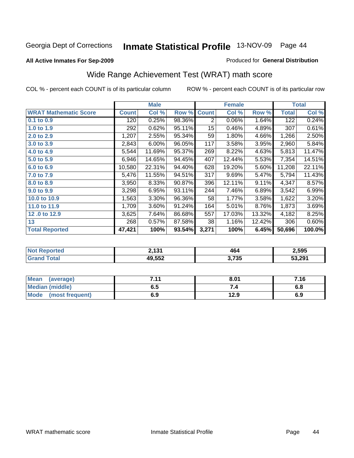#### **All Active Inmates For Sep-2009**

#### Produced for **General Distribution**

# Wide Range Achievement Test (WRAT) math score

|                              |              | <b>Male</b> |        |              | <b>Female</b> |        |              | <b>Total</b> |
|------------------------------|--------------|-------------|--------|--------------|---------------|--------|--------------|--------------|
| <b>WRAT Mathematic Score</b> | <b>Count</b> | Col %       | Row %  | <b>Count</b> | Col %         | Row %  | <b>Total</b> | Col %        |
| $0.1$ to $0.9$               | 120          | 0.25%       | 98.36% | 2            | 0.06%         | 1.64%  | 122          | 0.24%        |
| 1.0 to 1.9                   | 292          | 0.62%       | 95.11% | 15           | 0.46%         | 4.89%  | 307          | 0.61%        |
| 2.0 to 2.9                   | 1,207        | 2.55%       | 95.34% | 59           | 1.80%         | 4.66%  | 1,266        | 2.50%        |
| 3.0 to 3.9                   | 2,843        | 6.00%       | 96.05% | 117          | 3.58%         | 3.95%  | 2,960        | 5.84%        |
| 4.0 to 4.9                   | 5,544        | 11.69%      | 95.37% | 269          | 8.22%         | 4.63%  | 5,813        | 11.47%       |
| 5.0 to 5.9                   | 6,946        | 14.65%      | 94.45% | 407          | 12.44%        | 5.53%  | 7,354        | 14.51%       |
| 6.0 to 6.9                   | 10,580       | 22.31%      | 94.40% | 628          | 19.20%        | 5.60%  | 11,208       | 22.11%       |
| 7.0 to 7.9                   | 5,476        | 11.55%      | 94.51% | 317          | 9.69%         | 5.47%  | 5,794        | 11.43%       |
| 8.0 to 8.9                   | 3,950        | 8.33%       | 90.87% | 396          | 12.11%        | 9.11%  | 4,347        | 8.57%        |
| 9.0 to 9.9                   | 3,298        | 6.95%       | 93.11% | 244          | 7.46%         | 6.89%  | 3,542        | 6.99%        |
| 10.0 to 10.9                 | 1,563        | 3.30%       | 96.36% | 58           | 1.77%         | 3.58%  | 1,622        | 3.20%        |
| 11.0 to 11.9                 | 1,709        | 3.60%       | 91.24% | 164          | 5.01%         | 8.76%  | 1,873        | 3.69%        |
| 12.0 to 12.9                 | 3,625        | 7.64%       | 86.68% | 557          | 17.03%        | 13.32% | 4,182        | 8.25%        |
| 13                           | 268          | 0.57%       | 87.58% | 38           | 1.16%         | 12.42% | 306          | 0.60%        |
| <b>Total Reported</b>        | 47,421       | 100%        | 93.54% | 3,271        | 100%          | 6.45%  | 50,696       | 100.0%       |

| <b>Not Reported</b> | <b>d</b> 121<br>∸, IJ I | 464   | 2,595  |
|---------------------|-------------------------|-------|--------|
| <b>Total</b>        | 49,552                  | 3,735 | 53,291 |

| <b>Mean</b><br>(average)       | 7 1 1<br>. | 8.01 | 7.16 |
|--------------------------------|------------|------|------|
| <b>Median (middle)</b>         | ხ. O       |      | o.c  |
| <b>Mode</b><br>(most frequent) | 6.9        | 12.9 | 6.9  |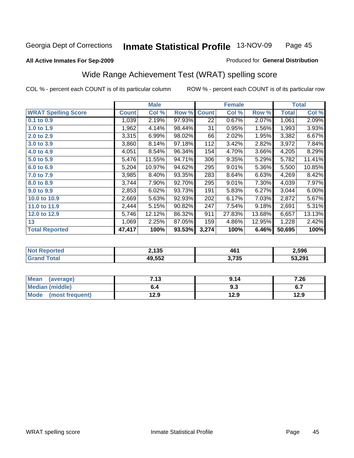#### **All Active Inmates For Sep-2009**

#### Produced for **General Distribution**

### Wide Range Achievement Test (WRAT) spelling score

|                            |              | <b>Male</b> |        |              | <b>Female</b> |        |              | <b>Total</b> |
|----------------------------|--------------|-------------|--------|--------------|---------------|--------|--------------|--------------|
| <b>WRAT Spelling Score</b> | <b>Count</b> | Col %       | Row %  | <b>Count</b> | Col %         | Row %  | <b>Total</b> | Col %        |
| $0.1$ to $0.9$             | 1,039        | 2.19%       | 97.93% | 22           | 0.67%         | 2.07%  | 1,061        | 2.09%        |
| 1.0 to 1.9                 | 1,962        | 4.14%       | 98.44% | 31           | 0.95%         | 1.56%  | 1,993        | 3.93%        |
| 2.0 to 2.9                 | 3,315        | 6.99%       | 98.02% | 66           | 2.02%         | 1.95%  | 3,382        | 6.67%        |
| 3.0 to 3.9                 | 3,860        | 8.14%       | 97.18% | 112          | 3.42%         | 2.82%  | 3,972        | 7.84%        |
| 4.0 to 4.9                 | 4,051        | 8.54%       | 96.34% | 154          | 4.70%         | 3.66%  | 4,205        | 8.29%        |
| 5.0 to 5.9                 | 5,476        | 11.55%      | 94.71% | 306          | 9.35%         | 5.29%  | 5,782        | 11.41%       |
| 6.0 to 6.9                 | 5,204        | 10.97%      | 94.62% | 295          | 9.01%         | 5.36%  | 5,500        | 10.85%       |
| 7.0 to 7.9                 | 3,985        | 8.40%       | 93.35% | 283          | 8.64%         | 6.63%  | 4,269        | 8.42%        |
| 8.0 to 8.9                 | 3,744        | 7.90%       | 92.70% | 295          | 9.01%         | 7.30%  | 4,039        | 7.97%        |
| 9.0 to 9.9                 | 2,853        | 6.02%       | 93.73% | 191          | 5.83%         | 6.27%  | 3,044        | 6.00%        |
| 10.0 to 10.9               | 2,669        | 5.63%       | 92.93% | 202          | 6.17%         | 7.03%  | 2,872        | 5.67%        |
| 11.0 to 11.9               | 2,444        | 5.15%       | 90.82% | 247          | 7.54%         | 9.18%  | 2,691        | 5.31%        |
| 12.0 to 12.9               | 5,746        | 12.12%      | 86.32% | 911          | 27.83%        | 13.68% | 6,657        | 13.13%       |
| 13                         | 1,069        | 2.25%       | 87.05% | 159          | 4.86%         | 12.95% | 1,228        | 2.42%        |
| <b>Total Reported</b>      | 47,417       | 100%        | 93.53% | 3,274        | 100%          | 6.46%  | 50,695       | 100%         |

| A CHO | つ 1 2 5<br>טט ו | 46    | 2,596  |
|-------|-----------------|-------|--------|
|       | ,552            | 3,735 | 53,291 |

| <b>Mean</b><br>(average) | 712<br>נו.ו | 9.14 | 7.26 |
|--------------------------|-------------|------|------|
| <b>Median (middle)</b>   | o.4         | 9.3  | v.,  |
| Mode<br>(most frequent)  | 12.9        | 12.9 | 12.9 |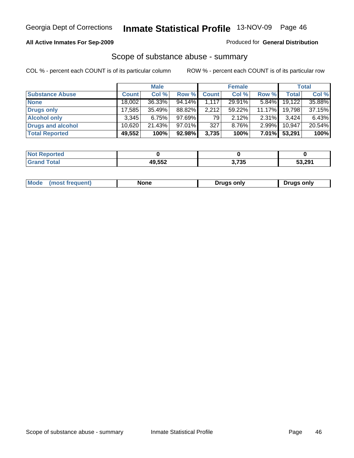### **All Active Inmates For Sep-2009**

#### Produced for **General Distribution**

### Scope of substance abuse - summary

|                        |              | <b>Male</b> |           |              | <b>Female</b> |           |              | Total  |
|------------------------|--------------|-------------|-----------|--------------|---------------|-----------|--------------|--------|
| <b>Substance Abuse</b> | <b>Count</b> | Col %       | Row %     | <b>Count</b> | Col %         | Row %     | <b>Total</b> | Col %  |
| <b>None</b>            | 18,002       | 36.33%      | 94.14%    | 1,117        | 29.91%        | $5.84\%$  | 19,122       | 35.88% |
| Drugs only             | 17.585       | 35.49%      | 88.82%    | 2,212        | 59.22%        | $11.17\%$ | 19,798       | 37.15% |
| <b>Alcohol only</b>    | 3.345        | 6.75%       | $97.69\%$ | 79           | $2.12\%$      | $2.31\%$  | 3.424        | 6.43%  |
| Drugs and alcohol      | 10,620       | 21.43%      | 97.01%    | 327          | 8.76%         | $2.99\%$  | 10.947       | 20.54% |
| <b>Total Reported</b>  | 49,552       | 100%        | 92.98%    | 3,735        | 100%          | $7.01\%$  | 53,291       | 100%   |

| <b>Not Reported</b> |        |       |        |
|---------------------|--------|-------|--------|
| <b>Grand Total</b>  | 49,552 | 3,735 | 53,291 |

|  | Mode<br>(most frequent) | None | Drugs only | Drugs only |
|--|-------------------------|------|------------|------------|
|--|-------------------------|------|------------|------------|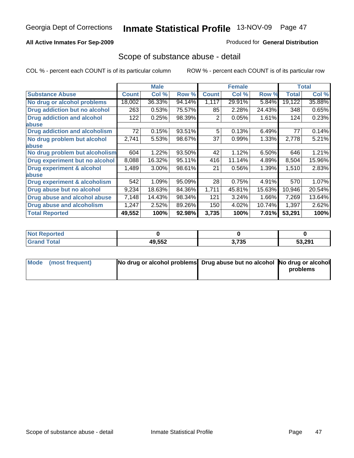### **All Active Inmates For Sep-2009**

#### Produced for **General Distribution**

### Scope of substance abuse - detail

|                                      |              | <b>Male</b> |        |              | <b>Female</b> |        |              | <b>Total</b> |
|--------------------------------------|--------------|-------------|--------|--------------|---------------|--------|--------------|--------------|
| <b>Substance Abuse</b>               | <b>Count</b> | Col %       | Row %  | <b>Count</b> | Col %         | Row %  | <b>Total</b> | Col %        |
| No drug or alcohol problems          | 18,002       | 36.33%      | 94.14% | 1,117        | 29.91%        | 5.84%  | 19,122       | 35.88%       |
| Drug addiction but no alcohol        | 263          | 0.53%       | 75.57% | 85           | 2.28%         | 24.43% | 348          | 0.65%        |
| <b>Drug addiction and alcohol</b>    | 122          | 0.25%       | 98.39% | 2            | 0.05%         | 1.61%  | 124          | 0.23%        |
| abuse                                |              |             |        |              |               |        |              |              |
| <b>Drug addiction and alcoholism</b> | 72           | 0.15%       | 93.51% | 5            | 0.13%         | 6.49%  | 77           | 0.14%        |
| No drug problem but alcohol          | 2,741        | 5.53%       | 98.67% | 37           | 0.99%         | 1.33%  | 2,778        | 5.21%        |
| abuse                                |              |             |        |              |               |        |              |              |
| No drug problem but alcoholism       | 604          | 1.22%       | 93.50% | 42           | 1.12%         | 6.50%  | 646          | 1.21%        |
| Drug experiment but no alcohol       | 8,088        | 16.32%      | 95.11% | 416          | 11.14%        | 4.89%  | 8,504        | 15.96%       |
| <b>Drug experiment &amp; alcohol</b> | 1,489        | 3.00%       | 98.61% | 21           | 0.56%         | 1.39%  | 1,510        | 2.83%        |
| <b>labuse</b>                        |              |             |        |              |               |        |              |              |
| Drug experiment & alcoholism         | 542          | 1.09%       | 95.09% | 28           | 0.75%         | 4.91%  | 570          | 1.07%        |
| Drug abuse but no alcohol            | 9,234        | 18.63%      | 84.36% | 1,711        | 45.81%        | 15.63% | 10,946       | 20.54%       |
| Drug abuse and alcohol abuse         | 7,148        | 14.43%      | 98.34% | 121          | 3.24%         | 1.66%  | 7,269        | 13.64%       |
| Drug abuse and alcoholism            | 1,247        | 2.52%       | 89.26% | 150          | 4.02%         | 10.74% | 1,397        | 2.62%        |
| <b>Total Reported</b>                | 49,552       | 100%        | 92.98% | 3,735        | 100%          | 7.01%  | 53,291       | 100%         |

| <b>Reported</b><br>' Not |        |       |        |
|--------------------------|--------|-------|--------|
| Total                    | 49,552 | 3,735 | 53,291 |

| Mode (most frequent) | No drug or alcohol problems Drug abuse but no alcohol No drug or alcohol |          |
|----------------------|--------------------------------------------------------------------------|----------|
|                      |                                                                          | problems |
|                      |                                                                          |          |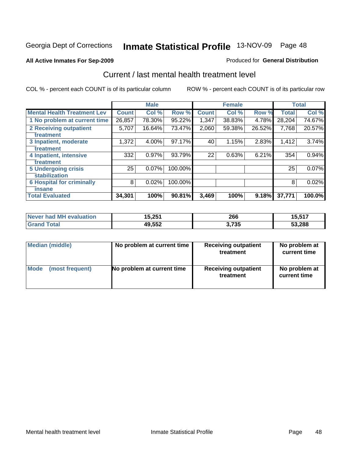#### **All Active Inmates For Sep-2009**

### Produced for **General Distribution**

### Current / last mental health treatment level

|                                    |              | <b>Male</b> |         |              | <b>Female</b> |        |              | <b>Total</b> |
|------------------------------------|--------------|-------------|---------|--------------|---------------|--------|--------------|--------------|
| <b>Mental Health Treatment Lev</b> | <b>Count</b> | Col %       | Row %   | <b>Count</b> | Col %         | Row %  | <b>Total</b> | Col %        |
| 1 No problem at current time       | 26,857       | 78.30%      | 95.22%  | 1,347        | 38.83%        | 4.78%  | 28,204       | 74.67%       |
| 2 Receiving outpatient             | 5,707        | 16.64%      | 73.47%  | 2,060        | 59.38%        | 26.52% | 7,768        | 20.57%       |
| treatment                          |              |             |         |              |               |        |              |              |
| 3 Inpatient, moderate              | 1,372        | 4.00%       | 97.17%  | 40           | 1.15%         | 2.83%  | 1,412        | 3.74%        |
| treatment                          |              |             |         |              |               |        |              |              |
| 4 Inpatient, intensive             | 332          | 0.97%       | 93.79%  | 22           | 0.63%         | 6.21%  | 354          | 0.94%        |
| treatment                          |              |             |         |              |               |        |              |              |
| <b>5 Undergoing crisis</b>         | 25           | 0.07%       | 100.00% |              |               |        | 25           | 0.07%        |
| stabilization                      |              |             |         |              |               |        |              |              |
| <b>6 Hospital for criminally</b>   | 8            | 0.02%       | 100.00% |              |               |        | 8            | 0.02%        |
| <b>Tinsane</b>                     |              |             |         |              |               |        |              |              |
| <b>Total Evaluated</b>             | 34,301       | 100%        | 90.81%  | 3,469        | 100%          | 9.18%  | 37,771       | 100.0%       |

| Never had MH evaluation   | 15,251 | 266   | : 647<br>ו וכ.כי |
|---------------------------|--------|-------|------------------|
| $\mathsf{Total}$<br>Grand | 49,552 | 3,735 | 53,288           |

| <b>Median (middle)</b> | No problem at current time | <b>Receiving outpatient</b><br>treatment | No problem at<br>current time |
|------------------------|----------------------------|------------------------------------------|-------------------------------|
| Mode                   | No problem at current time | <b>Receiving outpatient</b>              | No problem at                 |
| (most frequent)        |                            | treatment                                | current time                  |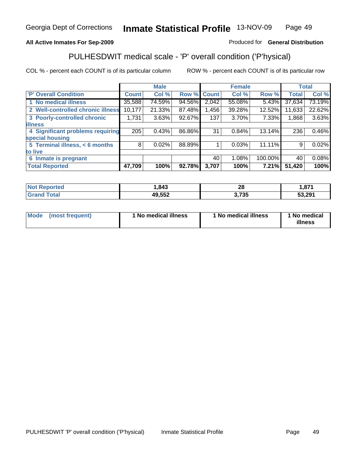### **All Active Inmates For Sep-2009**

### Produced for **General Distribution**

### PULHESDWIT medical scale - 'P' overall condition ('P'hysical)

|                                   |              | <b>Male</b> |        |              | <b>Female</b> |         |              | <b>Total</b> |
|-----------------------------------|--------------|-------------|--------|--------------|---------------|---------|--------------|--------------|
| 'P' Overall Condition             | <b>Count</b> | Col %       | Row %  | <b>Count</b> | Col %         | Row %   | <b>Total</b> | Col %        |
| 1 No medical illness              | 35,588       | 74.59%      | 94.56% | 2,042        | 55.08%        | 5.43%   | 37,634       | 73.19%       |
| 2 Well-controlled chronic illness | 10,177       | 21.33%      | 87.48% | ,456         | 39.28%        | 12.52%  | 11,633       | 22.62%       |
| 3 Poorly-controlled chronic       | 1,731        | 3.63%       | 92.67% | 137          | 3.70%         | 7.33%   | 1,868        | 3.63%        |
| <b>illness</b>                    |              |             |        |              |               |         |              |              |
| 4 Significant problems requiring  | 205          | 0.43%       | 86.86% | 31           | 0.84%         | 13.14%  | 236          | 0.46%        |
| special housing                   |              |             |        |              |               |         |              |              |
| 5 Terminal illness, $<$ 6 months  | 8            | 0.02%       | 88.89% |              | 0.03%         | 11.11%  | 9            | 0.02%        |
| to live                           |              |             |        |              |               |         |              |              |
| 6 Inmate is pregnant              |              |             |        | 40           | 1.08%         | 100.00% | 40           | 0.08%        |
| <b>Total Reported</b>             | 47,709       | 100%        | 92.78% | 3,707        | 100%          | 7.21%   | 51,420       | 100%         |

| orted | .843   | ഹ<br>40<br>__ | 074<br>.,o/ I |
|-------|--------|---------------|---------------|
|       | 49,552 | フクト<br>ני ו   | 53.291        |

| Mode (most frequent) | 1 No medical illness | 1 No medical illness | 1 No medical |
|----------------------|----------------------|----------------------|--------------|
|                      |                      |                      | illness      |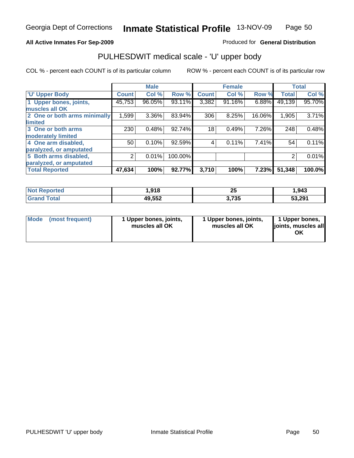### **All Active Inmates For Sep-2009**

Produced for **General Distribution**

### PULHESDWIT medical scale - 'U' upper body

|                              |              | <b>Male</b> |         |              | <b>Female</b> |        |              | <b>Total</b> |
|------------------------------|--------------|-------------|---------|--------------|---------------|--------|--------------|--------------|
| <b>U' Upper Body</b>         | <b>Count</b> | Col %       | Row %   | <b>Count</b> | Col %         | Row %  | <b>Total</b> | Col %        |
| 1 Upper bones, joints,       | 45,753       | 96.05%      | 93.11%  | 3,382        | 91.16%        | 6.88%  | 49,139       | 95.70%       |
| muscles all OK               |              |             |         |              |               |        |              |              |
| 2 One or both arms minimally | 1,599        | 3.36%       | 83.94%  | 306          | 8.25%         | 16.06% | 1,905        | 3.71%        |
| limited                      |              |             |         |              |               |        |              |              |
| 3 One or both arms           | 230          | 0.48%       | 92.74%  | 18           | 0.49%         | 7.26%  | 248          | 0.48%        |
| moderately limited           |              |             |         |              |               |        |              |              |
| 4 One arm disabled,          | 50           | 0.10%       | 92.59%  | 4            | 0.11%         | 7.41%  | 54           | 0.11%        |
| paralyzed, or amputated      |              |             |         |              |               |        |              |              |
| 5 Both arms disabled,        | 2            | 0.01%       | 100.00% |              |               |        | 2            | 0.01%        |
| paralyzed, or amputated      |              |             |         |              |               |        |              |              |
| <b>Total Reported</b>        | 47,634       | 100%        | 92.77%  | 3,710        | 100%          | 7.23%  | 51,348       | 100.0%       |

| <b>Not Reported</b>   | 1,918  | ሳይ<br>ΖJ | 943. ا |
|-----------------------|--------|----------|--------|
| <b>Total</b><br>Grand | 49,552 | 3,735    | 53,291 |

| Mode | (most frequent) | 1 Upper bones, joints,<br>muscles all OK | 1 Upper bones, joints,<br>muscles all OK | 1 Upper bones,<br>joints, muscles all<br>ΟK |
|------|-----------------|------------------------------------------|------------------------------------------|---------------------------------------------|
|------|-----------------|------------------------------------------|------------------------------------------|---------------------------------------------|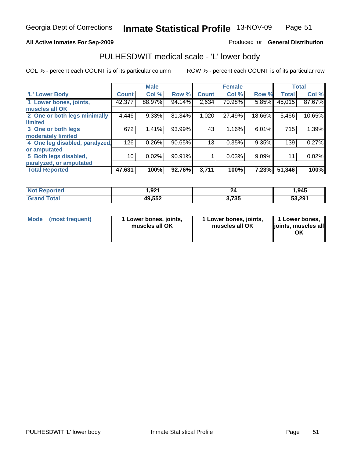### **All Active Inmates For Sep-2009**

Produced for **General Distribution**

### PULHESDWIT medical scale - 'L' lower body

|                                |         | <b>Male</b> |        |              | <b>Female</b> |        |              | <b>Total</b> |
|--------------------------------|---------|-------------|--------|--------------|---------------|--------|--------------|--------------|
| 'L' Lower Body                 | Count ! | Col %       | Row %  | <b>Count</b> | Col %         | Row %  | <b>Total</b> | Col %        |
| 1 Lower bones, joints,         | 42,377  | 88.97%      | 94.14% | 2,634        | 70.98%        | 5.85%  | 45,015       | 87.67%       |
| muscles all OK                 |         |             |        |              |               |        |              |              |
| 2 One or both legs minimally   | 4,446   | 9.33%       | 81.34% | 1,020        | 27.49%        | 18.66% | 5,466        | 10.65%       |
| limited                        |         |             |        |              |               |        |              |              |
| 3 One or both legs             | 672     | 1.41%       | 93.99% | 43           | 1.16%         | 6.01%  | 715          | 1.39%        |
| moderately limited             |         |             |        |              |               |        |              |              |
| 4 One leg disabled, paralyzed, | 126     | 0.26%       | 90.65% | 13           | 0.35%         | 9.35%  | 139          | 0.27%        |
| or amputated                   |         |             |        |              |               |        |              |              |
| 5 Both legs disabled,          | 10      | 0.02%       | 90.91% |              | 0.03%         | 9.09%  | 11           | 0.02%        |
| paralyzed, or amputated        |         |             |        |              |               |        |              |              |
| <b>Total Reported</b>          | 47,631  | 100%        | 92.76% | 3,711        | 100%          | 7.23%  | 51,346       | 100%         |

| <b>Not Reported</b>   | 1,92 <sup>4</sup> | 24    | .945   |
|-----------------------|-------------------|-------|--------|
| <b>Total</b><br>Grand | 49,552            | 3,735 | 53,291 |

| Mode | (most frequent) | 1 Lower bones, joints,<br>muscles all OK | 1 Lower bones, joints,<br>muscles all OK | 1 Lower bones,<br>joints, muscles all<br>ΟK |
|------|-----------------|------------------------------------------|------------------------------------------|---------------------------------------------|
|------|-----------------|------------------------------------------|------------------------------------------|---------------------------------------------|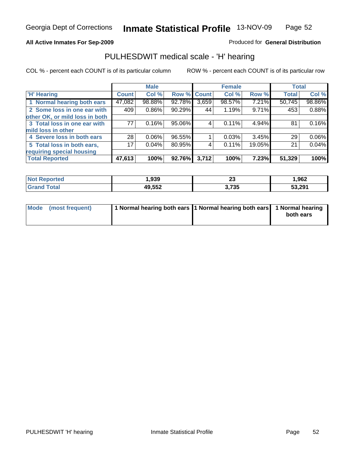### **All Active Inmates For Sep-2009**

Produced for **General Distribution**

### PULHESDWIT medical scale - 'H' hearing

|                                |        | <b>Male</b> |             |       | <b>Female</b> |        | <b>Total</b> |          |
|--------------------------------|--------|-------------|-------------|-------|---------------|--------|--------------|----------|
| <b>H' Hearing</b>              | Count  | Col %       | Row % Count |       | Col %         | Row %  | <b>Total</b> | Col %    |
| 1 Normal hearing both ears     | 47,082 | 98.88%      | 92.78%      | 3,659 | 98.57%        | 7.21%  | 50,745       | 98.86%   |
| 2 Some loss in one ear with    | 409    | 0.86%       | 90.29%      | 44    | 1.19%         | 9.71%  | 453          | 0.88%    |
| other OK, or mild loss in both |        |             |             |       |               |        |              |          |
| 3 Total loss in one ear with   | 77     | 0.16%       | 95.06%      | 4     | 0.11%         | 4.94%  | 81           | 0.16%    |
| mild loss in other             |        |             |             |       |               |        |              |          |
| 4 Severe loss in both ears     | 28     | 0.06%       | 96.55%      |       | 0.03%         | 3.45%  | 29           | 0.06%    |
| 5 Total loss in both ears,     | 17     | 0.04%       | 80.95%      | 4     | 0.11%         | 19.05% | 21           | $0.04\%$ |
| requiring special housing      |        |             |             |       |               |        |              |          |
| <b>Total Reported</b>          | 47,613 | 100%        | 92.76%      | 3,712 | 100%          | 7.23%  | 51,329       | 100%     |

| <b>orted</b>    | റാറ<br>.,ყაა | $\overline{\phantom{a}}$<br>∠◡ | 962. ا |
|-----------------|--------------|--------------------------------|--------|
| $int^{\bullet}$ | 49,552       | 3,735                          | 53,291 |

| Mode (most frequent) | 1 Normal hearing both ears 11 Normal hearing both ears 1 Normal hearing | both ears |
|----------------------|-------------------------------------------------------------------------|-----------|
|                      |                                                                         |           |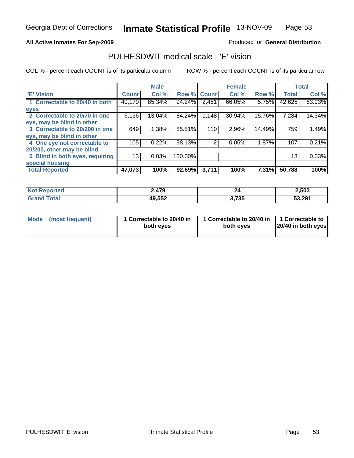### **All Active Inmates For Sep-2009**

Produced for **General Distribution**

### PULHESDWIT medical scale - 'E' vision

|                                 |              | <b>Male</b> |             |       | <b>Female</b> |        |              | <b>Total</b> |
|---------------------------------|--------------|-------------|-------------|-------|---------------|--------|--------------|--------------|
| 'E' Vision                      | <b>Count</b> | Col %       | Row % Count |       | Col %         | Row %  | <b>Total</b> | Col %        |
| 1 Correctable to 20/40 in both  | 40,170       | 85.34%      | 94.24%      | 2,451 | 66.05%        | 5.75%  | 42,625       | 83.93%       |
| eyes                            |              |             |             |       |               |        |              |              |
| 2 Correctable to 20/70 in one   | 6,136        | 13.04%      | 84.24%      | 1,148 | 30.94%        | 15.76% | 7,284        | 14.34%       |
| eye, may be blind in other      |              |             |             |       |               |        |              |              |
| 3 Correctable to 20/200 in one  | 649          | 1.38%       | 85.51%      | 110   | 2.96%         | 14.49% | 759          | 1.49%        |
| eye, may be blind in other      |              |             |             |       |               |        |              |              |
| 4 One eye not correctable to    | 105          | 0.22%       | 98.13%      | 2     | 0.05%         | 1.87%  | 107          | 0.21%        |
| 20/200, other may be blind      |              |             |             |       |               |        |              |              |
| 5 Blind in both eyes, requiring | 13           | 0.03%       | 100.00%     |       |               |        | 13           | 0.03%        |
| special housing                 |              |             |             |       |               |        |              |              |
| <b>Total Reported</b>           | 47,073       | 100%        | 92.69%      | 3,711 | 100%          | 7.31%  | 50,788       | 100%         |

| <b>orted</b> | 479    | 44    | 2,503  |
|--------------|--------|-------|--------|
|              | 49,552 | 3,735 | 53,291 |

| Mode | (most frequent) | 1 Correctable to 20/40 in<br>both eves | 1 Correctable to 20/40 in   1 Correctable to  <br>both eves | 20/40 in both eyes |
|------|-----------------|----------------------------------------|-------------------------------------------------------------|--------------------|
|      |                 |                                        |                                                             |                    |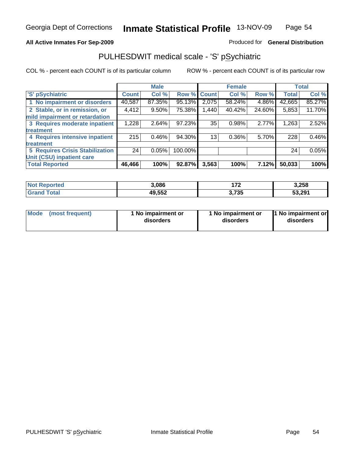#### **All Active Inmates For Sep-2009**

Produced for **General Distribution**

### PULHESDWIT medical scale - 'S' pSychiatric

|                                        |              | <b>Male</b> |         |              | <b>Female</b> |        |              | <b>Total</b> |
|----------------------------------------|--------------|-------------|---------|--------------|---------------|--------|--------------|--------------|
| 'S' pSychiatric                        | <b>Count</b> | Col %       | Row %   | <b>Count</b> | Col %         | Row %  | <b>Total</b> | Col %        |
| 1 No impairment or disorders           | 40,587       | 87.35%      | 95.13%  | 2,075        | 58.24%        | 4.86%  | 42,665       | 85.27%       |
| 2 Stable, or in remission, or          | 4,412        | $9.50\%$    | 75.38%  | 1,440        | 40.42%        | 24.60% | 5,853        | 11.70%       |
| mild impairment or retardation         |              |             |         |              |               |        |              |              |
| 3 Requires moderate inpatient          | 1,228        | 2.64%       | 97.23%  | 35           | 0.98%         | 2.77%  | 1,263        | 2.52%        |
| treatment                              |              |             |         |              |               |        |              |              |
| 4 Requires intensive inpatient         | 215          | 0.46%       | 94.30%  | 13           | $0.36\%$      | 5.70%  | 228          | 0.46%        |
| treatment                              |              |             |         |              |               |        |              |              |
| <b>5 Requires Crisis Stabilization</b> | 24           | 0.05%       | 100.00% |              |               |        | 24           | 0.05%        |
| Unit (CSU) inpatient care              |              |             |         |              |               |        |              |              |
| <b>Total Reported</b>                  | 46,466       | 100%        | 92.87%  | 3,563        | 100%          | 7.12%  | 50,033       | 100%         |

| <b>Not Reported</b>      | 3,086  | ィラヘ   | 3,258  |
|--------------------------|--------|-------|--------|
| <b>Total</b><br>ˈGrand . | 49,552 | 3,735 | 53,291 |

| Mode | (most frequent) | 1 No impairment or<br>disorders | 1 No impairment or<br>disorders | 11 No impairment or<br>disorders |
|------|-----------------|---------------------------------|---------------------------------|----------------------------------|
|------|-----------------|---------------------------------|---------------------------------|----------------------------------|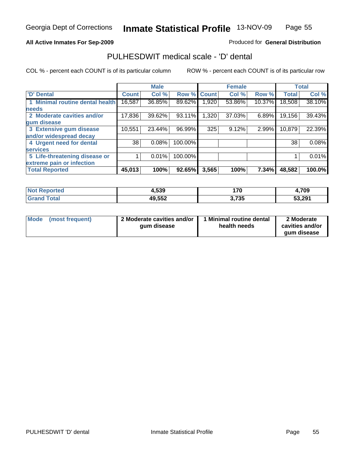### **All Active Inmates For Sep-2009**

Produced for **General Distribution**

### PULHESDWIT medical scale - 'D' dental

|                                 |              | <b>Male</b> |             |       | <b>Female</b> |        |              | <b>Total</b> |
|---------------------------------|--------------|-------------|-------------|-------|---------------|--------|--------------|--------------|
| 'D' Dental                      | <b>Count</b> | Col %       | Row % Count |       | Col %         | Row %  | <b>Total</b> | Col %        |
| 1 Minimal routine dental health | 16,587       | 36.85%      | 89.62%      | .920  | 53.86%        | 10.37% | 18,508       | 38.10%       |
| <b>needs</b>                    |              |             |             |       |               |        |              |              |
| 2 Moderate cavities and/or      | 17,836       | 39.62%      | 93.11%      | 1,320 | 37.03%        | 6.89%  | 19,156       | 39.43%       |
| gum disease                     |              |             |             |       |               |        |              |              |
| 3 Extensive gum disease         | 10,551       | 23.44%      | 96.99%      | 325   | 9.12%         | 2.99%  | 10,879       | 22.39%       |
| and/or widespread decay         |              |             |             |       |               |        |              |              |
| 4 Urgent need for dental        | 38           | 0.08%       | 100.00%     |       |               |        | 38           | 0.08%        |
| <b>services</b>                 |              |             |             |       |               |        |              |              |
| 5 Life-threatening disease or   |              | 0.01%       | 100.00%     |       |               |        |              | 0.01%        |
| extreme pain or infection       |              |             |             |       |               |        |              |              |
| <b>Total Reported</b>           | 45,013       | 100%        | 92.65%      | 3,565 | 100%          | 7.34%  | 48,582       | 100.0%       |

| N <sub>of</sub><br>norted | 4,539  | 170<br><u></u> | 4,709  |
|---------------------------|--------|----------------|--------|
| $\sim$ $\sim$<br>Circ     | 49,552 | 3,735          | 53,291 |

| <b>Mode</b> | (most frequent) | 2 Moderate cavities and/or | I Minimal routine dental | 2 Moderate      |
|-------------|-----------------|----------------------------|--------------------------|-----------------|
|             |                 | gum disease                | health needs             | cavities and/or |
|             |                 |                            |                          | qum disease     |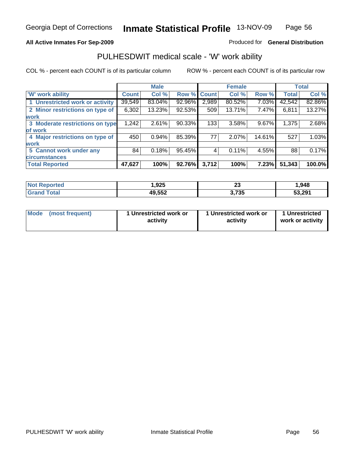### **All Active Inmates For Sep-2009**

#### Produced for **General Distribution**

### PULHESDWIT medical scale - 'W' work ability

|                                 |              | <b>Male</b> |        |             | <b>Female</b> |        |              | <b>Total</b> |
|---------------------------------|--------------|-------------|--------|-------------|---------------|--------|--------------|--------------|
| <b>W' work ability</b>          | <b>Count</b> | Col %       |        | Row % Count | Col %         | Row %  | <b>Total</b> | Col %        |
| 1 Unrestricted work or activity | 39,549       | 83.04%      | 92.96% | 2,989       | 80.52%        | 7.03%  | 42,542       | 82.86%       |
| 2 Minor restrictions on type of | 6,302        | 13.23%      | 92.53% | 509         | 13.71%        | 7.47%  | 6,811        | 13.27%       |
| <b>work</b>                     |              |             |        |             |               |        |              |              |
| 3 Moderate restrictions on type | 1,242        | 2.61%       | 90.33% | 133         | 3.58%         | 9.67%  | 1,375        | 2.68%        |
| of work                         |              |             |        |             |               |        |              |              |
| 4 Major restrictions on type of | 450          | 0.94%       | 85.39% | 77          | 2.07%         | 14.61% | 527          | 1.03%        |
| <b>work</b>                     |              |             |        |             |               |        |              |              |
| 5 Cannot work under any         | 84           | 0.18%       | 95.45% |             | 0.11%         | 4.55%  | 88           | 0.17%        |
| <b>circumstances</b>            |              |             |        |             |               |        |              |              |
| <b>Total Reported</b>           | 47,627       | 100%        | 92.76% | 3,712       | 100%          | 7.23%  | 51,343       | 100.0%       |

| <b>Not Reported</b>      | 925. ا | n.<br>δJ | 948. ا |
|--------------------------|--------|----------|--------|
| <b>Total</b><br>ˈGrand . | 49,552 | 3,735    | 53,291 |

| Mode | (most freauent) | 1 Unrestricted work or<br>activity | 1 Unrestricted work or<br>activity | 1 Unrestricted<br>work or activity |
|------|-----------------|------------------------------------|------------------------------------|------------------------------------|
|------|-----------------|------------------------------------|------------------------------------|------------------------------------|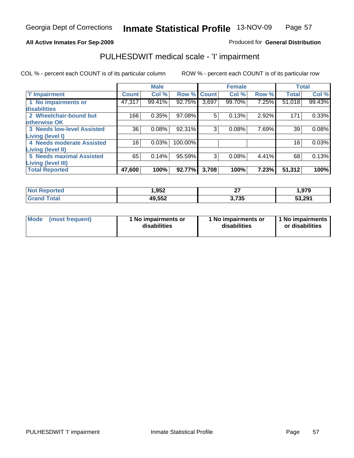### **All Active Inmates For Sep-2009**

### Produced for **General Distribution**

### PULHESDWIT medical scale - 'I' impairment

|                                   |              | <b>Male</b> |             |       | <b>Female</b> |       |              | <b>Total</b> |
|-----------------------------------|--------------|-------------|-------------|-------|---------------|-------|--------------|--------------|
| <b>T</b> Impairment               | <b>Count</b> | Col %       | Row % Count |       | Col %         | Row % | <b>Total</b> | Col %        |
| 1 No impairments or               | 47,317       | 99.41%      | 92.75%      | 3,697 | 99.70%        | 7.25% | 51,018       | 99.43%       |
| disabilities                      |              |             |             |       |               |       |              |              |
| 2 Wheelchair-bound but            | 166          | 0.35%       | 97.08%      | 5     | 0.13%         | 2.92% | 171          | 0.33%        |
| otherwise OK                      |              |             |             |       |               |       |              |              |
| <b>3 Needs low-level Assisted</b> | 36           | 0.08%       | 92.31%      | 3     | 0.08%         | 7.69% | 39           | 0.08%        |
| Living (level I)                  |              |             |             |       |               |       |              |              |
| 4 Needs moderate Assisted         | 16           | 0.03%       | 100.00%     |       |               |       | 16           | 0.03%        |
| Living (level II)                 |              |             |             |       |               |       |              |              |
| <b>5 Needs maximal Assisted</b>   | 65           | 0.14%       | $95.59\%$   | 3     | 0.08%         | 4.41% | 68           | 0.13%        |
| <b>Living (level III)</b>         |              |             |             |       |               |       |              |              |
| <b>Total Reported</b>             | 47,600       | 100%        | 92.77%      | 3,708 | 100%          | 7.23% | 51,312       | 100%         |

| <b>Not Reported</b> | 952. ا | ~-            | 979, ، |
|---------------------|--------|---------------|--------|
| Total               | 49,552 | フ?ち<br>J.I JJ | 53,291 |

| Mode | (most frequent) | 1 No impairments or<br>disabilities | 1 No impairments or<br>disabilities | 11 No impairments<br>or disabilities |
|------|-----------------|-------------------------------------|-------------------------------------|--------------------------------------|
|------|-----------------|-------------------------------------|-------------------------------------|--------------------------------------|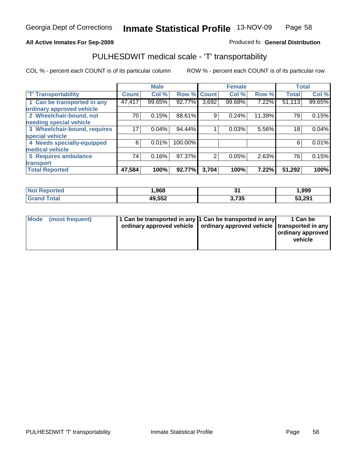#### **Inmate Statistical Profile** 13-NOV-09 Page Page 58

#### All Active Inmates For Sep-2009 **All Active Inmates For Sep-2009 Produced fo General Distribution**

### PULHESDWIT medical scale - 'T' transportability

|                              |              | <b>Male</b> |         |                | <b>Female</b> |        | <b>Total</b> |        |
|------------------------------|--------------|-------------|---------|----------------|---------------|--------|--------------|--------|
| <b>T' Transportability</b>   | <b>Count</b> | Col %       | Row %   | <b>Count</b>   | Col %         | Row %  | <b>Total</b> | Col %  |
| 1 Can be transported in any  | 47,417       | 99.65%      | 92.77%  | 3,692          | 99.68%        | 7.22%  | 51,113       | 99.65% |
| ordinary approved vehicle    |              |             |         |                |               |        |              |        |
| 2 Wheelchair-bound, not      | 70           | 0.15%       | 88.61%  | 9              | 0.24%         | 11.39% | 79           | 0.15%  |
| needing special vehicle      |              |             |         |                |               |        |              |        |
| 3 Wheelchair-bound, requires | 17           | 0.04%       | 94.44%  |                | 0.03%         | 5.56%  | 18           | 0.04%  |
| special vehicle              |              |             |         |                |               |        |              |        |
| 4 Needs specially-equipped   | 6            | 0.01%       | 100.00% |                |               |        | 6            | 0.01%  |
| medical vehicle              |              |             |         |                |               |        |              |        |
| <b>5 Requires ambulance</b>  | 74           | 0.16%       | 97.37%  | $\overline{2}$ | 0.05%         | 2.63%  | 76           | 0.15%  |
| transport                    |              |             |         |                |               |        |              |        |
| <b>Total Reported</b>        | 47,584       | 100%        | 92.77%  | 3,704          | 100%          | 7.22%  | 51,292       | 100%   |

| <b>rted</b><br>NO. | ,968             |               | 999, ا |
|--------------------|------------------|---------------|--------|
|                    | AO ドドウ<br>49.JJZ | フクド<br>טט ו,ט | 53,291 |

| Mode (most frequent) | 1 Can be transported in any 1 Can be transported in any                    | 1 Can be          |
|----------------------|----------------------------------------------------------------------------|-------------------|
|                      | ordinary approved vehicle   ordinary approved vehicle   transported in any |                   |
|                      |                                                                            | ordinary approved |
|                      |                                                                            | vehicle           |
|                      |                                                                            |                   |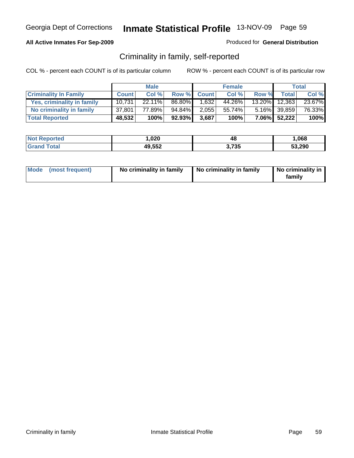### **All Active Inmates For Sep-2009**

Produced for **General Distribution**

### Criminality in family, self-reported

|                              |              | <b>Male</b> |        |              | <b>Female</b> |       |                 | <b>Total</b> |
|------------------------------|--------------|-------------|--------|--------------|---------------|-------|-----------------|--------------|
| <b>Criminality In Family</b> | <b>Count</b> | Col %       | Row %  | <b>Count</b> | Col %         | Row % | <b>Total</b>    | Col %        |
| Yes, criminality in family   | 10.731       | $22.11\%$   | 86.80% | 1.632        | 44.26%        |       | 13.20% 12,363   | 23.67%       |
| No criminality in family     | 37,801       | 77.89%      | 94.84% | 2,055        | 55.74%        |       | $5.16\%$ 39,859 | 76.33%       |
| <b>Total Reported</b>        | 48,532       | 100%        | 92.93% | 3,687        | 100%          |       | 7.06% 52,222    | 100%         |

| <b>Not Reported</b> | 020, ا | 48            | ,068   |
|---------------------|--------|---------------|--------|
| <b>Tota</b>         | 49,552 | 2 フマド<br>/ ວວ | 53,290 |

| Mode (most frequent) | No criminality in family | No criminality in family | No criminality in<br>family |
|----------------------|--------------------------|--------------------------|-----------------------------|
|----------------------|--------------------------|--------------------------|-----------------------------|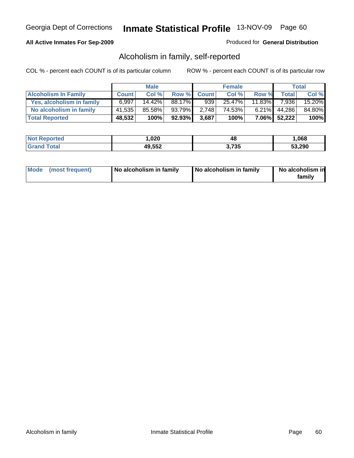#### **All Active Inmates For Sep-2009**

#### Produced for **General Distribution**

### Alcoholism in family, self-reported

|                             |              | <b>Male</b> |        |              | <b>Female</b> |           |              | Total  |
|-----------------------------|--------------|-------------|--------|--------------|---------------|-----------|--------------|--------|
| <b>Alcoholism In Family</b> | <b>Count</b> | Col %       | Row %  | <b>Count</b> | Col %         | Row %     | <b>Total</b> | Col %  |
| Yes, alcoholism in family   | 6.997        | $14.42\%$   | 88.17% | 939          | 25.47%        | $11.83\%$ | 7.936        | 15.20% |
| No alcoholism in family     | 41,535       | 85.58%      | 93.79% | 2,748        | 74.53%        |           | 6.21% 44,286 | 84.80% |
| <b>Total Reported</b>       | 48,532       | 100%        | 92.93% | 3,687        | 100%          |           | 7.06% 52,222 | 100%   |

| <b>Not Reported</b> | 020, ا | 48            | ,068   |
|---------------------|--------|---------------|--------|
| <b>Tota</b>         | 49,552 | 2 フマド<br>/ ວວ | 53,290 |

|  | Mode (most frequent) | No alcoholism in family | No alcoholism in family | No alcoholism in<br>familv |
|--|----------------------|-------------------------|-------------------------|----------------------------|
|--|----------------------|-------------------------|-------------------------|----------------------------|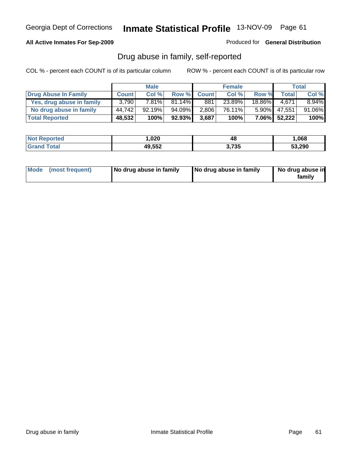### **All Active Inmates For Sep-2009**

Produced for **General Distribution**

### Drug abuse in family, self-reported

|                           |              | <b>Male</b> |           |              | <b>Female</b> |           |              | <b>Total</b> |
|---------------------------|--------------|-------------|-----------|--------------|---------------|-----------|--------------|--------------|
| Drug Abuse In Family      | <b>Count</b> | Col %       | Row %     | <b>Count</b> | Col %         | Row %     | <b>Total</b> | Col %        |
| Yes, drug abuse in family | 3,790        | 7.81%       | $81.14\%$ | 881          | 23.89%        | $18.86\%$ | 4.671        | $8.94\%$     |
| No drug abuse in family   | 44.742       | 92.19%      | 94.09%    | 2,806        | 76.11%        | $5.90\%$  | 47,551       | 91.06%       |
| <b>Total Reported</b>     | 48,532       | 100%        | 92.93%    | 3,687        | 100%          |           | 7.06% 52,222 | 100%         |

| <b>Not Reported</b> | ,020   | 48    | ,068   |
|---------------------|--------|-------|--------|
| Tota                | 49,552 | 3,735 | 53.290 |

|  | Mode (most frequent) | No drug abuse in family | No drug abuse in family | No drug abuse in<br>family |
|--|----------------------|-------------------------|-------------------------|----------------------------|
|--|----------------------|-------------------------|-------------------------|----------------------------|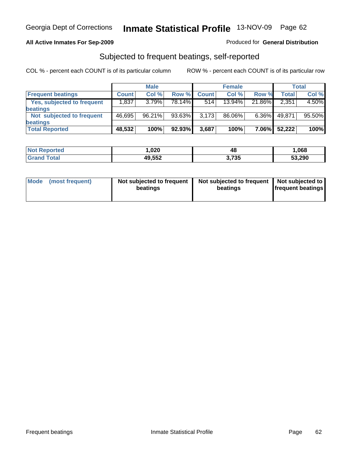### **All Active Inmates For Sep-2009**

#### Produced for **General Distribution**

### Subjected to frequent beatings, self-reported

|                            |              | <b>Male</b> |        |              | <b>Female</b> |          |        | <b>Total</b> |
|----------------------------|--------------|-------------|--------|--------------|---------------|----------|--------|--------------|
| <b>Frequent beatings</b>   | <b>Count</b> | Col%        | Row %  | <b>Count</b> | Col %         | Row %    | Total  | Col %        |
| Yes, subjected to frequent | 1,837        | 3.79%       | 78.14% | 514          | $13.94\%$     | 21.86%   | 2,351  | 4.50%        |
| beatings                   |              |             |        |              |               |          |        |              |
| Not subjected to frequent  | 46,695       | 96.21%      | 93.63% | 3,173        | 86.06%        | $6.36\%$ | 49.871 | 95.50%       |
| beatings                   |              |             |        |              |               |          |        |              |
| <b>Total Reported</b>      | 48,532       | 100%        | 92.93% | 3,687        | 100%          | 7.06%    | 52,222 | 100%         |

| <b>Not Reported</b> | .020،  | 48    | 068. ا |
|---------------------|--------|-------|--------|
| <b>Total</b>        | 49,552 | 3,735 | 53,290 |

| Mode | (most frequent) | Not subjected to frequent<br>beatings | Not subjected to frequent   Not subjected to<br>beatings | <b>frequent beatings</b> |
|------|-----------------|---------------------------------------|----------------------------------------------------------|--------------------------|
|------|-----------------|---------------------------------------|----------------------------------------------------------|--------------------------|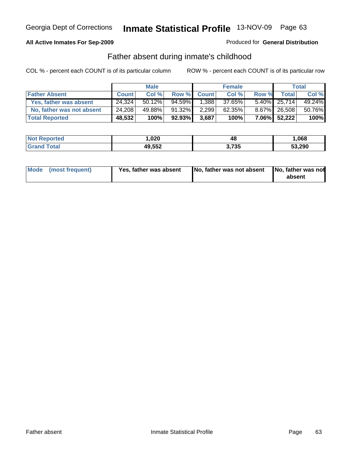### **All Active Inmates For Sep-2009**

#### Produced for **General Distribution**

### Father absent during inmate's childhood

|                           |              | <b>Male</b> |        |              | <b>Female</b> |       |                 | Total  |
|---------------------------|--------------|-------------|--------|--------------|---------------|-------|-----------------|--------|
| <b>Father Absent</b>      | <b>Count</b> | Col %       | Row %  | <b>Count</b> | Col %         | Row % | <b>Total</b>    | Col %  |
| Yes, father was absent    | 24.324       | 50.12%      | 94.59% | 1.3881       | 37.65%        |       | $5.40\%$ 25,714 | 49.24% |
| No, father was not absent | 24.208       | 49.88%      | 91.32% | 2,299        | 62.35%        |       | 8.67% 26.508    | 50.76% |
| <b>Total Reported</b>     | 48,532       | 100%        | 92.93% | 3,687        | 100%          |       | 7.06% 52,222    | 100%   |

| <b>Not Reported</b> | 020, ا | 48    | .068   |
|---------------------|--------|-------|--------|
| Total<br>l Grand T  | 49,552 | 3,735 | 53,290 |

| Mode (most frequent) | Yes, father was absent | No, father was not absent   No, father was not | absent |
|----------------------|------------------------|------------------------------------------------|--------|
|                      |                        |                                                |        |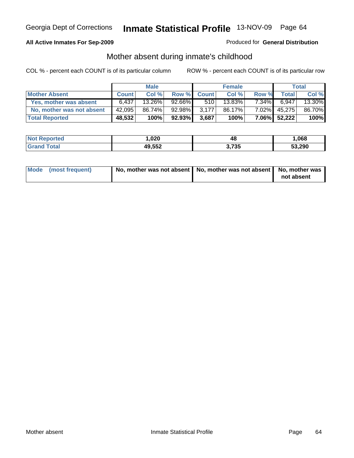### **All Active Inmates For Sep-2009**

#### Produced for **General Distribution**

### Mother absent during inmate's childhood

|                           |              | <b>Male</b> |        |              | <b>Female</b> |          |              | Total  |
|---------------------------|--------------|-------------|--------|--------------|---------------|----------|--------------|--------|
| <b>Mother Absent</b>      | <b>Count</b> | Col %       | Row %  | <b>Count</b> | Col %         | Row %    | <b>Total</b> | Col %  |
| Yes, mother was absent    | 6,437        | 13.26%      | 92.66% | 510          | 13.83%        | $7.34\%$ | 6,947        | 13.30% |
| No, mother was not absent | 42,095       | 86.74%      | 92.98% | 3.177        | 86.17%        |          | 7.02% 45,275 | 86.70% |
| <b>Total Reported</b>     | 48,532       | 100%        | 92.93% | 3,687        | 100%          |          | 7.06% 52,222 | 100%   |

| <b>Not Reported</b> | 020, ا | 48            | ,068   |
|---------------------|--------|---------------|--------|
| <b>Tota</b>         | 49,552 | 2 フマド<br>/ ວວ | 53,290 |

| Mode (most frequent) | No, mother was not absent $\vert$ No, mother was not absent $\vert$ No, mother was | not absent |
|----------------------|------------------------------------------------------------------------------------|------------|
|----------------------|------------------------------------------------------------------------------------|------------|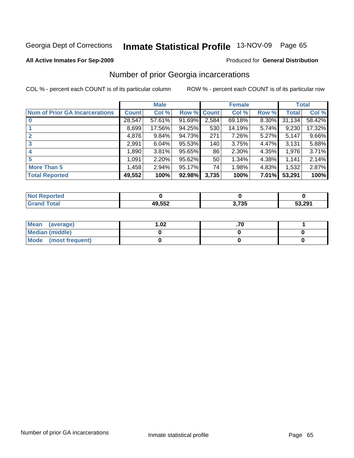#### **All Active Inmates For Sep-2009**

#### Produced for **General Distribution**

# Number of prior Georgia incarcerations

|                                       | <b>Male</b>  |        |             |       | <b>Female</b> | <b>Total</b> |        |        |
|---------------------------------------|--------------|--------|-------------|-------|---------------|--------------|--------|--------|
| <b>Num of Prior GA Incarcerations</b> | <b>Count</b> | Col %  | Row % Count |       | Col %         | Row %        | Total  | Col %  |
| $\bf{0}$                              | 28,547       | 57.61% | 91.69%      | 2,584 | 69.18%        | 8.30%        | 31,134 | 58.42% |
|                                       | 8,699        | 17.56% | 94.25%      | 530   | 14.19%        | 5.74%        | 9,230  | 17.32% |
|                                       | 4,876        | 9.84%  | 94.73%      | 271   | 7.26%         | 5.27%        | 5,147  | 9.66%  |
| 3                                     | 2,991        | 6.04%  | 95.53%      | 140   | 3.75%         | 4.47%        | 3,131  | 5.88%  |
|                                       | 1,890        | 3.81%  | 95.65%      | 86    | 2.30%         | 4.35%        | 1,976  | 3.71%  |
| 5                                     | 1,091        | 2.20%  | 95.62%      | 50    | 1.34%         | 4.38%        | 1,141  | 2.14%  |
| <b>More Than 5</b>                    | 1,458        | 2.94%  | 95.17%      | 74    | 1.98%         | 4.83%        | 1,532  | 2.87%  |
| <b>Total Reported</b>                 | 49,552       | 100%   | 92.98%      | 3,735 | 100%          | 7.01%        | 53,291 | 100%   |

| N |                     |          |        |
|---|---------------------|----------|--------|
|   | $\overline{10}$ ccs | 70F<br>. | 53.291 |

| Mean (average)       | $\overline{.02}$ |  |
|----------------------|------------------|--|
| Median (middle)      |                  |  |
| Mode (most frequent) |                  |  |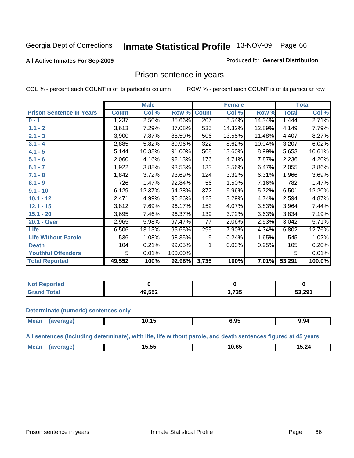#### **All Active Inmates For Sep-2009**

#### Produced for **General Distribution**

### Prison sentence in years

COL % - percent each COUNT is of its particular column ROW % - percent each COUNT is of its particular row

|                                 |              | <b>Male</b> |         |              | <b>Female</b> |        |              | <b>Total</b> |
|---------------------------------|--------------|-------------|---------|--------------|---------------|--------|--------------|--------------|
| <b>Prison Sentence In Years</b> | <b>Count</b> | Col %       | Row %   | <b>Count</b> | Col %         | Row %  | <b>Total</b> | Col %        |
| $0 - 1$                         | 1,237        | 2.50%       | 85.66%  | 207          | 5.54%         | 14.34% | 1,444        | 2.71%        |
| $1.1 - 2$                       | 3,613        | 7.29%       | 87.08%  | 535          | 14.32%        | 12.89% | 4,149        | 7.79%        |
| $2.1 - 3$                       | 3,900        | 7.87%       | 88.50%  | 506          | 13.55%        | 11.48% | 4,407        | 8.27%        |
| $3.1 - 4$                       | 2,885        | 5.82%       | 89.96%  | 322          | 8.62%         | 10.04% | 3,207        | 6.02%        |
| $4.1 - 5$                       | 5,144        | 10.38%      | 91.00%  | 508          | 13.60%        | 8.99%  | 5,653        | 10.61%       |
| $5.1 - 6$                       | 2,060        | 4.16%       | 92.13%  | 176          | 4.71%         | 7.87%  | 2,236        | 4.20%        |
| $6.1 - 7$                       | 1,922        | 3.88%       | 93.53%  | 133          | 3.56%         | 6.47%  | 2,055        | 3.86%        |
| $7.1 - 8$                       | 1,842        | 3.72%       | 93.69%  | 124          | 3.32%         | 6.31%  | 1,966        | 3.69%        |
| $8.1 - 9$                       | 726          | 1.47%       | 92.84%  | 56           | 1.50%         | 7.16%  | 782          | 1.47%        |
| $9.1 - 10$                      | 6,129        | 12.37%      | 94.28%  | 372          | 9.96%         | 5.72%  | 6,501        | 12.20%       |
| $10.1 - 12$                     | 2,471        | 4.99%       | 95.26%  | 123          | 3.29%         | 4.74%  | 2,594        | 4.87%        |
| $12.1 - 15$                     | 3,812        | 7.69%       | 96.17%  | 152          | 4.07%         | 3.83%  | 3,964        | 7.44%        |
| $15.1 - 20$                     | 3,695        | 7.46%       | 96.37%  | 139          | 3.72%         | 3.63%  | 3,834        | 7.19%        |
| 20.1 - Over                     | 2,965        | 5.98%       | 97.47%  | 77           | 2.06%         | 2.53%  | 3,042        | 5.71%        |
| <b>Life</b>                     | 6,506        | 13.13%      | 95.65%  | 295          | 7.90%         | 4.34%  | 6,802        | 12.76%       |
| <b>Life Without Parole</b>      | 536          | 1.08%       | 98.35%  | 9            | 0.24%         | 1.65%  | 545          | 1.02%        |
| <b>Death</b>                    | 104          | 0.21%       | 99.05%  |              | 0.03%         | 0.95%  | 105          | 0.20%        |
| <b>Youthful Offenders</b>       | 5            | 0.01%       | 100.00% |              |               |        | 5            | 0.01%        |
| <b>Total Reported</b>           | 49,552       | 100%        | 92.98%  | 3,735        | 100%          | 7.01%  | 53,291       | 100.0%       |

| <b>Reported</b><br>I NOT I |        |                 |        |
|----------------------------|--------|-----------------|--------|
| <b>otal</b><br>. Gre       | 49,552 | ・フクロ<br>J. I JJ | 53,291 |

#### **Determinate (numeric) sentences only**

| <b>Mean</b><br>$\cdots$ | mo | . .<br>10.15 | <br>. | $\ddot{\phantom{0}}$<br>9.94 |
|-------------------------|----|--------------|-------|------------------------------|
|                         |    |              |       |                              |

**All sentences (including determinate), with life, life without parole, and death sentences figured at 45 years**

| --<br>$\sim$ $\sim$<br>M<br>24<br>. .<br>$\sim$<br>1U.<br>ס.י<br>.<br>$\mathbf{v}$<br>-----<br>____<br>_____ |  |  |  |
|--------------------------------------------------------------------------------------------------------------|--|--|--|
|                                                                                                              |  |  |  |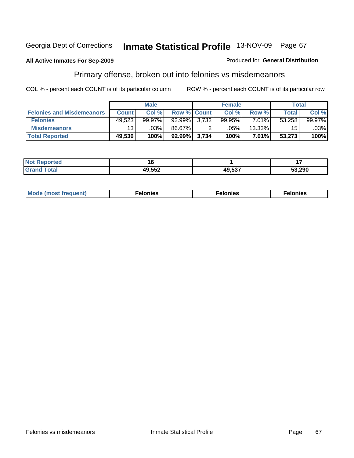#### **All Active Inmates For Sep-2009**

# Primary offense, broken out into felonies vs misdemeanors

COL % - percent each COUNT is of its particular column

| ROW % - percent each COUNT is of its particular row |
|-----------------------------------------------------|
|-----------------------------------------------------|

|                                  | <b>Male</b>     |           |                    | <b>Female</b> |         |          | Total  |        |
|----------------------------------|-----------------|-----------|--------------------|---------------|---------|----------|--------|--------|
| <b>Felonies and Misdemeanors</b> | <b>Count</b>    | Col %     | <b>Row % Count</b> |               | Col %   | Row %    | Total  | Col %  |
| <b>Felonies</b>                  | 49,523          | $99.97\%$ | $92.99\%$ 3,732    |               | 99.95%  | 7.01%    | 53,258 | 99.97% |
| <b>Misdemeanors</b>              | 13 <sub>1</sub> | .03%      | 86.67%             |               | $.05\%$ | 13.33%   | 15     | .03%   |
| <b>Total Reported</b>            | 49,536          | 100%      | 92.99% 3,734       |               | 100%    | $7.01\%$ | 53,273 | 100%   |

| <b>Not</b><br>Reported |        |        |        |
|------------------------|--------|--------|--------|
| <b>Grand</b>           | 49,552 | 49.537 | 53.290 |

| Mo |      |      |                                                                                 |
|----|------|------|---------------------------------------------------------------------------------|
|    | nie. | лнев | าเคร                                                                            |
|    | ___  | ___  | the contract of the contract of the contract of the contract of the contract of |

Produced for **General Distribution**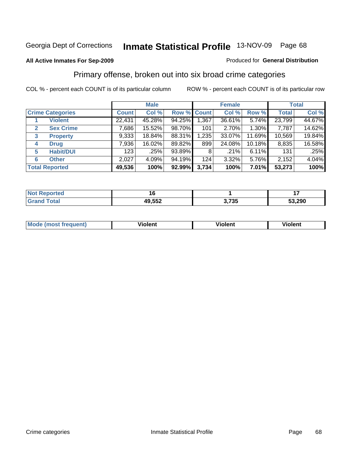#### **All Active Inmates For Sep-2009**

#### Produced for **General Distribution**

### Primary offense, broken out into six broad crime categories

|                                  |              | <b>Male</b> |        |             | <b>Female</b> |           |              | <b>Total</b> |  |
|----------------------------------|--------------|-------------|--------|-------------|---------------|-----------|--------------|--------------|--|
| <b>Crime Categories</b>          | <b>Count</b> | Col %       |        | Row % Count | Col %         | Row %     | <b>Total</b> | Col %        |  |
| <b>Violent</b>                   | 22,431       | 45.28%      | 94.25% | 1,367       | 36.61%        | 5.74%     | 23,799       | 44.67%       |  |
| <b>Sex Crime</b><br>$\mathbf{2}$ | 7,686        | 15.52%      | 98.70% | 101         | 2.70%         | 1.30%     | 7,787        | 14.62%       |  |
| $\mathbf{3}$<br><b>Property</b>  | 9,333        | 18.84%      | 88.31% | 1,235       | 33.07%        | 11.69%    | 10,569       | 19.84%       |  |
| 4<br><b>Drug</b>                 | 7,936        | 16.02%      | 89.82% | 899         | 24.08%        | $10.18\%$ | 8,835        | 16.58%       |  |
| <b>Habit/DUI</b><br>5            | 123          | $.25\%$     | 93.89% | 8           | .21%          | 6.11%     | 131          | .25%         |  |
| <b>Other</b><br>6                | 2,027        | 4.09%       | 94.19% | 124         | 3.32%         | 5.76%     | 2,152        | 4.04%        |  |
| <b>Total Reported</b>            | 49,536       | 100%        | 92.99% | 3,734       | 100%          | $7.01\%$  | 53,273       | 100%         |  |

| -тес.<br>NO   |        |                | . .    |
|---------------|--------|----------------|--------|
| $\sim$ $\sim$ | 49,552 | ・フつに<br>J.I J. | 53.290 |

| IМ  | .        | .        |  |
|-----|----------|----------|--|
| ___ | -------- | -------- |  |
|     |          |          |  |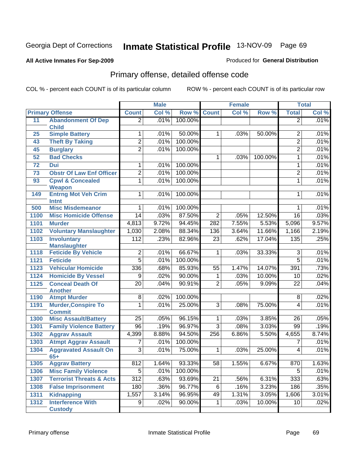#### **All Active Inmates For Sep-2009**

#### Produced for **General Distribution**

# Primary offense, detailed offense code

|      |                                              | <b>Male</b>      |       | <b>Female</b> |                 |       | <b>Total</b> |                 |       |
|------|----------------------------------------------|------------------|-------|---------------|-----------------|-------|--------------|-----------------|-------|
|      | <b>Primary Offense</b>                       | <b>Count</b>     | Col % | Row %         | <b>Count</b>    | Col % | Row %        | <b>Total</b>    | Col % |
| 11   | <b>Abandonment Of Dep</b>                    | $\overline{2}$   | .01%  | 100.00%       |                 |       |              | $\overline{2}$  | .01%  |
|      | <b>Child</b>                                 |                  |       |               |                 |       |              |                 |       |
| 25   | <b>Simple Battery</b>                        | 1                | .01%  | 50.00%        | 1               | .03%  | 50.00%       | $\overline{2}$  | .01%  |
| 43   | <b>Theft By Taking</b>                       | $\overline{2}$   | .01%  | 100.00%       |                 |       |              | $\overline{2}$  | .01%  |
| 45   | <b>Burglary</b>                              | $\overline{2}$   | .01%  | 100.00%       |                 |       |              | $\overline{2}$  | .01%  |
| 52   | <b>Bad Checks</b>                            |                  |       |               | $\mathbf{1}$    | .03%  | 100.00%      | $\mathbf 1$     | .01%  |
| 72   | Dui                                          | 1                | .01%  | 100.00%       |                 |       |              | $\mathbf{1}$    | .01%  |
| 73   | <b>Obstr Of Law Enf Officer</b>              | $\overline{2}$   | .01%  | 100.00%       |                 |       |              | $\overline{2}$  | .01%  |
| 93   | <b>Cpwl &amp; Concealed</b><br><b>Weapon</b> | $\overline{1}$   | .01%  | 100.00%       |                 |       |              | $\mathbf{1}$    | .01%  |
| 149  | <b>Entrng Mot Veh Crim</b><br>Intnt          | $\mathbf{1}$     | .01%  | 100.00%       |                 |       |              | 1               | .01%  |
| 500  | <b>Misc Misdemeanor</b>                      | 1                | .01%  | 100.00%       |                 |       |              | $\mathbf 1$     | .01%  |
| 1100 | <b>Misc Homicide Offense</b>                 | $\overline{14}$  | .03%  | 87.50%        | $\overline{2}$  | .05%  | 12.50%       | 16              | .03%  |
| 1101 | <b>Murder</b>                                | 4,813            | 9.72% | 94.45%        | 282             | 7.55% | 5.53%        | 5,096           | 9.57% |
| 1102 | <b>Voluntary Manslaughter</b>                | 1,030            | 2.08% | 88.34%        | 136             | 3.64% | 11.66%       | 1,166           | 2.19% |
| 1103 | <b>Involuntary</b>                           | 112              | .23%  | 82.96%        | $\overline{23}$ | .62%  | 17.04%       | 135             | .25%  |
|      | <b>Manslaughter</b>                          |                  |       |               |                 |       |              |                 |       |
| 1118 | <b>Feticide By Vehicle</b>                   | $\overline{2}$   | .01%  | 66.67%        | $\mathbf{1}$    | .03%  | 33.33%       | $\overline{3}$  | .01%  |
| 1121 | <b>Feticide</b>                              | $\overline{5}$   | .01%  | 100.00%       |                 |       |              | $\overline{5}$  | .01%  |
| 1123 | <b>Vehicular Homicide</b>                    | 336              | .68%  | 85.93%        | $\overline{55}$ | 1.47% | 14.07%       | 391             | .73%  |
| 1124 | <b>Homicide By Vessel</b>                    | 9                | .02%  | 90.00%        | 1               | .03%  | 10.00%       | 10              | .02%  |
| 1125 | <b>Conceal Death Of</b><br><b>Another</b>    | $\overline{20}$  | .04%  | 90.91%        | $\overline{2}$  | .05%  | 9.09%        | $\overline{22}$ | .04%  |
| 1190 | <b>Atmpt Murder</b>                          | $\overline{8}$   | .02%  | 100.00%       |                 |       |              | $\overline{8}$  | .02%  |
| 1191 | <b>Murder, Conspire To</b><br><b>Commit</b>  | 1                | .01%  | 25.00%        | $\overline{3}$  | .08%  | 75.00%       | 4               | .01%  |
| 1300 | <b>Misc Assault/Battery</b>                  | $\overline{25}$  | .05%  | 96.15%        | $\overline{1}$  | .03%  | 3.85%        | 26              | .05%  |
| 1301 | <b>Family Violence Battery</b>               | 96               | .19%  | 96.97%        | $\overline{3}$  | .08%  | 3.03%        | 99              | .19%  |
| 1302 | <b>Aggrav Assault</b>                        | 4,399            | 8.88% | 94.50%        | 256             | 6.86% | 5.50%        | 4,655           | 8.74% |
| 1303 | <b>Atmpt Aggrav Assault</b>                  | $\overline{7}$   | .01%  | 100.00%       |                 |       |              | 7               | .01%  |
| 1304 | <b>Aggravated Assault On</b><br>$65+$        | $\overline{3}$   | .01%  | 75.00%        | $\mathbf{1}$    | .03%  | 25.00%       | 4               | .01%  |
| 1305 | <b>Aggrav Battery</b>                        | 812              | 1.64% | 93.33%        | 58              | 1.55% | 6.67%        | 870             | 1.63% |
| 1306 | <b>Misc Family Violence</b>                  | 5                | .01%  | 100.00%       |                 |       |              | 5               | .01%  |
| 1307 | <b>Terrorist Threats &amp; Acts</b>          | $\overline{312}$ | .63%  | 93.69%        | $\overline{21}$ | .56%  | 6.31%        | 333             | .63%  |
| 1308 | <b>False Imprisonment</b>                    | 180              | .36%  | 96.77%        | 6               | .16%  | 3.23%        | 186             | .35%  |
| 1311 | <b>Kidnapping</b>                            | 1,557            | 3.14% | 96.95%        | 49              | 1.31% | 3.05%        | 1,606           | 3.01% |
| 1312 | <b>Interference With</b><br><b>Custody</b>   | 9                | .02%  | 90.00%        | $\mathbf{1}$    | .03%  | 10.00%       | 10              | .02%  |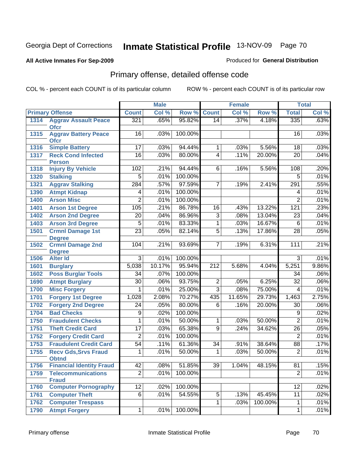#### **All Active Inmates For Sep-2009**

#### Produced for **General Distribution**

# Primary offense, detailed offense code

|      |                                            | <b>Male</b>     |        | <b>Female</b> |                  |        | <b>Total</b> |                 |       |
|------|--------------------------------------------|-----------------|--------|---------------|------------------|--------|--------------|-----------------|-------|
|      | <b>Primary Offense</b>                     | <b>Count</b>    | Col %  | Row %         | <b>Count</b>     | Col %  | Row %        | <b>Total</b>    | Col % |
| 1314 | <b>Aggrav Assault Peace</b>                | 321             | .65%   | 95.82%        | 14               | .37%   | 4.18%        | 335             | .63%  |
|      | <b>Ofcr</b>                                |                 |        |               |                  |        |              |                 | .03%  |
| 1315 | <b>Aggrav Battery Peace</b><br><b>Ofcr</b> | 16              | .03%   | 100.00%       |                  |        |              | 16              |       |
| 1316 | <b>Simple Battery</b>                      | 17              | .03%   | 94.44%        | 1                | .03%   | 5.56%        | 18              | .03%  |
| 1317 | <b>Reck Cond Infected</b>                  | 16              | .03%   | 80.00%        | $\overline{4}$   | .11%   | 20.00%       | $\overline{20}$ | .04%  |
|      | <b>Person</b>                              |                 |        |               |                  |        |              |                 |       |
| 1318 | <b>Injury By Vehicle</b>                   | 102             | .21%   | 94.44%        | 6                | .16%   | 5.56%        | 108             | .20%  |
| 1320 | <b>Stalking</b>                            | $\overline{5}$  | .01%   | 100.00%       |                  |        |              | $\overline{5}$  | .01%  |
| 1321 | <b>Aggrav Stalking</b>                     | 284             | .57%   | 97.59%        | 7                | .19%   | 2.41%        | 291             | .55%  |
| 1390 | <b>Atmpt Kidnap</b>                        | 4               | .01%   | 100.00%       |                  |        |              | 4               | .01%  |
| 1400 | <b>Arson Misc</b>                          | $\overline{2}$  | .01%   | 100.00%       |                  |        |              | $\overline{2}$  | .01%  |
| 1401 | <b>Arson 1st Degree</b>                    | 105             | .21%   | 86.78%        | $\overline{16}$  | .43%   | 13.22%       | 121             | .23%  |
| 1402 | <b>Arson 2nd Degree</b>                    | 20              | .04%   | 86.96%        | $\overline{3}$   | .08%   | 13.04%       | 23              | .04%  |
| 1403 | <b>Arson 3rd Degree</b>                    | $\overline{5}$  | .01%   | 83.33%        | 1                | .03%   | 16.67%       | $\overline{6}$  | .01%  |
| 1501 | <b>Crmnl Damage 1st</b>                    | $\overline{23}$ | .05%   | 82.14%        | $\overline{5}$   | .13%   | 17.86%       | $\overline{28}$ | .05%  |
|      | <b>Degree</b>                              |                 |        |               |                  |        |              |                 |       |
| 1502 | <b>Crmnl Damage 2nd</b>                    | 104             | .21%   | 93.69%        | 7                | .19%   | 6.31%        | 111             | .21%  |
| 1506 | <b>Degree</b><br><b>Alter Id</b>           | $\overline{3}$  | .01%   | 100.00%       |                  |        |              | 3               | .01%  |
| 1601 | <b>Burglary</b>                            | 5,038           | 10.17% | 95.94%        | $\overline{212}$ | 5.68%  | 4.04%        | 5,251           | 9.86% |
| 1602 | <b>Poss Burglar Tools</b>                  | 34              | .07%   | 100.00%       |                  |        |              | 34              | .06%  |
| 1690 | <b>Atmpt Burglary</b>                      | $\overline{30}$ | .06%   | 93.75%        | $\overline{2}$   | .05%   | 6.25%        | $\overline{32}$ | .06%  |
| 1700 | <b>Misc Forgery</b>                        | 1               | .01%   | 25.00%        | $\overline{3}$   | .08%   | 75.00%       | 4               | .01%  |
| 1701 | <b>Forgery 1st Degree</b>                  | 1,028           | 2.08%  | 70.27%        | 435              | 11.65% | 29.73%       | 1,463           | 2.75% |
| 1702 | <b>Forgery 2nd Degree</b>                  | $\overline{24}$ | .05%   | 80.00%        | $\overline{6}$   | .16%   | 20.00%       | 30              | .06%  |
| 1704 | <b>Bad Checks</b>                          | 9               | .02%   | 100.00%       |                  |        |              | 9               | .02%  |
| 1750 | <b>Fraudulent Checks</b>                   | 1               | .01%   | 50.00%        | 1                | .03%   | 50.00%       | $\overline{2}$  | .01%  |
| 1751 | <b>Theft Credit Card</b>                   | 17              | .03%   | 65.38%        | 9                | .24%   | 34.62%       | 26              | .05%  |
| 1752 | <b>Forgery Credit Card</b>                 | 2               | .01%   | 100.00%       |                  |        |              | $\overline{2}$  | .01%  |
| 1753 | <b>Fraudulent Credit Card</b>              | 54              | .11%   | 61.36%        | $\overline{34}$  | .91%   | 38.64%       | 88              | .17%  |
| 1755 | <b>Recv Gds, Srvs Fraud</b>                | 1               | .01%   | 50.00%        | 1                | .03%   | 50.00%       | $\overline{2}$  | .01%  |
|      | <b>Obtnd</b>                               |                 |        |               |                  |        |              |                 |       |
| 1756 | <b>Financial Identity Fraud</b>            | 42              | .08%   | 51.85%        | 39               | 1.04%  | 48.15%       | 81              | .15%  |
| 1759 | <b>Telecommunications</b>                  | $\overline{2}$  | .01%   | 100.00%       |                  |        |              | $\overline{2}$  | .01%  |
|      | <b>Fraud</b>                               |                 |        |               |                  |        |              |                 |       |
| 1760 | <b>Computer Pornography</b>                | 12              | .02%   | 100.00%       |                  |        |              | $\overline{12}$ | .02%  |
| 1761 | <b>Computer Theft</b>                      | $\overline{6}$  | .01%   | 54.55%        | $\overline{5}$   | .13%   | 45.45%       | $\overline{11}$ | .02%  |
| 1762 | <b>Computer Trespass</b>                   |                 |        |               | 1                | .03%   | 100.00%      | $\mathbf{1}$    | .01%  |
| 1790 | <b>Atmpt Forgery</b>                       | 1               | .01%   | 100.00%       |                  |        |              | 1               | .01%  |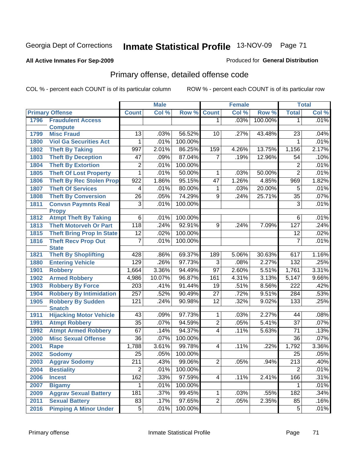#### **All Active Inmates For Sep-2009**

#### Produced for **General Distribution**

# Primary offense, detailed offense code

|      |                                             | <b>Male</b>      |        | Female  |                 |       | <b>Total</b> |                  |       |
|------|---------------------------------------------|------------------|--------|---------|-----------------|-------|--------------|------------------|-------|
|      | <b>Primary Offense</b>                      | <b>Count</b>     | Col %  | Row %   | <b>Count</b>    | Col % | Row %        | <b>Total</b>     | Col % |
| 1796 | <b>Fraudulent Access</b>                    |                  |        |         | 1               | .03%  | 100.00%      | $\mathbf 1$      | .01%  |
|      | <b>Compute</b>                              |                  |        |         |                 |       |              |                  |       |
| 1799 | <b>Misc Fraud</b>                           | $\overline{13}$  | .03%   | 56.52%  | 10              | .27%  | 43.48%       | $\overline{23}$  | .04%  |
| 1800 | <b>Viol Ga Securities Act</b>               | 1                | .01%   | 100.00% |                 |       |              | $\mathbf 1$      | .01%  |
| 1802 | <b>Theft By Taking</b>                      | 997              | 2.01%  | 86.25%  | 159             | 4.26% | 13.75%       | 1,156            | 2.17% |
| 1803 | <b>Theft By Deception</b>                   | $\overline{47}$  | .09%   | 87.04%  | $\overline{7}$  | .19%  | 12.96%       | 54               | .10%  |
| 1804 | <b>Theft By Extortion</b>                   | 2                | .01%   | 100.00% |                 |       |              | $\overline{2}$   | .01%  |
| 1805 | <b>Theft Of Lost Property</b>               | 1                | .01%   | 50.00%  | 1               | .03%  | 50.00%       | $\overline{2}$   | .01%  |
| 1806 | <b>Theft By Rec Stolen Prop</b>             | $\overline{922}$ | 1.86%  | 95.15%  | 47              | 1.26% | 4.85%        | 969              | 1.82% |
| 1807 | <b>Theft Of Services</b>                    | 4                | .01%   | 80.00%  | 1               | .03%  | 20.00%       | 5                | .01%  |
| 1808 | <b>Theft By Conversion</b>                  | $\overline{26}$  | .05%   | 74.29%  | $\overline{9}$  | .24%  | 25.71%       | $\overline{35}$  | .07%  |
| 1811 | <b>Convsn Paymnts Real</b>                  | $\overline{3}$   | .01%   | 100.00% |                 |       |              | 3                | .01%  |
|      | <b>Propy</b>                                |                  |        |         |                 |       |              |                  |       |
| 1812 | <b>Atmpt Theft By Taking</b>                | $\overline{6}$   | .01%   | 100.00% |                 |       |              | 6                | .01%  |
| 1813 | <b>Theft Motorveh Or Part</b>               | 118              | .24%   | 92.91%  | $\overline{9}$  | .24%  | 7.09%        | 127              | .24%  |
| 1815 | <b>Theft Bring Prop In State</b>            | $\overline{12}$  | .02%   | 100.00% |                 |       |              | $\overline{12}$  | .02%  |
| 1816 | <b>Theft Recv Prop Out</b>                  | $\overline{7}$   | .01%   | 100.00% |                 |       |              | $\overline{7}$   | .01%  |
| 1821 | <b>State</b><br><b>Theft By Shoplifting</b> | 428              | .86%   | 69.37%  | 189             | 5.06% | 30.63%       | 617              | 1.16% |
| 1880 | <b>Entering Vehicle</b>                     | 129              | .26%   | 97.73%  | $\overline{3}$  | .08%  | 2.27%        | 132              | .25%  |
|      | <b>Robbery</b>                              | 1,664            | 3.36%  | 94.49%  | $\overline{97}$ | 2.60% | 5.51%        | 1,761            | 3.31% |
| 1901 |                                             |                  | 10.07% | 96.87%  | 161             | 4.31% | 3.13%        |                  | 9.66% |
| 1902 | <b>Armed Robbery</b>                        | 4,986            |        |         |                 |       |              | 5,147            |       |
| 1903 | <b>Robbery By Force</b>                     | $\overline{203}$ | .41%   | 91.44%  | 19              | .51%  | 8.56%        | 222              | .42%  |
| 1904 | <b>Robbery By Intimidation</b>              | 257              | .52%   | 90.49%  | $\overline{27}$ | .72%  | 9.51%        | 284              | .53%  |
| 1905 | <b>Robbery By Sudden</b><br><b>Snatch</b>   | 121              | .24%   | 90.98%  | $\overline{12}$ | .32%  | 9.02%        | 133              | .25%  |
| 1911 | <b>Hijacking Motor Vehicle</b>              | $\overline{43}$  | .09%   | 97.73%  | 1               | .03%  | 2.27%        | 44               | .08%  |
| 1991 | <b>Atmpt Robbery</b>                        | $\overline{35}$  | .07%   | 94.59%  | $\overline{2}$  | .05%  | 5.41%        | $\overline{37}$  | .07%  |
| 1992 | <b>Atmpt Armed Robbery</b>                  | 67               | .14%   | 94.37%  | $\overline{4}$  | .11%  | 5.63%        | $\overline{71}$  | .13%  |
| 2000 | <b>Misc Sexual Offense</b>                  | $\overline{36}$  | .07%   | 100.00% |                 |       |              | $\overline{36}$  | .07%  |
| 2001 | Rape                                        | 1,788            | 3.61%  | 99.78%  | $\overline{4}$  | .11%  | .22%         | 1,792            | 3.36% |
| 2002 | <b>Sodomy</b>                               | $\overline{25}$  | .05%   | 100.00% |                 |       |              | 25               | .05%  |
| 2003 | <b>Aggrav Sodomy</b>                        | $\overline{211}$ | .43%   | 99.06%  | 2               | .05%  | .94%         | $\overline{213}$ | .40%  |
| 2004 | <b>Bestiality</b>                           | $\overline{2}$   | .01%   | 100.00% |                 |       |              | $\overline{2}$   | .01%  |
| 2006 | <b>Incest</b>                               | 162              | .33%   | 97.59%  | $\overline{4}$  | .11%  | 2.41%        | 166              | .31%  |
| 2007 | <b>Bigamy</b>                               | 1                | .01%   | 100.00% |                 |       |              | 1                | .01%  |
| 2009 | <b>Aggrav Sexual Battery</b>                | 181              | .37%   | 99.45%  | 1               | .03%  | .55%         | 182              | .34%  |
| 2011 | <b>Sexual Battery</b>                       | 83               | .17%   | 97.65%  | $\overline{2}$  | .05%  | 2.35%        | 85               | .16%  |
| 2016 | <b>Pimping A Minor Under</b>                | $\overline{5}$   | .01%   | 100.00% |                 |       |              | $\overline{5}$   | .01%  |
|      |                                             |                  |        |         |                 |       |              |                  |       |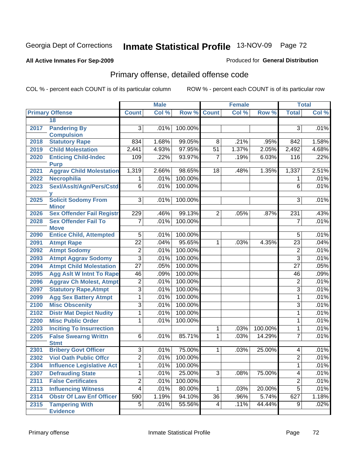#### **All Active Inmates For Sep-2009**

#### Produced for **General Distribution**

# Primary offense, detailed offense code

|      |                                            | <b>Male</b>     |       | Female      |                 |       | <b>Total</b> |                         |       |
|------|--------------------------------------------|-----------------|-------|-------------|-----------------|-------|--------------|-------------------------|-------|
|      | <b>Primary Offense</b>                     | <b>Count</b>    | Col % | Row % Count |                 | Col % | Row %        | <b>Total</b>            | Col % |
|      | 18                                         |                 |       |             |                 |       |              |                         |       |
| 2017 | <b>Pandering By</b>                        | 3               | .01%  | 100.00%     |                 |       |              | 3                       | .01%  |
|      | <b>Compulsion</b>                          |                 |       |             |                 |       |              |                         |       |
| 2018 | <b>Statutory Rape</b>                      | 834             | 1.68% | 99.05%      | 8               | .21%  | .95%         | 842                     | 1.58% |
| 2019 | <b>Child Molestation</b>                   | 2,441           | 4.93% | 97.95%      | $\overline{51}$ | 1.37% | 2.05%        | 2,492                   | 4.68% |
| 2020 | <b>Enticing Child-Indec</b><br><b>Purp</b> | 109             | .22%  | 93.97%      | 7               | .19%  | 6.03%        | 116                     | .22%  |
| 2021 | <b>Aggrav Child Molestation</b>            | 1,319           | 2.66% | 98.65%      | 18              | .48%  | 1.35%        | 1,337                   | 2.51% |
| 2022 | Necrophilia                                | 1.              | .01%  | 100.00%     |                 |       |              | 1                       | .01%  |
| 2023 | Sexl/Asslt/Agn/Pers/Cstd                   | $\overline{6}$  | .01%  | 100.00%     |                 |       |              | 6                       | .01%  |
| 2025 | <b>Solicit Sodomy From</b><br><b>Minor</b> | $\overline{3}$  | .01%  | 100.00%     |                 |       |              | $\overline{3}$          | .01%  |
| 2026 | <b>Sex Offender Fail Registr</b>           | 229             | .46%  | 99.13%      | $\overline{2}$  | .05%  | .87%         | 231                     | .43%  |
| 2028 | <b>Sex Offender Fail To</b><br><b>Move</b> | $\overline{7}$  | .01%  | 100.00%     |                 |       |              | $\overline{7}$          | .01%  |
| 2090 | <b>Entice Child, Attempted</b>             | $\overline{5}$  | .01%  | 100.00%     |                 |       |              | 5                       | .01%  |
| 2091 | <b>Atmpt Rape</b>                          | $\overline{22}$ | .04%  | 95.65%      | 1               | .03%  | 4.35%        | 23                      | .04%  |
| 2092 | <b>Atmpt Sodomy</b>                        | $\overline{2}$  | .01%  | 100.00%     |                 |       |              | $\overline{2}$          | .01%  |
| 2093 | <b>Atmpt Aggrav Sodomy</b>                 | $\overline{3}$  | .01%  | 100.00%     |                 |       |              | $\overline{3}$          | .01%  |
| 2094 | <b>Atmpt Child Molestation</b>             | $\overline{27}$ | .05%  | 100.00%     |                 |       |              | $\overline{27}$         | .05%  |
| 2095 | <b>Agg Aslt W Intnt To Rape</b>            | 46              | .09%  | 100.00%     |                 |       |              | 46                      | .09%  |
| 2096 | <b>Aggrav Ch Molest, Atmpt</b>             | $\overline{2}$  | .01%  | 100.00%     |                 |       |              | $\overline{\mathbf{c}}$ | .01%  |
| 2097 | <b>Statutory Rape, Atmpt</b>               | $\overline{3}$  | .01%  | 100.00%     |                 |       |              | $\overline{3}$          | .01%  |
| 2099 | <b>Agg Sex Battery Atmpt</b>               | 1               | .01%  | 100.00%     |                 |       |              | $\mathbf{1}$            | .01%  |
| 2100 | <b>Misc Obscenity</b>                      | $\overline{3}$  | .01%  | 100.00%     |                 |       |              | $\overline{3}$          | .01%  |
| 2102 | <b>Distr Mat Depict Nudity</b>             | 1               | .01%  | 100.00%     |                 |       |              | 1                       | .01%  |
| 2200 | <b>Misc Public Order</b>                   | 1               | .01%  | 100.00%     |                 |       |              | 1                       | .01%  |
| 2203 | <b>Inciting To Insurrection</b>            |                 |       |             | 1               | .03%  | 100.00%      | $\mathbf 1$             | .01%  |
| 2205 | <b>False Swearng Writtn</b>                | $\overline{6}$  | .01%  | 85.71%      | 1               | .03%  | 14.29%       | 7                       | .01%  |
|      | <b>Stmt</b>                                |                 |       |             |                 |       |              |                         |       |
| 2301 | <b>Bribery Govt Officer</b>                | $\overline{3}$  | .01%  | 75.00%      | 1               | .03%  | 25.00%       | 4                       | .01%  |
| 2302 | <b>Viol Oath Public Offcr</b>              | $\overline{2}$  | .01%  | 100.00%     |                 |       |              | $\overline{2}$          | .01%  |
| 2304 | <b>Influence Legislative Act</b>           | $\mathbf 1$     | .01%  | 100.00%     |                 |       |              | $\mathbf{1}$            | .01%  |
| 2307 | <b>Defrauding State</b>                    | $\overline{1}$  | .01%  | 25.00%      | $\overline{3}$  | .08%  | 75.00%       | 4                       | .01%  |
| 2311 | <b>False Certificates</b>                  | $\overline{2}$  | .01%  | 100.00%     |                 |       |              | $\overline{2}$          | .01%  |
| 2313 | <b>Influencing Witness</b>                 | $\overline{4}$  | .01%  | 80.00%      | $\mathbf{1}$    | .03%  | 20.00%       | $\overline{5}$          | .01%  |
| 2314 | <b>Obstr Of Law Enf Officer</b>            | 590             | 1.19% | 94.10%      | $\overline{36}$ | .96%  | 5.74%        | 627                     | 1.18% |
| 2315 | <b>Tampering With</b><br><b>Evidence</b>   | $\overline{5}$  | .01%  | 55.56%      | $\overline{4}$  | .11%  | 44.44%       | 9 <sup>1</sup>          | .02%  |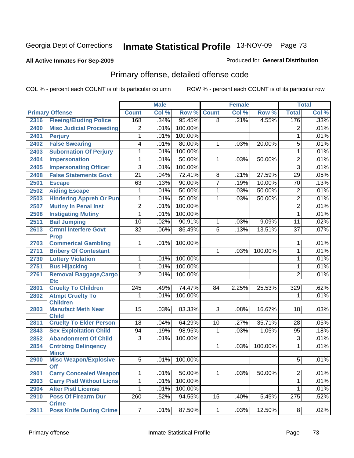### **All Active Inmates For Sep-2009**

### Produced for **General Distribution**

# Primary offense, detailed offense code

|      |                                                |                 | <b>Male</b> |         |                | <b>Female</b> |         |                  | <b>Total</b> |
|------|------------------------------------------------|-----------------|-------------|---------|----------------|---------------|---------|------------------|--------------|
|      | <b>Primary Offense</b>                         | <b>Count</b>    | Col %       | Row %   | <b>Count</b>   | Col %         | Row %   | <b>Total</b>     | Col %        |
| 2316 | <b>Fleeing/Eluding Police</b>                  | 168             | .34%        | 95.45%  | $\overline{8}$ | .21%          | 4.55%   | 176              | .33%         |
| 2400 | <b>Misc Judicial Proceeding</b>                | 2               | .01%        | 100.00% |                |               |         | 2                | .01%         |
| 2401 | <b>Perjury</b>                                 | 1               | .01%        | 100.00% |                |               |         | $\mathbf{1}$     | .01%         |
| 2402 | <b>False Swearing</b>                          | 4               | .01%        | 80.00%  | 1              | .03%          | 20.00%  | 5                | .01%         |
| 2403 | <b>Subornation Of Perjury</b>                  | 1               | .01%        | 100.00% |                |               |         | $\mathbf{1}$     | .01%         |
| 2404 | Impersonation                                  | 1               | .01%        | 50.00%  | 1              | .03%          | 50.00%  | $\overline{2}$   | .01%         |
| 2405 | <b>Impersonating Officer</b>                   | 3               | .01%        | 100.00% |                |               |         | $\overline{3}$   | .01%         |
| 2408 | <b>False Statements Govt</b>                   | $\overline{21}$ | .04%        | 72.41%  | 8              | .21%          | 27.59%  | $\overline{29}$  | .05%         |
| 2501 | <b>Escape</b>                                  | 63              | .13%        | 90.00%  | $\overline{7}$ | .19%          | 10.00%  | $\overline{70}$  | .13%         |
| 2502 | <b>Aiding Escape</b>                           | 1               | .01%        | 50.00%  | 1              | .03%          | 50.00%  | $\overline{2}$   | .01%         |
| 2503 | <b>Hindering Appreh Or Pun</b>                 | 1               | .01%        | 50.00%  | 1              | .03%          | 50.00%  | $\overline{2}$   | .01%         |
| 2507 | <b>Mutiny In Penal Inst</b>                    | $\overline{2}$  | .01%        | 100.00% |                |               |         | $\overline{2}$   | .01%         |
| 2508 | <b>Instigating Mutiny</b>                      | 1               | .01%        | 100.00% |                |               |         | $\mathbf{1}$     | .01%         |
| 2511 | <b>Bail Jumping</b>                            | 10              | .02%        | 90.91%  | 1              | .03%          | 9.09%   | $\overline{11}$  | .02%         |
| 2613 | <b>Crmnl Interfere Govt</b>                    | $\overline{32}$ | .06%        | 86.49%  | $\overline{5}$ | .13%          | 13.51%  | $\overline{37}$  | .07%         |
|      | <b>Prop</b>                                    |                 |             |         |                |               |         |                  |              |
| 2703 | <b>Commerical Gambling</b>                     |                 | .01%        | 100.00% |                |               |         | 1                | .01%         |
| 2711 | <b>Bribery Of Contestant</b>                   |                 |             |         | 1              | .03%          | 100.00% | 1                | .01%         |
| 2730 | <b>Lottery Violation</b>                       | 1               | .01%        | 100.00% |                |               |         | 1                | .01%         |
| 2751 | <b>Bus Hijacking</b>                           | 1               | .01%        | 100.00% |                |               |         | 1                | .01%         |
| 2761 | <b>Removal Baggage, Cargo</b><br><b>Etc</b>    | $\overline{2}$  | .01%        | 100.00% |                |               |         | $\overline{2}$   | .01%         |
| 2801 | <b>Cruelty To Children</b>                     | 245             | .49%        | 74.47%  | 84             | 2.25%         | 25.53%  | $\overline{329}$ | .62%         |
| 2802 | <b>Atmpt Cruelty To</b>                        | 1               | .01%        | 100.00% |                |               |         | 1                | .01%         |
|      | <b>Children</b>                                |                 |             |         |                |               |         |                  |              |
| 2803 | <b>Manufact Meth Near</b>                      | 15              | .03%        | 83.33%  | $\overline{3}$ | .08%          | 16.67%  | 18               | .03%         |
| 2811 | <b>Child</b><br><b>Cruelty To Elder Person</b> | 18              | .04%        | 64.29%  | 10             | .27%          | 35.71%  | 28               | .05%         |
| 2843 | <b>Sex Exploitation Child</b>                  | 94              | .19%        | 98.95%  | 1              | .03%          | 1.05%   | 95               | .18%         |
| 2852 | <b>Abandonment Of Child</b>                    | 3               | .01%        | 100.00% |                |               |         | $\overline{3}$   | .01%         |
| 2854 | <b>Cntrbtng Delingency</b><br><b>Minor</b>     |                 |             |         | 1              | .03%          | 100.00% | 1                | .01%         |
| 2900 | <b>Misc Weapon/Explosive</b><br><b>Off</b>     | $\overline{5}$  | $.01\%$     | 100.00% |                |               |         | $\overline{5}$   | .01%         |
| 2901 | <b>Carry Concealed Weapon</b>                  | 1               | .01%        | 50.00%  | 1              | .03%          | 50.00%  | $\overline{2}$   | .01%         |
| 2903 | <b>Carry Pistl Without Licns</b>               | 1               | .01%        | 100.00% |                |               |         | 1                | .01%         |
| 2904 | <b>Alter Pistl License</b>                     | 1               | .01%        | 100.00% |                |               |         | 1                | .01%         |
| 2910 | <b>Poss Of Firearm Dur</b>                     | 260             | .52%        | 94.55%  | 15             | .40%          | 5.45%   | $\overline{275}$ | .52%         |
|      | <b>Crime</b>                                   |                 |             |         |                |               |         |                  |              |
| 2911 | <b>Poss Knife During Crime</b>                 | $\overline{7}$  | .01%        | 87.50%  | 1              | .03%          | 12.50%  | 8 <sup>1</sup>   | .02%         |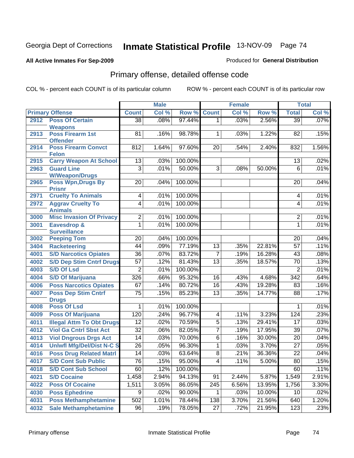### **All Active Inmates For Sep-2009**

### Produced for **General Distribution**

# Primary offense, detailed offense code

|      |                                               |                 | <b>Male</b> |         |                 | <b>Female</b> |        | <b>Total</b>    |       |
|------|-----------------------------------------------|-----------------|-------------|---------|-----------------|---------------|--------|-----------------|-------|
|      | <b>Primary Offense</b>                        | <b>Count</b>    | Col %       | Row %   | <b>Count</b>    | Col %         | Row %  | <b>Total</b>    | Col % |
| 2912 | <b>Poss Of Certain</b>                        | $\overline{38}$ | .08%        | 97.44%  | 1               | .03%          | 2.56%  | $\overline{39}$ | .07%  |
|      | <b>Weapons</b>                                |                 |             |         |                 |               |        |                 |       |
| 2913 | <b>Poss Firearm 1st</b>                       | 81              | .16%        | 98.78%  | 1               | .03%          | 1.22%  | 82              | .15%  |
| 2914 | <b>Offender</b><br><b>Poss Firearm Convct</b> | 812             | 1.64%       | 97.60%  | 20              | .54%          | 2.40%  | 832             | 1.56% |
|      | <b>Felon</b>                                  |                 |             |         |                 |               |        |                 |       |
| 2915 | <b>Carry Weapon At School</b>                 | 13              | .03%        | 100.00% |                 |               |        | 13              | .02%  |
| 2963 | <b>Guard Line</b>                             | $\overline{3}$  | .01%        | 50.00%  | $\overline{3}$  | .08%          | 50.00% | $\overline{6}$  | .01%  |
|      | <b>W/Weapon/Drugs</b>                         |                 |             |         |                 |               |        |                 |       |
| 2965 | <b>Poss Wpn, Drugs By</b><br><b>Prisnr</b>    | 20              | .04%        | 100.00% |                 |               |        | 20              | .04%  |
| 2971 | <b>Cruelty To Animals</b>                     | 4               | .01%        | 100.00% |                 |               |        | 4               | .01%  |
| 2972 | <b>Aggrav Cruelty To</b><br><b>Animals</b>    | $\overline{4}$  | .01%        | 100.00% |                 |               |        | 4               | .01%  |
| 3000 | <b>Misc Invasion Of Privacy</b>               | $\overline{2}$  | .01%        | 100.00% |                 |               |        | $\overline{2}$  | .01%  |
| 3001 | <b>Eavesdrop &amp;</b>                        | 1               | .01%        | 100.00% |                 |               |        | 1               | .01%  |
|      | <b>Surveillance</b>                           |                 |             |         |                 |               |        |                 |       |
| 3002 | <b>Peeping Tom</b>                            | 20              | .04%        | 100.00% |                 |               |        | 20              | .04%  |
| 3404 | <b>Racketeering</b>                           | $\overline{44}$ | .09%        | 77.19%  | $\overline{13}$ | .35%          | 22.81% | $\overline{57}$ | .11%  |
| 4001 | <b>S/D Narcotics Opiates</b>                  | $\overline{36}$ | .07%        | 83.72%  | 7               | .19%          | 16.28% | 43              | .08%  |
| 4002 | <b>S/D Dep Stim Cntrf Drugs</b>               | $\overline{57}$ | .12%        | 81.43%  | $\overline{13}$ | .35%          | 18.57% | $\overline{70}$ | .13%  |
| 4003 | <b>S/D Of Lsd</b>                             | $\overline{2}$  | .01%        | 100.00% |                 |               |        | $\overline{2}$  | .01%  |
| 4004 | <b>S/D Of Marijuana</b>                       | 326             | .66%        | 95.32%  | 16              | .43%          | 4.68%  | 342             | .64%  |
| 4006 | <b>Poss Narcotics Opiates</b>                 | 67              | .14%        | 80.72%  | 16              | .43%          | 19.28% | 83              | .16%  |
| 4007 | <b>Poss Dep Stim Cntrf</b>                    | $\overline{75}$ | .15%        | 85.23%  | $\overline{13}$ | .35%          | 14.77% | $\overline{88}$ | .17%  |
| 4008 | <b>Drugs</b><br><b>Poss Of Lsd</b>            |                 | .01%        | 100.00% |                 |               |        | 1               | .01%  |
| 4009 | <b>Poss Of Marijuana</b>                      | 120             | .24%        | 96.77%  | 4               | .11%          | 3.23%  | 124             | .23%  |
| 4011 | <b>Illegal Attm To Obt Drugs</b>              | $\overline{12}$ | .02%        | 70.59%  | $\overline{5}$  | .13%          | 29.41% | 17              | .03%  |
| 4012 | <b>Viol Ga Cntrl Sbst Act</b>                 | $\overline{32}$ | .06%        | 82.05%  | $\overline{7}$  | .19%          | 17.95% | $\overline{39}$ | .07%  |
| 4013 | <b>Viol Dngrous Drgs Act</b>                  | $\overline{14}$ | .03%        | 70.00%  | 6               | .16%          | 30.00% | $\overline{20}$ | .04%  |
| 4014 | <b>Uniwfl Mfg/Del/Dist N-C S</b>              | $\overline{26}$ | .05%        | 96.30%  | 1               | .03%          | 3.70%  | $\overline{27}$ | .05%  |
| 4016 | <b>Poss Drug Related Matri</b>                | $\overline{14}$ | .03%        | 63.64%  | 8               | .21%          | 36.36% | $\overline{22}$ | .04%  |
| 4017 | <b>S/D Cont Sub Public</b>                    | $\overline{76}$ | .15%        | 95.00%  | 4               | .11%          | 5.00%  | $\overline{80}$ | .15%  |
| 4018 | <b>S/D Cont Sub School</b>                    | 60              | .12%        | 100.00% |                 |               |        | 60              | .11%  |
| 4021 | <b>S/D Cocaine</b>                            | 1,458           | 2.94%       | 94.13%  | 91              | 2.44%         | 5.87%  | 1,549           | 2.91% |
| 4022 | <b>Poss Of Cocaine</b>                        | 1,511           | 3.05%       | 86.05%  | 245             | 6.56%         | 13.95% | 1,756           | 3.30% |
| 4030 | <b>Poss Ephedrine</b>                         | 9               | .02%        | 90.00%  | 1               | .03%          | 10.00% | 10              | .02%  |
| 4031 | <b>Poss Methamphetamine</b>                   | 502             | 1.01%       | 78.44%  | 138             | 3.70%         | 21.56% | 640             | 1.20% |
| 4032 | <b>Sale Methamphetamine</b>                   | 96              | .19%        | 78.05%  | $\overline{27}$ | .72%          | 21.95% | 123             | .23%  |
|      |                                               |                 |             |         |                 |               |        |                 |       |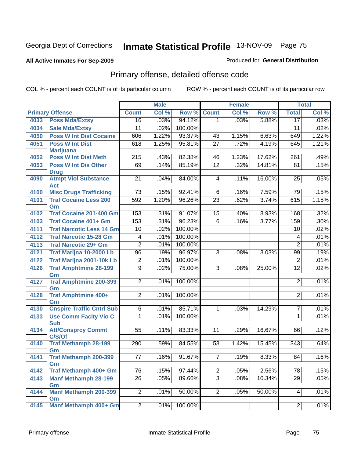### **All Active Inmates For Sep-2009**

### Produced for **General Distribution**

# Primary offense, detailed offense code

|      |                                             |                 | <b>Male</b> |         |                 | <b>Female</b> |        |                 | <b>Total</b> |
|------|---------------------------------------------|-----------------|-------------|---------|-----------------|---------------|--------|-----------------|--------------|
|      | <b>Primary Offense</b>                      | <b>Count</b>    | Col %       | Row %   | <b>Count</b>    | Col %         | Row %  | <b>Total</b>    | Col %        |
| 4033 | <b>Poss Mda/Extsy</b>                       | $\overline{16}$ | .03%        | 94.12%  | 1               | .03%          | 5.88%  | $\overline{17}$ | .03%         |
| 4034 | <b>Sale Mda/Extsy</b>                       | $\overline{11}$ | .02%        | 100.00% |                 |               |        | 11              | .02%         |
| 4050 | <b>Poss W Int Dist Cocaine</b>              | 606             | 1.22%       | 93.37%  | 43              | 1.15%         | 6.63%  | 649             | 1.22%        |
| 4051 | <b>Poss W Int Dist</b>                      | 618             | 1.25%       | 95.81%  | $\overline{27}$ | .72%          | 4.19%  | 645             | 1.21%        |
|      | <b>Marijuana</b>                            |                 |             |         |                 |               |        |                 |              |
| 4052 | <b>Poss W Int Dist Meth</b>                 | 215             | .43%        | 82.38%  | 46              | 1.23%         | 17.62% | 261             | .49%         |
| 4053 | <b>Poss W Int Dis Other</b>                 | 69              | .14%        | 85.19%  | $\overline{12}$ | .32%          | 14.81% | $\overline{81}$ | .15%         |
|      | <b>Drug</b>                                 |                 |             |         |                 |               |        |                 |              |
| 4090 | <b>Atmpt Viol Substance</b>                 | $\overline{21}$ | .04%        | 84.00%  | 4               | .11%          | 16.00% | 25              | .05%         |
| 4100 | <b>Act</b><br><b>Misc Drugs Trafficking</b> | $\overline{73}$ | .15%        | 92.41%  | 6               | .16%          | 7.59%  | 79              | .15%         |
| 4101 | <b>Traf Cocaine Less 200</b>                | 592             | 1.20%       | 96.26%  | $\overline{23}$ | .62%          | 3.74%  | 615             | 1.15%        |
|      | Gm                                          |                 |             |         |                 |               |        |                 |              |
| 4102 | <b>Traf Cocaine 201-400 Gm</b>              | 153             | .31%        | 91.07%  | $\overline{15}$ | .40%          | 8.93%  | 168             | .32%         |
| 4103 | <b>Traf Cocaine 401+ Gm</b>                 | 153             | .31%        | 96.23%  | $\overline{6}$  | .16%          | 3.77%  | 159             | .30%         |
| 4111 | <b>Traf Narcotic Less 14 Gm</b>             | 10              | .02%        | 100.00% |                 |               |        | 10              | .02%         |
| 4112 | <b>Traf Narcotic 15-28 Gm</b>               | 4               | .01%        | 100.00% |                 |               |        | 4               | .01%         |
| 4113 | <b>Traf Narcotic 29+ Gm</b>                 | $\overline{2}$  | .01%        | 100.00% |                 |               |        | $\overline{2}$  | .01%         |
| 4121 | Traf Marijna 10-2000 Lb                     | $\overline{96}$ | .19%        | 96.97%  | 3               | .08%          | 3.03%  | 99              | .19%         |
| 4122 | <b>Traf Marijna 2001-10k Lb</b>             | $\overline{2}$  | .01%        | 100.00% |                 |               |        | $\overline{2}$  | .01%         |
| 4126 | <b>Traf Amphtmine 28-199</b>                | $\overline{9}$  | .02%        | 75.00%  | 3               | .08%          | 25.00% | $\overline{12}$ | .02%         |
|      | Gm                                          |                 |             |         |                 |               |        |                 |              |
| 4127 | <b>Traf Amphtmine 200-399</b>               | $\overline{2}$  | .01%        | 100.00% |                 |               |        | $\overline{2}$  | .01%         |
|      | Gm                                          |                 |             |         |                 |               |        |                 |              |
| 4128 | <b>Traf Amphtmine 400+</b>                  | $\overline{2}$  | .01%        | 100.00% |                 |               |        | $\overline{2}$  | .01%         |
| 4130 | Gm<br><b>Cnspire Traffic Cntrl Sub</b>      | $\overline{6}$  | .01%        | 85.71%  | 1               | .03%          | 14.29% | $\overline{7}$  | .01%         |
| 4133 | <b>Use Comm Facity Vio C</b>                | 1               | .01%        | 100.00% |                 |               |        | 1               | .01%         |
|      | <b>Sub</b>                                  |                 |             |         |                 |               |        |                 |              |
| 4134 | <b>Att/Consprcy Commt</b>                   | 55              | .11%        | 83.33%  | 11              | .29%          | 16.67% | 66              | .12%         |
|      | C/S/Of                                      |                 |             |         |                 |               |        |                 |              |
| 4140 | <b>Traf Methamph 28-199</b>                 | 290             | .59%        | 84.55%  | 53              | 1.42%         | 15.45% | 343             | .64%         |
|      | Gm                                          |                 |             |         |                 |               |        |                 |              |
| 4141 | Traf Methamph 200-399                       | 77              | .16%        | 91.67%  | $\overline{7}$  | .19%          | 8.33%  | 84              | .16%         |
| 4142 | Gm<br>Traf Methamph 400+ Gm                 | $\overline{76}$ | .15%        | 97.44%  | $\overline{2}$  | .05%          | 2.56%  | 78              | .15%         |
| 4143 | <b>Manf Methamph 28-199</b>                 | $\overline{26}$ | .05%        |         | $\overline{3}$  | .08%          | 10.34% | $\overline{29}$ | .05%         |
|      | Gm                                          |                 |             | 89.66%  |                 |               |        |                 |              |
| 4144 | Manf Methamph 200-399                       | $\overline{2}$  | .01%        | 50.00%  | $\overline{2}$  | .05%          | 50.00% | 4               | .01%         |
|      | Gm                                          |                 |             |         |                 |               |        |                 |              |
| 4145 | Manf Methamph 400+ Gm                       | $\overline{2}$  | .01%        | 100.00% |                 |               |        | $\overline{2}$  | .01%         |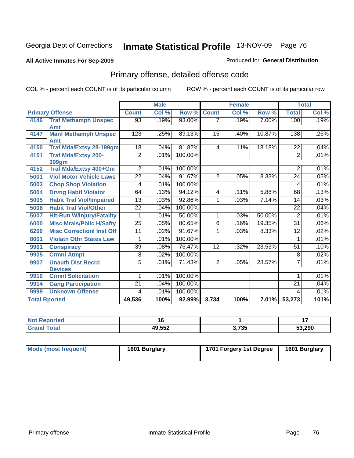### **All Active Inmates For Sep-2009**

### Produced for **General Distribution**

# Primary offense, detailed offense code

|      |                                  |                 | <b>Male</b> |         |                | <b>Female</b> |        |                 | <b>Total</b> |
|------|----------------------------------|-----------------|-------------|---------|----------------|---------------|--------|-----------------|--------------|
|      | <b>Primary Offense</b>           | <b>Count</b>    | Col %       | Row %   | <b>Count</b>   | Col %         | Row %  | <b>Total</b>    | Col %        |
| 4146 | <b>Traf Methamph Unspec</b>      | 93              | .19%        | 93.00%  |                | .19%          | 7.00%  | 100             | .19%         |
|      | Amt                              |                 |             |         |                |               |        |                 |              |
| 4147 | <b>Manf Methamph Unspec</b>      | 123             | .25%        | 89.13%  | 15             | .40%          | 10.87% | 138             | .26%         |
|      | Amt                              |                 |             |         |                |               |        |                 |              |
| 4150 | <b>Traf Mda/Extsy 28-199gm</b>   | 18              | .04%        | 81.82%  | 4              | .11%          | 18.18% | 22              | .04%         |
| 4151 | <b>Traf Mda/Extsy 200-</b>       | $\overline{2}$  | .01%        | 100.00% |                |               |        | $\overline{2}$  | .01%         |
|      | 399gm                            |                 |             |         |                |               |        |                 |              |
| 4152 | <b>Traf Mda/Extsy 400+Gm</b>     | $\overline{2}$  | .01%        | 100.00% |                |               |        | $\overline{2}$  | .01%         |
| 5001 | <b>Viol Motor Vehicle Laws</b>   | $\overline{22}$ | .04%        | 91.67%  | $\overline{2}$ | .05%          | 8.33%  | 24              | .05%         |
| 5003 | <b>Chop Shop Violation</b>       | 4               | .01%        | 100.00% |                |               |        | 4               | .01%         |
| 5004 | <b>Drvng Habtl Violator</b>      | 64              | .13%        | 94.12%  | 4              | .11%          | 5.88%  | 68              | .13%         |
| 5005 | <b>Habit Traf Viol/Impaired</b>  | $\overline{13}$ | .03%        | 92.86%  | 1              | .03%          | 7.14%  | 14              | .03%         |
| 5006 | <b>Habit Traf Viol/Other</b>     | 22              | .04%        | 100.00% |                |               |        | 22              | .04%         |
| 5007 | <b>Hit-Run W/Injury/Fatality</b> | 1               | .01%        | 50.00%  | 1              | .03%          | 50.00% | $\overline{2}$  | .01%         |
| 6000 | <b>Misc Mrals/Pblic H/Safty</b>  | $\overline{25}$ | .05%        | 80.65%  | 6              | .16%          | 19.35% | $\overline{31}$ | .06%         |
| 6200 | <b>Misc CorrectionI Inst Off</b> | $\overline{11}$ | .02%        | 91.67%  | 1              | .03%          | 8.33%  | $\overline{12}$ | .02%         |
| 8001 | <b>Violatn Othr States Law</b>   | 1               | .01%        | 100.00% |                |               |        | 1               | .01%         |
| 9901 | <b>Conspiracy</b>                | $\overline{39}$ | .08%        | 76.47%  | 12             | .32%          | 23.53% | 51              | .10%         |
| 9905 | <b>Crmnl Atmpt</b>               | 8               | .02%        | 100.00% |                |               |        | 8               | .02%         |
| 9907 | <b>Unauth Dist Recrd</b>         | $\overline{5}$  | .01%        | 71.43%  | $\overline{2}$ | .05%          | 28.57% | $\overline{7}$  | .01%         |
|      | <b>Devices</b>                   |                 |             |         |                |               |        |                 |              |
| 9910 | <b>Crmnl Solicitation</b>        | 1               | .01%        | 100.00% |                |               |        | 1               | .01%         |
| 9914 | <b>Gang Participation</b>        | $\overline{21}$ | .04%        | 100.00% |                |               |        | 21              | .04%         |
| 9999 | <b>Unknown Offense</b>           | 4               | .01%        | 100.00% |                |               |        | 4               | .01%         |
|      | <b>Total Rported</b>             | 49,536          | 100%        | 92.99%  | 3,734          | 100%          | 7.01%  | 53,273          | 101%         |

| <b>Not Reported</b> | ıю     |                 | . .    |
|---------------------|--------|-----------------|--------|
| Total<br>Grar       | 49,552 | ? 7?5<br>טט ו,ט | 53,290 |

| Mode (most frequent) | 1601 Burglary | 1701 Forgery 1st Degree | 1601 Burglary |
|----------------------|---------------|-------------------------|---------------|
|                      |               |                         |               |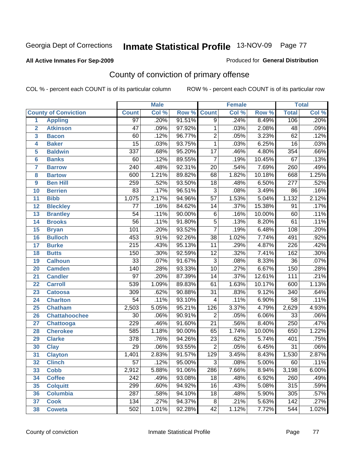### **All Active Inmates For Sep-2009**

#### Produced for **General Distribution**

# County of conviction of primary offense

|                 |                             |                  | <b>Male</b> |        |                  | <b>Female</b> | <b>Total</b> |                  |       |
|-----------------|-----------------------------|------------------|-------------|--------|------------------|---------------|--------------|------------------|-------|
|                 | <b>County of Conviction</b> | <b>Count</b>     | Col %       | Row %  | <b>Count</b>     | Col %         | Row %        | <b>Total</b>     | Col % |
| 1               | <b>Appling</b>              | 97               | .20%        | 91.51% | $\overline{9}$   | .24%          | 8.49%        | 106              | .20%  |
| $\overline{2}$  | <b>Atkinson</b>             | $\overline{47}$  | .09%        | 97.92% | 1                | .03%          | 2.08%        | 48               | .09%  |
| 3               | <b>Bacon</b>                | 60               | .12%        | 96.77% | $\overline{2}$   | .05%          | 3.23%        | 62               | .12%  |
| 4               | <b>Baker</b>                | $\overline{15}$  | .03%        | 93.75% | 1                | .03%          | 6.25%        | $\overline{16}$  | .03%  |
| 5               | <b>Baldwin</b>              | $\overline{337}$ | .68%        | 95.20% | $\overline{17}$  | .46%          | 4.80%        | 354              | .66%  |
| 6               | <b>Banks</b>                | 60               | .12%        | 89.55% | $\overline{7}$   | .19%          | 10.45%       | 67               | .13%  |
| 7               | <b>Barrow</b>               | $\overline{240}$ | .48%        | 92.31% | $\overline{20}$  | .54%          | 7.69%        | 260              | .49%  |
| 8               | <b>Bartow</b>               | 600              | 1.21%       | 89.82% | 68               | 1.82%         | 10.18%       | 668              | 1.25% |
| 9               | <b>Ben Hill</b>             | 259              | .52%        | 93.50% | $\overline{18}$  | .48%          | 6.50%        | $\overline{277}$ | .52%  |
| 10              | <b>Berrien</b>              | 83               | .17%        | 96.51% | $\overline{3}$   | .08%          | 3.49%        | 86               | .16%  |
| 11              | <b>Bibb</b>                 | 1,075            | 2.17%       | 94.96% | $\overline{57}$  | 1.53%         | 5.04%        | 1,132            | 2.12% |
| 12              | <b>Bleckley</b>             | $\overline{77}$  | .16%        | 84.62% | 14               | .37%          | 15.38%       | $\overline{91}$  | .17%  |
| $\overline{13}$ | <b>Brantley</b>             | $\overline{54}$  | .11%        | 90.00% | $\overline{6}$   | .16%          | 10.00%       | 60               | .11%  |
| 14              | <b>Brooks</b>               | $\overline{56}$  | .11%        | 91.80% | $\overline{5}$   | .13%          | 8.20%        | 61               | .11%  |
| 15              | <b>Bryan</b>                | 101              | .20%        | 93.52% | $\overline{7}$   | .19%          | 6.48%        | 108              | .20%  |
| 16              | <b>Bulloch</b>              | 453              | .91%        | 92.26% | $\overline{38}$  | 1.02%         | 7.74%        | 491              | .92%  |
| 17              | <b>Burke</b>                | $\overline{215}$ | .43%        | 95.13% | $\overline{11}$  | .29%          | 4.87%        | $\overline{226}$ | .42%  |
| 18              | <b>Butts</b>                | 150              | .30%        | 92.59% | $\overline{12}$  | .32%          | 7.41%        | 162              | .30%  |
| 19              | <b>Calhoun</b>              | $\overline{33}$  | .07%        | 91.67% | $\overline{3}$   | .08%          | 8.33%        | $\overline{36}$  | .07%  |
| 20              | <b>Camden</b>               | 140              | .28%        | 93.33% | $\overline{10}$  | .27%          | 6.67%        | 150              | .28%  |
| 21              | <b>Candler</b>              | $\overline{97}$  | .20%        | 87.39% | $\overline{14}$  | .37%          | 12.61%       | $\overline{111}$ | .21%  |
| 22              | <b>Carroll</b>              | 539              | 1.09%       | 89.83% | 61               | 1.63%         | 10.17%       | 600              | 1.13% |
| 23              | <b>Catoosa</b>              | $\overline{309}$ | .62%        | 90.88% | $\overline{31}$  | .83%          | 9.12%        | $\overline{340}$ | .64%  |
| 24              | <b>Charlton</b>             | $\overline{54}$  | .11%        | 93.10% | 4                | .11%          | 6.90%        | $\overline{58}$  | .11%  |
| 25              | <b>Chatham</b>              | 2,503            | 5.05%       | 95.21% | $\overline{126}$ | 3.37%         | 4.79%        | 2,629            | 4.93% |
| 26              | <b>Chattahoochee</b>        | 30               | .06%        | 90.91% | $\overline{2}$   | .05%          | 6.06%        | $\overline{33}$  | .06%  |
| 27              | Chattooga                   | 229              | .46%        | 91.60% | $\overline{21}$  | .56%          | 8.40%        | $\overline{250}$ | .47%  |
| 28              | <b>Cherokee</b>             | $\overline{585}$ | 1.18%       | 90.00% | 65               | 1.74%         | 10.00%       | 650              | 1.22% |
| 29              | <b>Clarke</b>               | $\overline{378}$ | .76%        | 94.26% | $\overline{23}$  | .62%          | 5.74%        | 401              | .75%  |
| 30              | <b>Clay</b>                 | $\overline{29}$  | .06%        | 93.55% | $\overline{2}$   | .05%          | 6.45%        | $\overline{31}$  | .06%  |
| $\overline{31}$ | <b>Clayton</b>              | 1,401            | 2.83%       | 91.57% | 129              | 3.45%         | 8.43%        | 1,530            | 2.87% |
| 32              | <b>Clinch</b>               | 57               | .12%        | 95.00% | 3                | .08%          | 5.00%        | 60               | .11%  |
| 33              | <b>Cobb</b>                 | 2,912            | 5.88%       | 91.06% | 286              | 7.66%         | 8.94%        | 3,198            | 6.00% |
| 34              | <b>Coffee</b>               | 242              | .49%        | 93.08% | 18               | .48%          | 6.92%        | 260              | .49%  |
| 35              | <b>Colquitt</b>             | 299              | .60%        | 94.92% | 16               | .43%          | 5.08%        | 315              | .59%  |
| 36              | <b>Columbia</b>             | $\overline{287}$ | .58%        | 94.10% | 18               | .48%          | 5.90%        | 305              | .57%  |
| 37              | <b>Cook</b>                 | 134              | .27%        | 94.37% | 8                | .21%          | 5.63%        | 142              | .27%  |
| 38              | <b>Coweta</b>               | 502              | 1.01%       | 92.28% | 42               | 1.12%         | 7.72%        | 544              | 1.02% |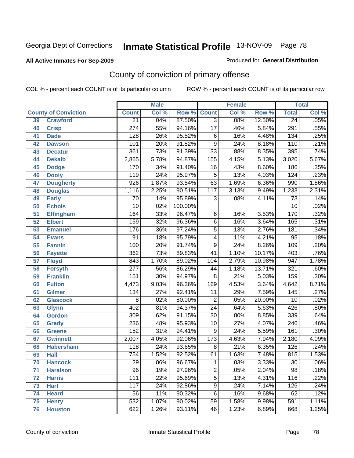### **All Active Inmates For Sep-2009**

#### Produced for **General Distribution**

# County of conviction of primary offense

|                 |                             | <b>Male</b>      |       |         | <b>Female</b>    |       |        | <b>Total</b>     |       |
|-----------------|-----------------------------|------------------|-------|---------|------------------|-------|--------|------------------|-------|
|                 | <b>County of Conviction</b> | <b>Count</b>     | Col % | Row %   | <b>Count</b>     | Col % | Row %  | <b>Total</b>     | Col % |
| 39              | <b>Crawford</b>             | $\overline{21}$  | .04%  | 87.50%  | $\overline{3}$   | .08%  | 12.50% | $\overline{24}$  | .05%  |
| 40              | <b>Crisp</b>                | $\overline{274}$ | .55%  | 94.16%  | $\overline{17}$  | .46%  | 5.84%  | $\overline{291}$ | .55%  |
| 41              | <b>Dade</b>                 | $\overline{128}$ | .26%  | 95.52%  | 6                | .16%  | 4.48%  | 134              | .25%  |
| 42              | <b>Dawson</b>               | 101              | .20%  | 91.82%  | $\overline{9}$   | .24%  | 8.18%  | 110              | .21%  |
| 43              | <b>Decatur</b>              | $\overline{361}$ | .73%  | 91.39%  | $\overline{33}$  | .88%  | 8.35%  | 395              | .74%  |
| 44              | <b>Dekalb</b>               | 2,865            | 5.78% | 94.87%  | 155              | 4.15% | 5.13%  | 3,020            | 5.67% |
| 45              | <b>Dodge</b>                | 170              | .34%  | 91.40%  | 16               | .43%  | 8.60%  | 186              | .35%  |
| 46              | <b>Dooly</b>                | 119              | .24%  | 95.97%  | 5                | .13%  | 4.03%  | 124              | .23%  |
| 47              | <b>Dougherty</b>            | $\overline{926}$ | 1.87% | 93.54%  | 63               | 1.69% | 6.36%  | 990              | 1.86% |
| 48              | <b>Douglas</b>              | 1,116            | 2.25% | 90.51%  | $\overline{117}$ | 3.13% | 9.49%  | 1,233            | 2.31% |
| 49              | <b>Early</b>                | $\overline{70}$  | .14%  | 95.89%  | $\overline{3}$   | .08%  | 4.11%  | $\overline{73}$  | .14%  |
| 50              | <b>Echols</b>               | $\overline{10}$  | .02%  | 100.00% |                  |       |        | 10               | .02%  |
| $\overline{51}$ | <b>Effingham</b>            | 164              | .33%  | 96.47%  | $\overline{6}$   | .16%  | 3.53%  | 170              | .32%  |
| 52              | <b>Elbert</b>               | 159              | .32%  | 96.36%  | $\overline{6}$   | .16%  | 3.64%  | 165              | .31%  |
| $\overline{53}$ | <b>Emanuel</b>              | 176              | .36%  | 97.24%  | $\overline{5}$   | .13%  | 2.76%  | 181              | .34%  |
| 54              | <b>Evans</b>                | $\overline{91}$  | .18%  | 95.79%  | 4                | .11%  | 4.21%  | 95               | .18%  |
| 55              | <b>Fannin</b>               | 100              | .20%  | 91.74%  | $\overline{9}$   | .24%  | 8.26%  | 109              | .20%  |
| 56              | <b>Fayette</b>              | $\overline{362}$ | .73%  | 89.83%  | 41               | 1.10% | 10.17% | 403              | .76%  |
| $\overline{57}$ | <b>Floyd</b>                | 843              | 1.70% | 89.02%  | 104              | 2.79% | 10.98% | $\overline{947}$ | 1.78% |
| 58              | <b>Forsyth</b>              | $\overline{277}$ | .56%  | 86.29%  | 44               | 1.18% | 13.71% | 321              | .60%  |
| 59              | <b>Franklin</b>             | 151              | .30%  | 94.97%  | $\overline{8}$   | .21%  | 5.03%  | 159              | .30%  |
| 60              | <b>Fulton</b>               | 4,473            | 9.03% | 96.36%  | 169              | 4.53% | 3.64%  | 4,642            | 8.71% |
| 61              | <b>Gilmer</b>               | 134              | .27%  | 92.41%  | $\overline{11}$  | .29%  | 7.59%  | 145              | .27%  |
| 62              | <b>Glascock</b>             | 8                | .02%  | 80.00%  | $\overline{2}$   | .05%  | 20.00% | 10               | .02%  |
| 63              | <b>Glynn</b>                | 402              | .81%  | 94.37%  | $\overline{24}$  | .64%  | 5.63%  | 426              | .80%  |
| 64              | <b>Gordon</b>               | 309              | .62%  | 91.15%  | $\overline{30}$  | .80%  | 8.85%  | 339              | .64%  |
| 65              | <b>Grady</b>                | $\overline{236}$ | .48%  | 95.93%  | $\overline{10}$  | .27%  | 4.07%  | 246              | .46%  |
| 66              | <b>Greene</b>               | 152              | .31%  | 94.41%  | 9                | .24%  | 5.59%  | 161              | .30%  |
| 67              | <b>Gwinnett</b>             | 2,007            | 4.05% | 92.06%  | $\overline{173}$ | 4.63% | 7.94%  | 2,180            | 4.09% |
| 68              | <b>Habersham</b>            | 118              | .24%  | 93.65%  | 8                | .21%  | 6.35%  | 126              | .24%  |
| 69              | <b>Hall</b>                 | 754              | 1.52% | 92.52%  | 61               | 1.63% | 7.48%  | 815              | 1.53% |
| 70              | <b>Hancock</b>              | 29               | .06%  | 96.67%  | 1                | .03%  | 3.33%  | 30               | .06%  |
| 71              | <b>Haralson</b>             | $\overline{96}$  | .19%  | 97.96%  | $\overline{2}$   | .05%  | 2.04%  | $\overline{98}$  | .18%  |
| 72              | <b>Harris</b>               | 111              | .22%  | 95.69%  | $\overline{5}$   | .13%  | 4.31%  | 116              | .22%  |
| 73              | <b>Hart</b>                 | 117              | .24%  | 92.86%  | $\overline{9}$   | .24%  | 7.14%  | 126              | .24%  |
| 74              | <b>Heard</b>                | 56               | .11%  | 90.32%  | 6                | .16%  | 9.68%  | 62               | .12%  |
| 75              | <b>Henry</b>                | 532              | 1.07% | 90.02%  | $\overline{59}$  | 1.58% | 9.98%  | 591              | 1.11% |
| 76              | <b>Houston</b>              | 622              | 1.26% | 93.11%  | 46               | 1.23% | 6.89%  | 668              | 1.25% |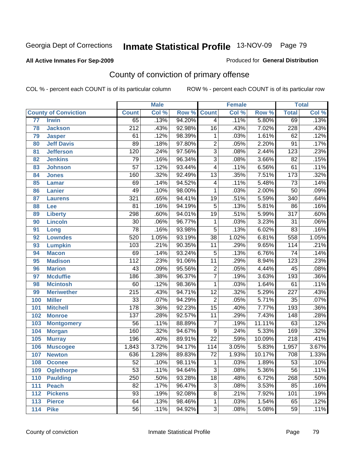### **All Active Inmates For Sep-2009**

#### Produced for **General Distribution**

# County of conviction of primary offense

|                 |                             |                  | <b>Male</b> |        |                 | <b>Female</b> |        |                  | <b>Total</b> |
|-----------------|-----------------------------|------------------|-------------|--------|-----------------|---------------|--------|------------------|--------------|
|                 | <b>County of Conviction</b> | <b>Count</b>     | Col %       | Row %  | <b>Count</b>    | Col %         | Row %  | <b>Total</b>     | Col %        |
| $\overline{77}$ | <b>Irwin</b>                | 65               | .13%        | 94.20% | $\overline{4}$  | .11%          | 5.80%  | 69               | .13%         |
| 78              | <b>Jackson</b>              | $\overline{212}$ | .43%        | 92.98% | $\overline{16}$ | .43%          | 7.02%  | 228              | .43%         |
| 79              | <b>Jasper</b>               | 61               | .12%        | 98.39% | 1               | .03%          | 1.61%  | $\overline{62}$  | .12%         |
| 80              | <b>Jeff Davis</b>           | 89               | .18%        | 97.80% | $\overline{2}$  | .05%          | 2.20%  | $\overline{91}$  | .17%         |
| 81              | <b>Jefferson</b>            | $\overline{120}$ | .24%        | 97.56% | $\overline{3}$  | .08%          | 2.44%  | $\overline{123}$ | .23%         |
| 82              | <b>Jenkins</b>              | 79               | .16%        | 96.34% | $\overline{3}$  | .08%          | 3.66%  | $\overline{82}$  | .15%         |
| 83              | <b>Johnson</b>              | $\overline{57}$  | .12%        | 93.44% | 4               | .11%          | 6.56%  | 61               | .11%         |
| 84              | <b>Jones</b>                | 160              | .32%        | 92.49% | $\overline{13}$ | .35%          | 7.51%  | 173              | .32%         |
| 85              | <b>Lamar</b>                | 69               | .14%        | 94.52% | 4               | .11%          | 5.48%  | $\overline{73}$  | .14%         |
| 86              | <b>Lanier</b>               | 49               | .10%        | 98.00% | $\mathbf{1}$    | .03%          | 2.00%  | $\overline{50}$  | .09%         |
| 87              | <b>Laurens</b>              | 321              | .65%        | 94.41% | $\overline{19}$ | .51%          | 5.59%  | 340              | .64%         |
| 88              | Lee                         | $\overline{81}$  | .16%        | 94.19% | $\overline{5}$  | .13%          | 5.81%  | 86               | .16%         |
| 89              | <b>Liberty</b>              | 298              | .60%        | 94.01% | $\overline{19}$ | .51%          | 5.99%  | $\overline{317}$ | .60%         |
| 90              | <b>Lincoln</b>              | $\overline{30}$  | .06%        | 96.77% | $\mathbf{1}$    | .03%          | 3.23%  | $\overline{31}$  | .06%         |
| 91              | Long                        | $\overline{78}$  | .16%        | 93.98% | $\overline{5}$  | .13%          | 6.02%  | $\overline{83}$  | .16%         |
| 92              | <b>Lowndes</b>              | 520              | 1.05%       | 93.19% | $\overline{38}$ | 1.02%         | 6.81%  | 558              | 1.05%        |
| 93              | <b>Lumpkin</b>              | 103              | .21%        | 90.35% | 11              | .29%          | 9.65%  | 114              | .21%         |
| 94              | <b>Macon</b>                | 69               | .14%        | 93.24% | $\overline{5}$  | .13%          | 6.76%  | $\overline{74}$  | .14%         |
| 95              | <b>Madison</b>              | $\overline{112}$ | .23%        | 91.06% | $\overline{11}$ | .29%          | 8.94%  | 123              | .23%         |
| 96              | <b>Marion</b>               | 43               | .09%        | 95.56% | $\overline{2}$  | .05%          | 4.44%  | 45               | .08%         |
| 97              | <b>Mcduffie</b>             | 186              | .38%        | 96.37% | $\overline{7}$  | .19%          | 3.63%  | 193              | .36%         |
| 98              | <b>Mcintosh</b>             | 60               | .12%        | 98.36% | $\mathbf{1}$    | .03%          | 1.64%  | 61               | .11%         |
| 99              | <b>Meriwether</b>           | $\overline{215}$ | .43%        | 94.71% | $\overline{12}$ | .32%          | 5.29%  | $\overline{227}$ | .43%         |
| 100             | <b>Miller</b>               | $\overline{33}$  | .07%        | 94.29% | $\overline{2}$  | .05%          | 5.71%  | $\overline{35}$  | .07%         |
| 101             | <b>Mitchell</b>             | $\overline{178}$ | .36%        | 92.23% | $\overline{15}$ | .40%          | 7.77%  | 193              | .36%         |
| 102             | <b>Monroe</b>               | $\overline{137}$ | .28%        | 92.57% | 11              | .29%          | 7.43%  | 148              | .28%         |
| 103             | <b>Montgomery</b>           | $\overline{56}$  | .11%        | 88.89% | $\overline{7}$  | .19%          | 11.11% | 63               | .12%         |
| 104             | <b>Morgan</b>               | 160              | .32%        | 94.67% | $\overline{9}$  | .24%          | 5.33%  | 169              | .32%         |
| 105             | <b>Murray</b>               | 196              | .40%        | 89.91% | $\overline{22}$ | .59%          | 10.09% | $\overline{218}$ | .41%         |
| 106             | <b>Muscogee</b>             | 1,843            | 3.72%       | 94.17% | 114             | 3.05%         | 5.83%  | 1,957            | 3.67%        |
| 107             | <b>Newton</b>               | 636              | 1.28%       | 89.83% | $\overline{72}$ | 1.93%         | 10.17% | 708              | 1.33%        |
| 108             | <b>Oconee</b>               | 52               | .10%        | 98.11% | 1               | .03%          | 1.89%  | 53               | .10%         |
| 109             | <b>Oglethorpe</b>           | $\overline{53}$  | .11%        | 94.64% | $\overline{3}$  | .08%          | 5.36%  | $\overline{56}$  | .11%         |
| 110             | <b>Paulding</b>             | 250              | .50%        | 93.28% | $\overline{18}$ | .48%          | 6.72%  | 268              | .50%         |
| 111             | <b>Peach</b>                | $\overline{82}$  | .17%        | 96.47% | 3               | .08%          | 3.53%  | 85               | .16%         |
| 112             | <b>Pickens</b>              | 93               | .19%        | 92.08% | 8               | .21%          | 7.92%  | 101              | .19%         |
| 113             | <b>Pierce</b>               | 64               | .13%        | 98.46% | 1               | .03%          | 1.54%  | 65               | .12%         |
| 114             | <b>Pike</b>                 | 56               | .11%        | 94.92% | $\overline{3}$  | .08%          | 5.08%  | 59               | .11%         |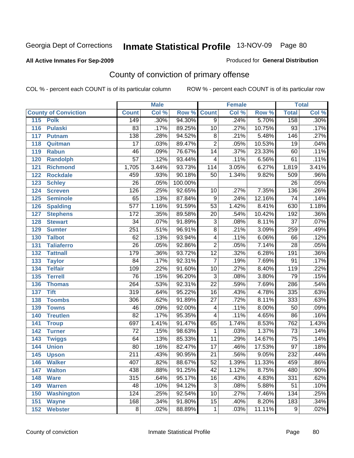### **All Active Inmates For Sep-2009**

#### Produced for **General Distribution**

# County of conviction of primary offense

|     |                             | <b>Male</b>      |       |         |                 | <b>Female</b> | <b>Total</b> |                  |         |
|-----|-----------------------------|------------------|-------|---------|-----------------|---------------|--------------|------------------|---------|
|     | <b>County of Conviction</b> | <b>Count</b>     | Col % | Row %   | <b>Count</b>    | Col %         | Row %        | <b>Total</b>     | Col %   |
| 115 | <b>Polk</b>                 | 149              | .30%  | 94.30%  | $\overline{9}$  | .24%          | 5.70%        | 158              | .30%    |
| 116 | <b>Pulaski</b>              | 83               | .17%  | 89.25%  | 10              | .27%          | 10.75%       | 93               | .17%    |
| 117 | <b>Putnam</b>               | $\overline{138}$ | .28%  | 94.52%  | 8               | .21%          | 5.48%        | $\overline{146}$ | .27%    |
| 118 | Quitman                     | $\overline{17}$  | .03%  | 89.47%  | $\overline{2}$  | .05%          | 10.53%       | 19               | .04%    |
| 119 | <b>Rabun</b>                | $\overline{46}$  | .09%  | 76.67%  | $\overline{14}$ | .37%          | 23.33%       | 60               | .11%    |
| 120 | <b>Randolph</b>             | $\overline{57}$  | .12%  | 93.44%  | 4               | .11%          | 6.56%        | 61               | .11%    |
| 121 | <b>Richmond</b>             | 1,705            | 3.44% | 93.73%  | 114             | 3.05%         | 6.27%        | 1,819            | 3.41%   |
| 122 | <b>Rockdale</b>             | 459              | .93%  | 90.18%  | 50              | 1.34%         | 9.82%        | 509              | .96%    |
| 123 | <b>Schley</b>               | $\overline{26}$  | .05%  | 100.00% |                 |               |              | $\overline{26}$  | .05%    |
| 124 | <b>Screven</b>              | 126              | .25%  | 92.65%  | 10              | .27%          | 7.35%        | 136              | .26%    |
| 125 | <b>Seminole</b>             | 65               | .13%  | 87.84%  | 9               | .24%          | 12.16%       | $\overline{74}$  | .14%    |
| 126 | <b>Spalding</b>             | $\overline{577}$ | 1.16% | 91.59%  | $\overline{53}$ | 1.42%         | 8.41%        | 630              | 1.18%   |
| 127 | <b>Stephens</b>             | $\overline{172}$ | .35%  | 89.58%  | $\overline{20}$ | .54%          | 10.42%       | 192              | .36%    |
| 128 | <b>Stewart</b>              | $\overline{34}$  | .07%  | 91.89%  | $\overline{3}$  | .08%          | 8.11%        | $\overline{37}$  | .07%    |
| 129 | <b>Sumter</b>               | 251              | .51%  | 96.91%  | $\overline{8}$  | .21%          | 3.09%        | 259              | .49%    |
| 130 | <b>Talbot</b>               | 62               | .13%  | 93.94%  | 4               | .11%          | 6.06%        | 66               | .12%    |
| 131 | <b>Taliaferro</b>           | $\overline{26}$  | .05%  | 92.86%  | $\overline{2}$  | .05%          | 7.14%        | $\overline{28}$  | .05%    |
| 132 | <b>Tattnall</b>             | 179              | .36%  | 93.72%  | $\overline{12}$ | .32%          | 6.28%        | 191              | .36%    |
| 133 | <b>Taylor</b>               | $\overline{84}$  | .17%  | 92.31%  | $\overline{7}$  | .19%          | 7.69%        | $\overline{91}$  | .17%    |
| 134 | <b>Telfair</b>              | 109              | .22%  | 91.60%  | 10              | .27%          | 8.40%        | 119              | .22%    |
| 135 | <b>Terrell</b>              | 76               | .15%  | 96.20%  | $\overline{3}$  | .08%          | 3.80%        | $\overline{79}$  | .15%    |
| 136 | <b>Thomas</b>               | $\overline{264}$ | .53%  | 92.31%  | $\overline{22}$ | .59%          | 7.69%        | 286              | .54%    |
| 137 | <b>Tift</b>                 | $\overline{319}$ | .64%  | 95.22%  | 16              | .43%          | 4.78%        | 335              | .63%    |
| 138 | <b>Toombs</b>               | 306              | .62%  | 91.89%  | 27              | .72%          | 8.11%        | 333              | .63%    |
| 139 | <b>Towns</b>                | 46               | .09%  | 92.00%  | 4               | .11%          | 8.00%        | $\overline{50}$  | .09%    |
| 140 | <b>Treutlen</b>             | $\overline{82}$  | .17%  | 95.35%  | 4               | .11%          | 4.65%        | 86               | .16%    |
| 141 | <b>Troup</b>                | 697              | 1.41% | 91.47%  | 65              | 1.74%         | 8.53%        | 762              | 1.43%   |
| 142 | <b>Turner</b>               | 72               | .15%  | 98.63%  | 1               | .03%          | 1.37%        | $\overline{73}$  | .14%    |
| 143 | <b>Twiggs</b>               | 64               | .13%  | 85.33%  | $\overline{11}$ | .29%          | 14.67%       | $\overline{75}$  | .14%    |
| 144 | <b>Union</b>                | 80               | .16%  | 82.47%  | $\overline{17}$ | .46%          | 17.53%       | $\overline{97}$  | .18%    |
| 145 | <b>Upson</b>                | $\overline{211}$ | .43%  | 90.95%  | $\overline{21}$ | .56%          | 9.05%        | 232              | .44%    |
| 146 | <b>Walker</b>               | 407              | .82%  | 88.67%  | 52              | 1.39%         | 11.33%       | 459              | $.86\%$ |
| 147 | <b>Walton</b>               | 438              | .88%  | 91.25%  | $\overline{42}$ | 1.12%         | 8.75%        | 480              | .90%    |
| 148 | <b>Ware</b>                 | 315              | .64%  | 95.17%  | 16              | .43%          | 4.83%        | 331              | .62%    |
| 149 | <b>Warren</b>               | 48               | .10%  | 94.12%  | $\overline{3}$  | .08%          | 5.88%        | $\overline{51}$  | .10%    |
| 150 | <b>Washington</b>           | 124              | .25%  | 92.54%  | 10              | .27%          | 7.46%        | 134              | .25%    |
| 151 | <b>Wayne</b>                | 168              | .34%  | 91.80%  | 15              | .40%          | 8.20%        | 183              | .34%    |
| 152 | <b>Webster</b>              | 8                | .02%  | 88.89%  | $\mathbf 1$     | .03%          | 11.11%       | 9                | .02%    |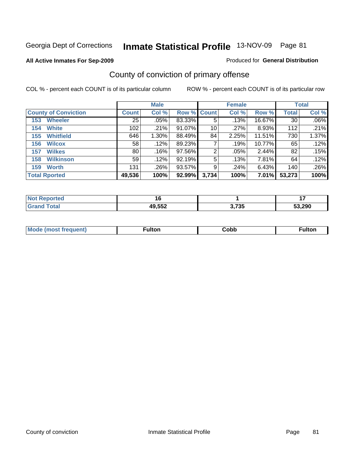### **All Active Inmates For Sep-2009**

### Produced for **General Distribution**

# County of conviction of primary offense

|                             |              | <b>Male</b> |                    |       | <b>Female</b> |        |              | <b>Total</b> |
|-----------------------------|--------------|-------------|--------------------|-------|---------------|--------|--------------|--------------|
| <b>County of Conviction</b> | <b>Count</b> | Col %       | <b>Row % Count</b> |       | Col %         | Row %  | <b>Total</b> | Col %        |
| <b>Wheeler</b><br>153       | 25           | $.05\%$     | 83.33%             | 5     | .13%          | 16.67% | 30           | $.06\%$      |
| <b>White</b><br>154         | 102          | .21%        | 91.07%             | 10    | .27%          | 8.93%  | 112          | $.21\%$      |
| <b>Whitfield</b><br>155     | 646          | 1.30%       | 88.49%             | 84    | 2.25%         | 11.51% | 730          | 1.37%        |
| <b>Wilcox</b><br>156        | 58           | .12%        | 89.23%             |       | .19%          | 10.77% | 65           | .12%         |
| <b>Wilkes</b><br>157        | 80           | .16%        | 97.56%             | 2     | .05%          | 2.44%  | 82           | .15%         |
| <b>Wilkinson</b><br>158     | 59           | $.12\%$     | 92.19%             | 5     | .13%          | 7.81%  | 64           | .12%         |
| <b>Worth</b><br>159         | 131          | .26%        | 93.57%             | 9     | .24%          | 6.43%  | 140          | .26%         |
| <b>Total Rported</b>        | 49,536       | 100%        | 92.99%             | 3,734 | 100%          | 7.01%  | 53,273       | 100%         |

| रeported<br>' NOT |        |                  | . .        |
|-------------------|--------|------------------|------------|
| <b>ota</b>        | 49,552 | ク フクエ<br>ა. / აა | ,290<br>-^ |

| <b>Mo</b><br>uent)<br>$\sim$ | ∙ulton | obb∕. | 'ultor. |
|------------------------------|--------|-------|---------|
|                              |        |       |         |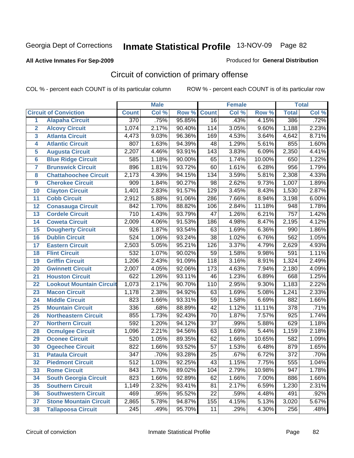### **All Active Inmates For Sep-2009**

#### Produced for **General Distribution**

# Circuit of conviction of primary offense

|                |                                 |                  | <b>Male</b> |        |                  | <b>Female</b> |        |                  | <b>Total</b> |
|----------------|---------------------------------|------------------|-------------|--------|------------------|---------------|--------|------------------|--------------|
|                | <b>Circuit of Conviction</b>    | <b>Count</b>     | Col %       | Row %  | <b>Count</b>     | Col %         | Row %  | <b>Total</b>     | Col %        |
| $\mathbf{1}$   | <b>Alapaha Circuit</b>          | 370              | .75%        | 95.85% | $\overline{16}$  | .43%          | 4.15%  | 386              | .72%         |
| $\overline{2}$ | <b>Alcovy Circuit</b>           | 1,074            | 2.17%       | 90.40% | 114              | 3.05%         | 9.60%  | 1,188            | 2.23%        |
| 3              | <b>Atlanta Circuit</b>          | 4,473            | 9.03%       | 96.36% | 169              | 4.53%         | 3.64%  | 4,642            | 8.71%        |
| 4              | <b>Atlantic Circuit</b>         | 807              | 1.63%       | 94.39% | 48               | 1.29%         | 5.61%  | 855              | 1.60%        |
| 5              | <b>Augusta Circuit</b>          | 2,207            | 4.46%       | 93.91% | 143              | 3.83%         | 6.09%  | 2,350            | 4.41%        |
| $6\phantom{a}$ | <b>Blue Ridge Circuit</b>       | 585              | 1.18%       | 90.00% | 65               | 1.74%         | 10.00% | 650              | 1.22%        |
| $\overline{7}$ | <b>Brunswick Circuit</b>        | 896              | 1.81%       | 93.72% | 60               | 1.61%         | 6.28%  | 956              | 1.79%        |
| 8              | <b>Chattahoochee Circuit</b>    | 2,173            | 4.39%       | 94.15% | 134              | 3.59%         | 5.81%  | 2,308            | 4.33%        |
| 9              | <b>Cherokee Circuit</b>         | $\overline{909}$ | 1.84%       | 90.27% | $\overline{98}$  | 2.62%         | 9.73%  | 1,007            | 1.89%        |
| 10             | <b>Clayton Circuit</b>          | 1,401            | 2.83%       | 91.57% | $\overline{129}$ | 3.45%         | 8.43%  | 1,530            | 2.87%        |
| 11             | <b>Cobb Circuit</b>             | 2,912            | 5.88%       | 91.06% | 286              | 7.66%         | 8.94%  | 3,198            | 6.00%        |
| 12             | <b>Conasauga Circuit</b>        | 842              | 1.70%       | 88.82% | 106              | 2.84%         | 11.18% | $\overline{948}$ | 1.78%        |
| 13             | <b>Cordele Circuit</b>          | $\overline{710}$ | 1.43%       | 93.79% | $\overline{47}$  | 1.26%         | 6.21%  | 757              | 1.42%        |
| 14             | <b>Coweta Circuit</b>           | 2,009            | 4.06%       | 91.53% | 186              | 4.98%         | 8.47%  | 2,195            | 4.12%        |
| 15             | <b>Dougherty Circuit</b>        | 926              | 1.87%       | 93.54% | 63               | 1.69%         | 6.36%  | 990              | 1.86%        |
| 16             | <b>Dublin Circuit</b>           | 524              | 1.06%       | 93.24% | $\overline{38}$  | 1.02%         | 6.76%  | 562              | 1.05%        |
| 17             | <b>Eastern Circuit</b>          | 2,503            | 5.05%       | 95.21% | $\overline{126}$ | 3.37%         | 4.79%  | 2,629            | 4.93%        |
| 18             | <b>Flint Circuit</b>            | 532              | 1.07%       | 90.02% | 59               | 1.58%         | 9.98%  | 591              | 1.11%        |
| 19             | <b>Griffin Circuit</b>          | 1,206            | 2.43%       | 91.09% | 118              | 3.16%         | 8.91%  | 1,324            | 2.49%        |
| 20             | <b>Gwinnett Circuit</b>         | 2,007            | 4.05%       | 92.06% | 173              | 4.63%         | 7.94%  | 2,180            | 4.09%        |
| 21             | <b>Houston Circuit</b>          | 622              | 1.26%       | 93.11% | 46               | 1.23%         | 6.89%  | 668              | 1.25%        |
| 22             | <b>Lookout Mountain Circuit</b> | 1,073            | 2.17%       | 90.70% | 110              | 2.95%         | 9.30%  | 1,183            | 2.22%        |
| 23             | <b>Macon Circuit</b>            | 1,178            | 2.38%       | 94.92% | 63               | 1.69%         | 5.08%  | 1,241            | 2.33%        |
| 24             | <b>Middle Circuit</b>           | 823              | 1.66%       | 93.31% | 59               | 1.58%         | 6.69%  | 882              | 1.66%        |
| 25             | <b>Mountain Circuit</b>         | 336              | .68%        | 88.89% | $\overline{42}$  | 1.12%         | 11.11% | $\overline{378}$ | .71%         |
| 26             | <b>Northeastern Circuit</b>     | 855              | 1.73%       | 92.43% | $\overline{70}$  | 1.87%         | 7.57%  | 925              | 1.74%        |
| 27             | <b>Northern Circuit</b>         | 592              | 1.20%       | 94.12% | $\overline{37}$  | .99%          | 5.88%  | 629              | 1.18%        |
| 28             | <b>Ocmulgee Circuit</b>         | 1,096            | 2.21%       | 94.56% | 63               | 1.69%         | 5.44%  | 1,159            | 2.18%        |
| 29             | <b>Oconee Circuit</b>           | 520              | 1.05%       | 89.35% | 62               | 1.66%         | 10.65% | 582              | 1.09%        |
| 30             | <b>Ogeechee Circuit</b>         | 822              | 1.66%       | 93.52% | $\overline{57}$  | 1.53%         | 6.48%  | 879              | 1.65%        |
| 31             | <b>Pataula Circuit</b>          | 347              | .70%        | 93.28% | 25               | .67%          | 6.72%  | $\overline{372}$ | .70%         |
| 32             | <b>Piedmont Circuit</b>         | 512              | 1.03%       | 92.25% | 43               | 1.15%         | 7.75%  | 555              | 1.04%        |
| 33             | <b>Rome Circuit</b>             | 843              | 1.70%       | 89.02% | 104              | 2.79%         | 10.98% | 947              | 1.78%        |
| 34             | <b>South Georgia Circuit</b>    | 823              | 1.66%       | 92.89% | 62               | 1.66%         | 7.00%  | 886              | 1.66%        |
| 35             | <b>Southern Circuit</b>         | 1,149            | 2.32%       | 93.41% | 81               | 2.17%         | 6.59%  | 1,230            | 2.31%        |
| 36             | <b>Southwestern Circuit</b>     | 469              | .95%        | 95.52% | 22               | .59%          | 4.48%  | 491              | .92%         |
| 37             | <b>Stone Mountain Circuit</b>   | 2,865            | 5.78%       | 94.87% | 155              | 4.15%         | 5.13%  | 3,020            | 5.67%        |
| 38             | <b>Tallapoosa Circuit</b>       | 245              | .49%        | 95.70% | 11               | .29%          | 4.30%  | 256              | .48%         |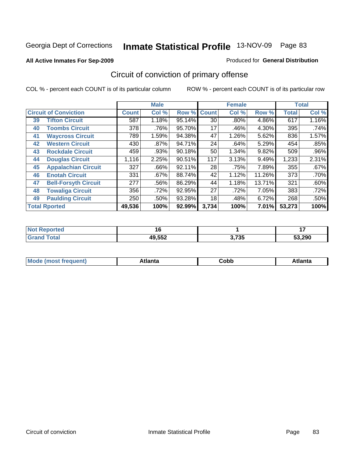#### **All Active Inmates For Sep-2009**

#### Produced for **General Distribution**

# Circuit of conviction of primary offense

|    |                              |              | <b>Male</b> |        |              | <b>Female</b> |        |              | <b>Total</b> |
|----|------------------------------|--------------|-------------|--------|--------------|---------------|--------|--------------|--------------|
|    | <b>Circuit of Conviction</b> | <b>Count</b> | Col %       | Row %  | <b>Count</b> | Col %         | Row %  | <b>Total</b> | Col %        |
| 39 | <b>Tifton Circuit</b>        | 587          | 1.18%       | 95.14% | 30           | $.80\%$       | 4.86%  | 617          | 1.16%        |
| 40 | <b>Toombs Circuit</b>        | 378          | .76%        | 95.70% | 17           | .46%          | 4.30%  | 395          | .74%         |
| 41 | <b>Waycross Circuit</b>      | 789          | 1.59%       | 94.38% | 47           | 1.26%         | 5.62%  | 836          | 1.57%        |
| 42 | <b>Western Circuit</b>       | 430          | $.87\%$     | 94.71% | 24           | .64%          | 5.29%  | 454          | .85%         |
| 43 | <b>Rockdale Circuit</b>      | 459          | .93%        | 90.18% | 50           | 1.34%         | 9.82%  | 509          | .96%         |
| 44 | <b>Douglas Circuit</b>       | 1,116        | 2.25%       | 90.51% | 117          | 3.13%         | 9.49%  | 1,233        | 2.31%        |
| 45 | <b>Appalachian Circuit</b>   | 327          | $.66\%$     | 92.11% | 28           | .75%          | 7.89%  | 355          | .67%         |
| 46 | <b>Enotah Circuit</b>        | 331          | .67%        | 88.74% | 42           | 1.12%         | 11.26% | 373          | .70%         |
| 47 | <b>Bell-Forsyth Circuit</b>  | 277          | .56%        | 86.29% | 44           | 1.18%         | 13.71% | 321          | .60%         |
| 48 | <b>Towaliga Circuit</b>      | 356          | .72%        | 92.95% | 27           | .72%          | 7.05%  | 383          | .72%         |
| 49 | <b>Paulding Circuit</b>      | 250          | .50%        | 93.28% | 18           | .48%          | 6.72%  | 268          | .50%         |
|    | <b>Total Rported</b>         | 49,536       | 100%        | 92.99% | 3,734        | 100%          | 7.01%  | 53,273       | 100%         |

| TV.<br>reo  | . .    |                 | $\sim$ |
|-------------|--------|-----------------|--------|
| <b>otal</b> | 49,552 | ク フクエ<br>J.I JJ | 53.290 |

| tlanta | obb<br>- - - - - | tlanta |
|--------|------------------|--------|
|        |                  |        |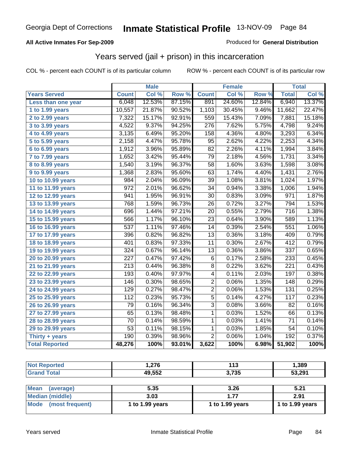### **All Active Inmates For Sep-2009**

### Produced for **General Distribution**

### Years served (jail + prison) in this incarceration

|                              |                  | <b>Male</b> |        |                  | <b>Female</b> |        |                  | <b>Total</b>       |
|------------------------------|------------------|-------------|--------|------------------|---------------|--------|------------------|--------------------|
| <b>Years Served</b>          | <b>Count</b>     | Col %       | Row %  | <b>Count</b>     | Col %         | Row %  | <b>Total</b>     | Col %              |
| Less than one year           | 6,048            | 12.53%      | 87.15% | 891              | 24.60%        | 12.84% | 6,940            | 13.37%             |
| 1 to 1.99 years              | 10,557           | 21.87%      | 90.52% | 1,103            | 30.45%        | 9.46%  | 11,662           | 22.47%             |
| 2 to 2.99 years              | 7,322            | 15.17%      | 92.91% | 559              | 15.43%        | 7.09%  | 7,881            | 15.18%             |
| $3$ to 3.99 years            | 4,522            | 9.37%       | 94.25% | 276              | 7.62%         | 5.75%  | 4,798            | 9.24%              |
| $\overline{4}$ to 4.99 years | 3,135            | 6.49%       | 95.20% | $\overline{158}$ | 4.36%         | 4.80%  | 3,293            | 6.34%              |
| 5 to 5.99 years              | 2,158            | 4.47%       | 95.78% | $\overline{95}$  | 2.62%         | 4.22%  | 2,253            | 4.34%              |
| 6 to 6.99 years              | 1,912            | 3.96%       | 95.89% | 82               | 2.26%         | 4.11%  | 1,994            | 3.84%              |
| 7 to 7.99 years              | 1,652            | 3.42%       | 95.44% | 79               | 2.18%         | 4.56%  | 1,731            | 3.34%              |
| 8 to 8.99 years              | 1,540            | 3.19%       | 96.37% | $\overline{58}$  | 1.60%         | 3.63%  | 1,598            | 3.08%              |
| 9 to 9.99 years              | 1,368            | 2.83%       | 95.60% | 63               | 1.74%         | 4.40%  | 1,431            | 2.76%              |
| 10 to 10.99 years            | 984              | 2.04%       | 96.09% | $\overline{39}$  | 1.08%         | 3.81%  | 1,024            | 1.97%              |
| 11 to 11.99 years            | $\overline{972}$ | 2.01%       | 96.62% | $\overline{34}$  | 0.94%         | 3.38%  | 1,006            | 1.94%              |
| 12 to 12.99 years            | 941              | 1.95%       | 96.91% | $\overline{30}$  | 0.83%         | 3.09%  | 971              | 1.87%              |
| 13 to 13.99 years            | 768              | 1.59%       | 96.73% | $\overline{26}$  | 0.72%         | 3.27%  | 794              | 1.53%              |
| 14 to 14.99 years            | 696              | 1.44%       | 97.21% | 20               | 0.55%         | 2.79%  | 716              | 1.38%              |
| 15 to 15.99 years            | 566              | 1.17%       | 96.10% | $\overline{23}$  | 0.64%         | 3.90%  | 589              | 1.13%              |
| 16 to 16.99 years            | $\overline{537}$ | 1.11%       | 97.46% | $\overline{14}$  | 0.39%         | 2.54%  | 551              | 1.06%              |
| 17 to 17.99 years            | 396              | 0.82%       | 96.82% | $\overline{13}$  | 0.36%         | 3.18%  | 409              | 0.79%              |
| 18 to 18.99 years            | 401              | 0.83%       | 97.33% | 11               | 0.30%         | 2.67%  | 412              | 0.79%              |
| 19 to 19.99 years            | $\overline{324}$ | 0.67%       | 96.14% | $\overline{13}$  | 0.36%         | 3.86%  | 337              | 0.65%              |
| 20 to 20.99 years            | $\overline{227}$ | 0.47%       | 97.42% | $\overline{6}$   | 0.17%         | 2.58%  | 233              | 0.45%              |
| 21 to 21.99 years            | $\overline{213}$ | 0.44%       | 96.38% | $\overline{8}$   | 0.22%         | 3.62%  | 221              | 0.43%              |
| 22 to 22.99 years            | 193              | 0.40%       | 97.97% | 4                | 0.11%         | 2.03%  | 197              | 0.38%              |
| 23 to 23.99 years            | 146              | 0.30%       | 98.65% | $\overline{2}$   | 0.06%         | 1.35%  | 148              | 0.29%              |
| 24 to 24.99 years            | 129              | 0.27%       | 98.47% | $\overline{2}$   | 0.06%         | 1.53%  | $\overline{131}$ | 0.25%              |
| 25 to 25.99 years            | 112              | 0.23%       | 95.73% | $\overline{5}$   | 0.14%         | 4.27%  | $\overline{117}$ | 0.23%              |
| 26 to 26.99 years            | 79               | 0.16%       | 96.34% | $\overline{3}$   | 0.08%         | 3.66%  | 82               | 0.16%              |
| 27 to 27.99 years            | 65               | 0.13%       | 98.48% | 1                | 0.03%         | 1.52%  | 66               | 0.13%              |
| 28 to 28.99 years            | $\overline{70}$  | 0.14%       | 98.59% | 1                | 0.03%         | 1.41%  | $\overline{71}$  | 0.14%              |
| 29 to 29.99 years            | $\overline{53}$  | 0.11%       | 98.15% | 1                | 0.03%         | 1.85%  | $\overline{54}$  | 0.10%              |
| Thirty $+$ years             | 190              | 0.39%       | 98.96% | $\overline{2}$   | 0.06%         | 1.04%  | 192              | 0.37%              |
| <b>Total Reported</b>        | 48,276           | 100%        | 93.01% | 3,622            | 100%          | 6.98%  | 51,902           | $\overline{100\%}$ |

| <b>Not Reported</b>            | 1,276           | 113             | 1,389           |
|--------------------------------|-----------------|-----------------|-----------------|
| <b>Grand Total</b>             | 49,552          | 3,735           | 53,291          |
|                                |                 |                 |                 |
| <b>Mean</b><br>(average)       | 5.35            | 3.26            | 5.21            |
| <b>Median (middle)</b>         | 3.03            | 1.77            | 2.91            |
| <b>Mode</b><br>(most frequent) | 1 to 1.99 years | 1 to 1.99 years | 1 to 1.99 years |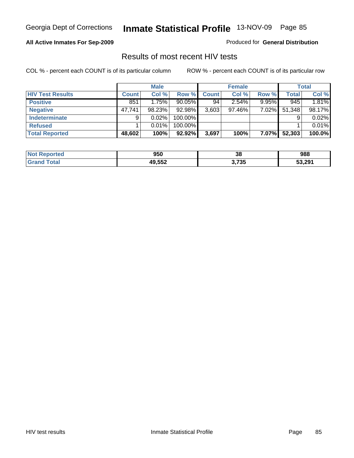### **All Active Inmates For Sep-2009**

Produced for **General Distribution**

### Results of most recent HIV tests

|                         |              | <b>Male</b> |           |              | <b>Female</b> |              |              | <b>Total</b> |
|-------------------------|--------------|-------------|-----------|--------------|---------------|--------------|--------------|--------------|
| <b>HIV Test Results</b> | <b>Count</b> | Col %       | Row %     | <b>Count</b> | Col %         | Row %        | <b>Total</b> | Col %        |
| <b>Positive</b>         | 851          | 1.75%       | $90.05\%$ | 94           | 2.54%         | 9.95%        | 945          | 1.81%        |
| <b>Negative</b>         | 47,741       | 98.23%      | 92.98%    | 3,603        | 97.46%        | $7.02\%$     | 51,348       | 98.17%       |
| <b>Indeterminate</b>    | 9            | $0.02\%$    | 100.00%   |              |               |              |              | 0.02%        |
| <b>Refused</b>          |              | 0.01%       | 100.00%   |              |               |              |              | 0.01%        |
| <b>Total Reported</b>   | 48,602       | 100%        | 92.92%    | 3,697        | 100%          | <b>7.07%</b> | 52,303       | 100.0%       |

| <b>Not</b><br><b>Reported</b> | 950    | 38    | 988    |
|-------------------------------|--------|-------|--------|
| <b>Total</b>                  | 49,552 | 3,735 | 53,291 |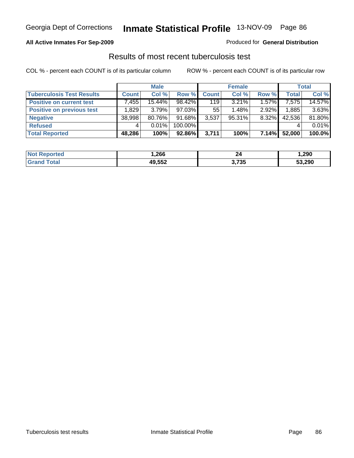### **All Active Inmates For Sep-2009**

Produced for **General Distribution**

### Results of most recent tuberculosis test

|                                  |              | <b>Male</b> |         |              | <b>Female</b> |        |              | <b>Total</b> |
|----------------------------------|--------------|-------------|---------|--------------|---------------|--------|--------------|--------------|
| <b>Tuberculosis Test Results</b> | <b>Count</b> | Col %       | Row %   | <b>Count</b> | Col %         | Row %  | <b>Total</b> | Col %        |
| <b>Positive on current test</b>  | 7,455        | 15.44%      | 98.42%  | 119          | $3.21\%$      | 1.57%  | 7,575        | 14.57%       |
| <b>Positive on previous test</b> | .829         | 3.79%       | 97.03%  | 55           | $1.48\%$      | 2.92%  | 1,885        | 3.63%        |
| <b>Negative</b>                  | 38,998       | 80.76%      | 91.68%  | 3,537        | $95.31\%$     | 8.32%  | 42,536       | 81.80%       |
| <b>Refused</b>                   | 4            | $0.01\%$    | 100.00% |              |               |        |              | 0.01%        |
| <b>Total Reported</b>            | 48,286       | 100%        | 92.86%  | 3,711        | 100%          | 7.14%I | 52,000       | 100.0%       |

| <b>Not</b><br>rted   | ,266   | 24    | ,290   |
|----------------------|--------|-------|--------|
| .Grar<br><b>otal</b> | '0 552 | 3,735 | 53,290 |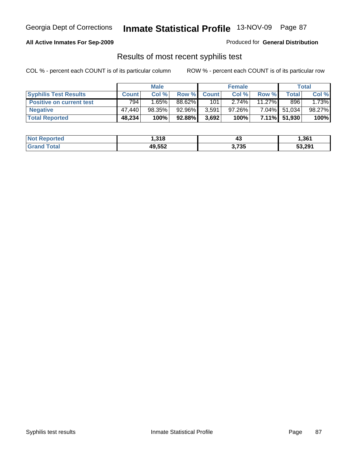### **All Active Inmates For Sep-2009**

Produced for **General Distribution**

### Results of most recent syphilis test

|                                 | <b>Male</b>  |        |           | <b>Female</b> |          | Total     |              |        |
|---------------------------------|--------------|--------|-----------|---------------|----------|-----------|--------------|--------|
| <b>Syphilis Test Results</b>    | <b>Count</b> | Col %  | Row %     | <b>Count</b>  | Col %    | Row %     | Totall       | Col %  |
| <b>Positive on current test</b> | 794          | 1.65%  | 88.62%    | 101           | $2.74\%$ | $11.27\%$ | 896          | 1.73%  |
| <b>Negative</b>                 | 47.440       | 98.35% | 92.96%    | 3,591         | 97.26%   | 7.04%     | 51,034       | 98.27% |
| <b>Total Reported</b>           | 48,234       | 100%   | $92.88\%$ | 3,692         | 100%     |           | 7.11% 51,930 | 100%   |

| <b>Not Reported</b> | 1,318  | ് 4ം  | 1,361  |
|---------------------|--------|-------|--------|
| <b>Grand Total</b>  | 49,552 | 3,735 | 53,291 |